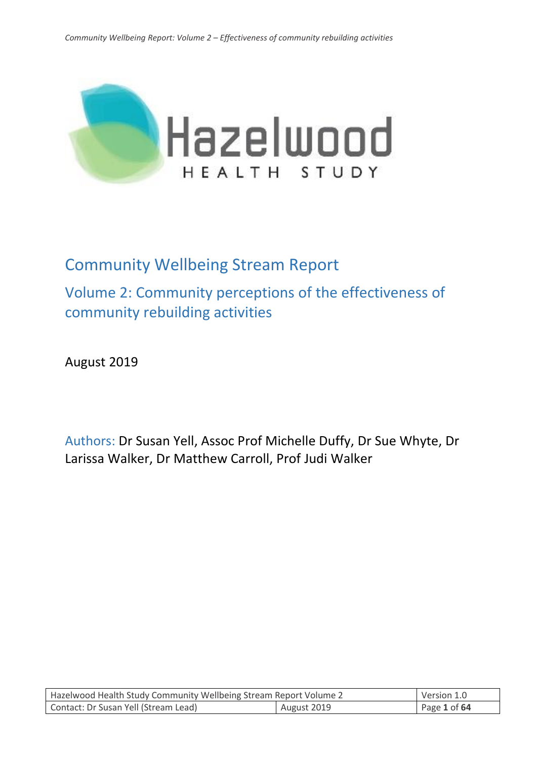

# Community Wellbeing Stream Report

Volume 2: Community perceptions of the effectiveness of community rebuilding activities

August 2019

Authors: Dr Susan Yell, Assoc Prof Michelle Duffy, Dr Sue Whyte, Dr Larissa Walker, Dr Matthew Carroll, Prof Judi Walker

| Hazelwood Health Study Community Wellbeing Stream Report Volume 2 |  | Version 1.0  |
|-------------------------------------------------------------------|--|--------------|
| Contact: Dr Susan Yell (Stream Lead)<br>August 2019               |  | Page 1 of 64 |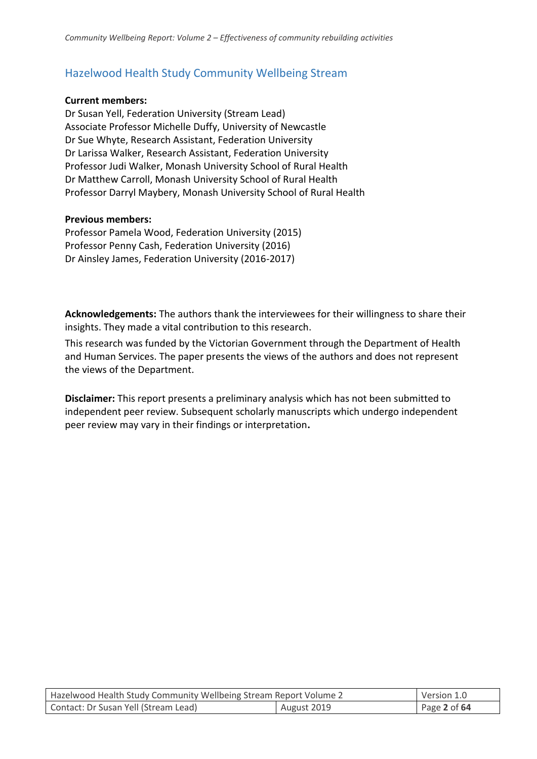## Hazelwood Health Study Community Wellbeing Stream

#### **Current members:**

Dr Susan Yell, Federation University (Stream Lead) Associate Professor Michelle Duffy, University of Newcastle Dr Sue Whyte, Research Assistant, Federation University Dr Larissa Walker, Research Assistant, Federation University Professor Judi Walker, Monash University School of Rural Health Dr Matthew Carroll, Monash University School of Rural Health Professor Darryl Maybery, Monash University School of Rural Health

#### **Previous members:**

Professor Pamela Wood, Federation University (2015) Professor Penny Cash, Federation University (2016) Dr Ainsley James, Federation University (2016-2017)

**Acknowledgements:** The authors thank the interviewees for their willingness to share their insights. They made a vital contribution to this research.

This research was funded by the Victorian Government through the Department of Health and Human Services. The paper presents the views of the authors and does not represent the views of the Department.

**Disclaimer:** This report presents a preliminary analysis which has not been submitted to independent peer review. Subsequent scholarly manuscripts which undergo independent peer review may vary in their findings or interpretation**.**

| Hazelwood Health Study Community Wellbeing Stream Report Volume 2 |  | Version 1.0  |
|-------------------------------------------------------------------|--|--------------|
| Contact: Dr Susan Yell (Stream Lead)<br>August 2019               |  | Page 2 of 64 |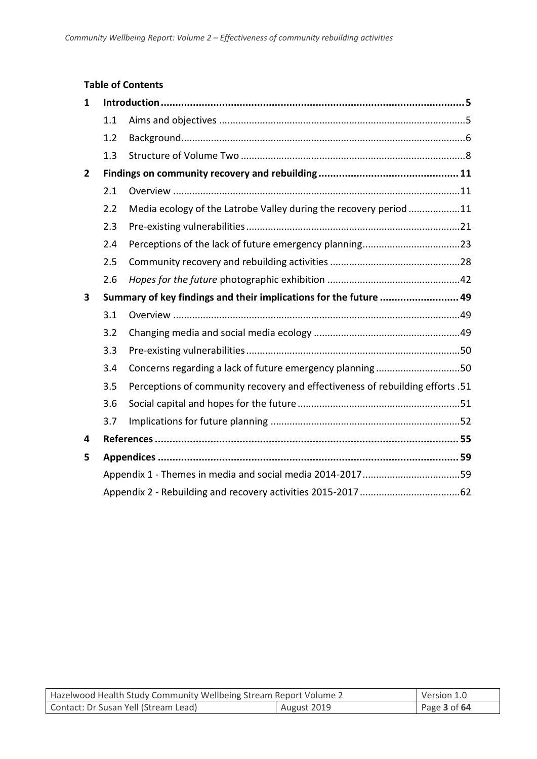### **Table of Contents**

| 1.1 |                                                                               |                                                                   |
|-----|-------------------------------------------------------------------------------|-------------------------------------------------------------------|
| 1.2 |                                                                               |                                                                   |
| 1.3 |                                                                               |                                                                   |
|     |                                                                               |                                                                   |
| 2.1 |                                                                               |                                                                   |
| 2.2 | Media ecology of the Latrobe Valley during the recovery period 11             |                                                                   |
| 2.3 |                                                                               |                                                                   |
| 2.4 |                                                                               |                                                                   |
| 2.5 |                                                                               |                                                                   |
| 2.6 |                                                                               |                                                                   |
|     |                                                                               |                                                                   |
| 3.1 |                                                                               |                                                                   |
| 3.2 |                                                                               |                                                                   |
| 3.3 |                                                                               |                                                                   |
|     |                                                                               |                                                                   |
| 3.4 | Concerns regarding a lack of future emergency planning50                      |                                                                   |
| 3.5 | Perceptions of community recovery and effectiveness of rebuilding efforts .51 |                                                                   |
| 3.6 |                                                                               |                                                                   |
| 3.7 |                                                                               |                                                                   |
|     |                                                                               |                                                                   |
|     |                                                                               |                                                                   |
|     | Appendix 1 - Themes in media and social media 2014-201759                     |                                                                   |
|     |                                                                               | Summary of key findings and their implications for the future  49 |

| Hazelwood Health Study Community Wellbeing Stream Report Volume 2 |  | Version 1.0  |
|-------------------------------------------------------------------|--|--------------|
| Contact: Dr Susan Yell (Stream Lead)<br>August 2019               |  | Page 3 of 64 |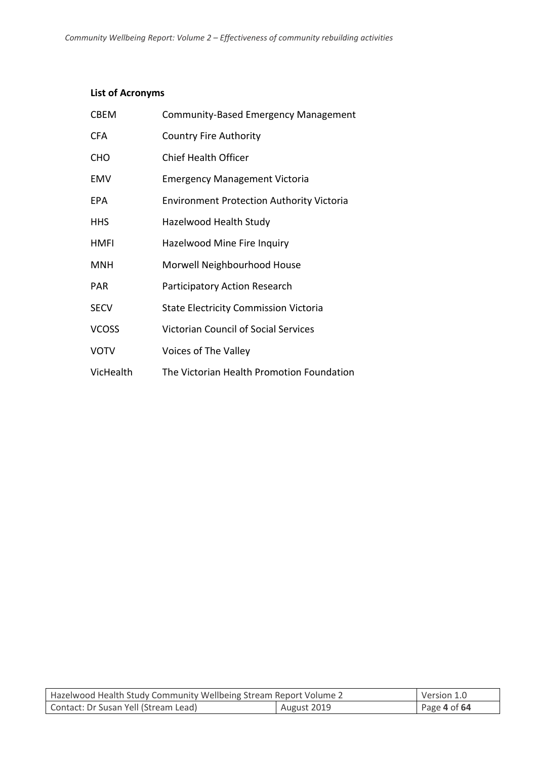### **List of Acronyms**

| <b>CBEM</b>  | Community-Based Emergency Management             |
|--------------|--------------------------------------------------|
| <b>CFA</b>   | <b>Country Fire Authority</b>                    |
| CHO          | <b>Chief Health Officer</b>                      |
| EMV          | <b>Emergency Management Victoria</b>             |
| EPA          | <b>Environment Protection Authority Victoria</b> |
| <b>HHS</b>   | Hazelwood Health Study                           |
| <b>HMFI</b>  | Hazelwood Mine Fire Inquiry                      |
| <b>MNH</b>   | Morwell Neighbourhood House                      |
| <b>PAR</b>   | Participatory Action Research                    |
| <b>SECV</b>  | <b>State Electricity Commission Victoria</b>     |
| <b>VCOSS</b> | <b>Victorian Council of Social Services</b>      |
| <b>VOTV</b>  | Voices of The Valley                             |
| VicHealth    | The Victorian Health Promotion Foundation        |

| Hazelwood Health Study Community Wellbeing Stream Report Volume 2 |  | Version 1.0  |
|-------------------------------------------------------------------|--|--------------|
| Contact: Dr Susan Yell (Stream Lead)<br>August 2019               |  | Page 4 of 64 |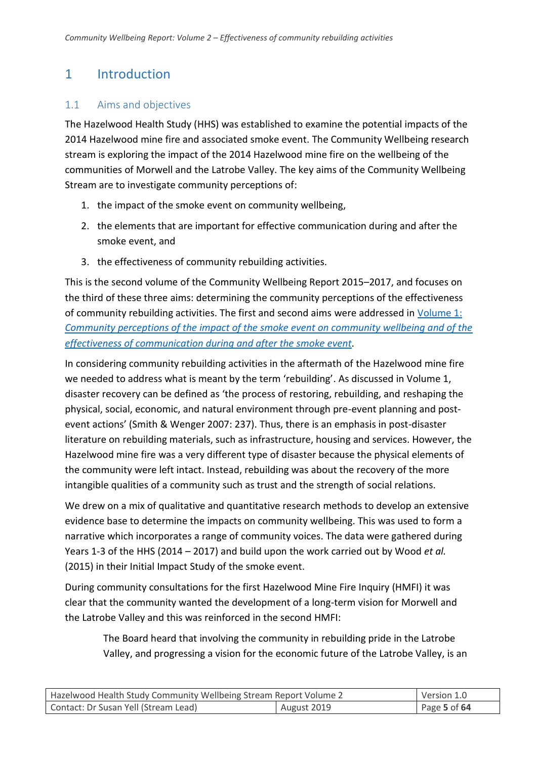## <span id="page-4-0"></span>1 Introduction

## <span id="page-4-1"></span>1.1 Aims and objectives

The Hazelwood Health Study (HHS) was established to examine the potential impacts of the 2014 Hazelwood mine fire and associated smoke event. The Community Wellbeing research stream is exploring the impact of the 2014 Hazelwood mine fire on the wellbeing of the communities of Morwell and the Latrobe Valley. The key aims of the Community Wellbeing Stream are to investigate community perceptions of:

- 1. the impact of the smoke event on community wellbeing,
- 2. the elements that are important for effective communication during and after the smoke event, and
- 3. the effectiveness of community rebuilding activities.

This is the second volume of the Community Wellbeing Report 2015–2017, and focuses on the third of these three aims: determining the community perceptions of the effectiveness of community rebuilding activities. The first and second aims were addressed i[n Volume](https://hazelwoodhealthstudy.org.au/__data/assets/pdf_file/0006/1766139/CW-Report-Volume-1_v1.0.pdf) 1: *[Community perceptions of the impact of the smoke event on community wellbeing and of the](https://hazelwoodhealthstudy.org.au/__data/assets/pdf_file/0006/1766139/CW-Report-Volume-1_v1.0.pdf)  [effectiveness of communication during and after the smoke event.](https://hazelwoodhealthstudy.org.au/__data/assets/pdf_file/0006/1766139/CW-Report-Volume-1_v1.0.pdf)*

In considering community rebuilding activities in the aftermath of the Hazelwood mine fire we needed to address what is meant by the term 'rebuilding'. As discussed in Volume 1, disaster recovery can be defined as 'the process of restoring, rebuilding, and reshaping the physical, social, economic, and natural environment through pre-event planning and postevent actions' (Smith & Wenger 2007: 237). Thus, there is an emphasis in post-disaster literature on rebuilding materials, such as infrastructure, housing and services. However, the Hazelwood mine fire was a very different type of disaster because the physical elements of the community were left intact. Instead, rebuilding was about the recovery of the more intangible qualities of a community such as trust and the strength of social relations.

We drew on a mix of qualitative and quantitative research methods to develop an extensive evidence base to determine the impacts on community wellbeing. This was used to form a narrative which incorporates a range of community voices. The data were gathered during Years 1-3 of the HHS (2014 – 2017) and build upon the work carried out by Wood *et al.* (2015) in their Initial Impact Study of the smoke event.

During community consultations for the first Hazelwood Mine Fire Inquiry (HMFI) it was clear that the community wanted the development of a long-term vision for Morwell and the Latrobe Valley and this was reinforced in the second HMFI:

The Board heard that involving the community in rebuilding pride in the Latrobe Valley, and progressing a vision for the economic future of the Latrobe Valley, is an

| Hazelwood Health Study Community Wellbeing Stream Report Volume 2 |  | Version 1.0  |
|-------------------------------------------------------------------|--|--------------|
| Contact: Dr Susan Yell (Stream Lead)<br>August 2019               |  | Page 5 of 64 |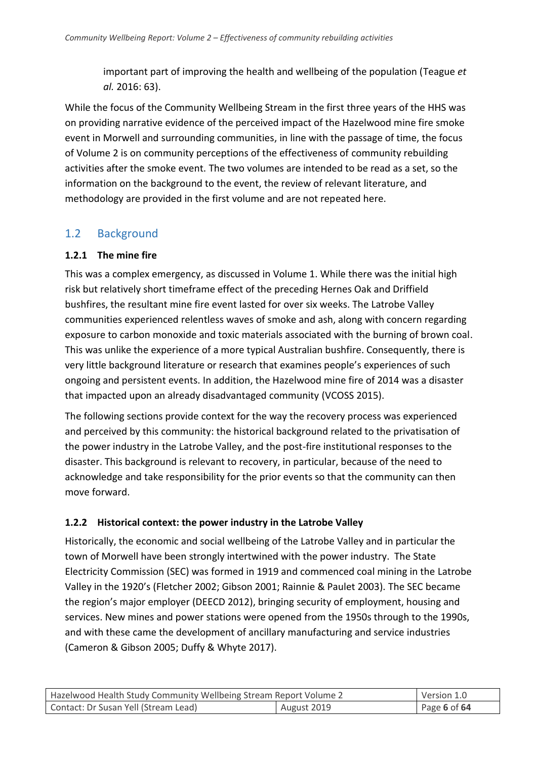important part of improving the health and wellbeing of the population (Teague *et al.* 2016: 63).

While the focus of the Community Wellbeing Stream in the first three years of the HHS was on providing narrative evidence of the perceived impact of the Hazelwood mine fire smoke event in Morwell and surrounding communities, in line with the passage of time, the focus of Volume 2 is on community perceptions of the effectiveness of community rebuilding activities after the smoke event. The two volumes are intended to be read as a set, so the information on the background to the event, the review of relevant literature, and methodology are provided in the first volume and are not repeated here.

## <span id="page-5-0"></span>1.2 Background

## **1.2.1 The mine fire**

This was a complex emergency, as discussed in Volume 1. While there was the initial high risk but relatively short timeframe effect of the preceding Hernes Oak and Driffield bushfires, the resultant mine fire event lasted for over six weeks. The Latrobe Valley communities experienced relentless waves of smoke and ash, along with concern regarding exposure to carbon monoxide and toxic materials associated with the burning of brown coal. This was unlike the experience of a more typical Australian bushfire. Consequently, there is very little background literature or research that examines people's experiences of such ongoing and persistent events. In addition, the Hazelwood mine fire of 2014 was a disaster that impacted upon an already disadvantaged community (VCOSS 2015).

The following sections provide context for the way the recovery process was experienced and perceived by this community: the historical background related to the privatisation of the power industry in the Latrobe Valley, and the post-fire institutional responses to the disaster. This background is relevant to recovery, in particular, because of the need to acknowledge and take responsibility for the prior events so that the community can then move forward.

## **1.2.2 Historical context: the power industry in the Latrobe Valley**

Historically, the economic and social wellbeing of the Latrobe Valley and in particular the town of Morwell have been strongly intertwined with the power industry. The State Electricity Commission (SEC) was formed in 1919 and commenced coal mining in the Latrobe Valley in the 1920's (Fletcher 2002; Gibson 2001; Rainnie & Paulet 2003). The SEC became the region's major employer (DEECD 2012), bringing security of employment, housing and services. New mines and power stations were opened from the 1950s through to the 1990s, and with these came the development of ancillary manufacturing and service industries (Cameron & Gibson 2005; Duffy & Whyte 2017).

| Hazelwood Health Study Community Wellbeing Stream Report Volume 2 |             | Version 1.0  |
|-------------------------------------------------------------------|-------------|--------------|
| Contact: Dr Susan Yell (Stream Lead)                              | August 2019 | Page 6 of 64 |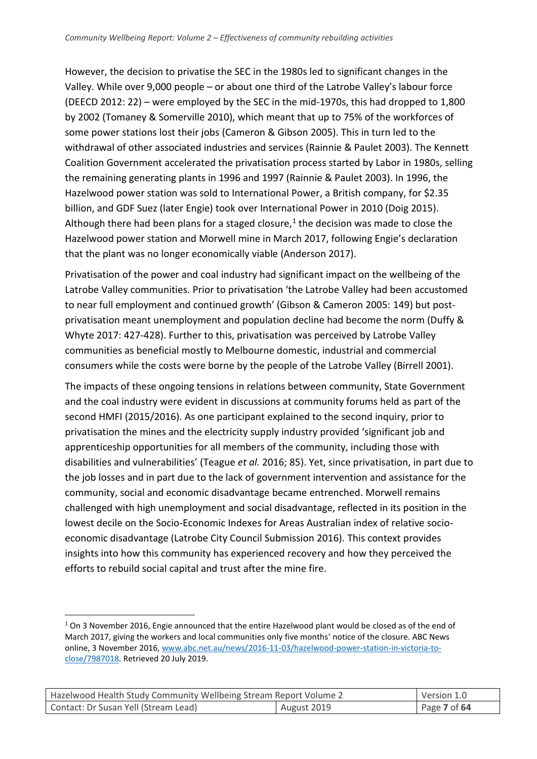However, the decision to privatise the SEC in the 1980s led to significant changes in the Valley. While over 9,000 people – or about one third of the Latrobe Valley's labour force (DEECD 2012: 22) – were employed by the SEC in the mid-1970s, this had dropped to 1,800 by 2002 (Tomaney & Somerville 2010), which meant that up to 75% of the workforces of some power stations lost their jobs (Cameron & Gibson 2005). This in turn led to the withdrawal of other associated industries and services (Rainnie & Paulet 2003). The Kennett Coalition Government accelerated the privatisation process started by Labor in 1980s, selling the remaining generating plants in 1996 and 1997 (Rainnie & Paulet 2003). In 1996, the Hazelwood power station was sold to International Power, a British company, for \$2.35 billion, and GDF Suez (later Engie) took over International Power in 2010 (Doig 2015). Although there had been plans for a staged closure, $1$  the decision was made to close the Hazelwood power station and Morwell mine in March 2017, following Engie's declaration that the plant was no longer economically viable (Anderson 2017).

Privatisation of the power and coal industry had significant impact on the wellbeing of the Latrobe Valley communities. Prior to privatisation 'the Latrobe Valley had been accustomed to near full employment and continued growth' (Gibson & Cameron 2005: 149) but postprivatisation meant unemployment and population decline had become the norm (Duffy & Whyte 2017: 427-428). Further to this, privatisation was perceived by Latrobe Valley communities as beneficial mostly to Melbourne domestic, industrial and commercial consumers while the costs were borne by the people of the Latrobe Valley (Birrell 2001).

The impacts of these ongoing tensions in relations between community, State Government and the coal industry were evident in discussions at community forums held as part of the second HMFI (2015/2016). As one participant explained to the second inquiry, prior to privatisation the mines and the electricity supply industry provided 'significant job and apprenticeship opportunities for all members of the community, including those with disabilities and vulnerabilities' (Teague *et al.* 2016; 85). Yet, since privatisation, in part due to the job losses and in part due to the lack of government intervention and assistance for the community, social and economic disadvantage became entrenched. Morwell remains challenged with high unemployment and social disadvantage, reflected in its position in the lowest decile on the Socio-Economic Indexes for Areas Australian index of relative socioeconomic disadvantage (Latrobe City Council Submission 2016). This context provides insights into how this community has experienced recovery and how they perceived the efforts to rebuild social capital and trust after the mine fire.

<u>.</u>

| Hazelwood Health Study Community Wellbeing Stream Report Volume 2 |             | Version 1.0  |
|-------------------------------------------------------------------|-------------|--------------|
| Contact: Dr Susan Yell (Stream Lead)                              | August 2019 | Page 7 of 64 |

 $1$  On 3 November 2016, Engie announced that the entire Hazelwood plant would be closed as of the end of March 2017, giving the workers and local communities only five months' notice of the closure. ABC News online, 3 November 2016[, www.abc.net.au/news/2016-11-03/hazelwood-power-station-in-victoria-to](http://www.abc.net.au/news/2016-11-03/hazelwood-power-station-in-victoria-to-close/7987018)[close/7987018.](http://www.abc.net.au/news/2016-11-03/hazelwood-power-station-in-victoria-to-close/7987018) Retrieved 20 July 2019.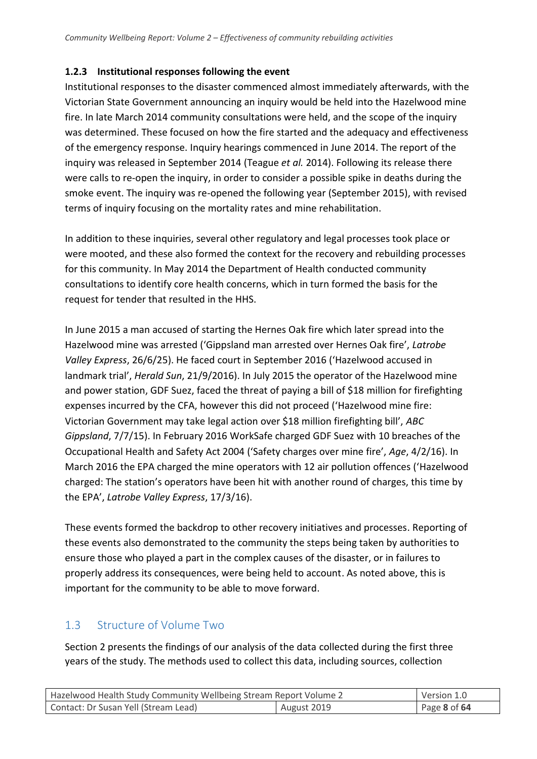## **1.2.3 Institutional responses following the event**

Institutional responses to the disaster commenced almost immediately afterwards, with the Victorian State Government announcing an inquiry would be held into the Hazelwood mine fire. In late March 2014 community consultations were held, and the scope of the inquiry was determined. These focused on how the fire started and the adequacy and effectiveness of the emergency response. Inquiry hearings commenced in June 2014. The report of the inquiry was released in September 2014 (Teague *et al.* 2014). Following its release there were calls to re-open the inquiry, in order to consider a possible spike in deaths during the smoke event. The inquiry was re-opened the following year (September 2015), with revised terms of inquiry focusing on the mortality rates and mine rehabilitation.

In addition to these inquiries, several other regulatory and legal processes took place or were mooted, and these also formed the context for the recovery and rebuilding processes for this community. In May 2014 the Department of Health conducted community consultations to identify core health concerns, which in turn formed the basis for the request for tender that resulted in the HHS.

In June 2015 a man accused of starting the Hernes Oak fire which later spread into the Hazelwood mine was arrested ('Gippsland man arrested over Hernes Oak fire', *Latrobe Valley Express*, 26/6/25). He faced court in September 2016 ('Hazelwood accused in landmark trial', *Herald Sun*, 21/9/2016). In July 2015 the operator of the Hazelwood mine and power station, GDF Suez, faced the threat of paying a bill of \$18 million for firefighting expenses incurred by the CFA, however this did not proceed ('Hazelwood mine fire: Victorian Government may take legal action over \$18 million firefighting bill', *ABC Gippsland*, 7/7/15). In February 2016 WorkSafe charged GDF Suez with 10 breaches of the Occupational Health and Safety Act 2004 ('Safety charges over mine fire', *Age*, 4/2/16). In March 2016 the EPA charged the mine operators with 12 air pollution offences ('Hazelwood charged: The station's operators have been hit with another round of charges, this time by the EPA', *Latrobe Valley Express*, 17/3/16).

These events formed the backdrop to other recovery initiatives and processes. Reporting of these events also demonstrated to the community the steps being taken by authorities to ensure those who played a part in the complex causes of the disaster, or in failures to properly address its consequences, were being held to account. As noted above, this is important for the community to be able to move forward.

## <span id="page-7-0"></span>1.3 Structure of Volume Two

Section 2 presents the findings of our analysis of the data collected during the first three years of the study. The methods used to collect this data, including sources, collection

| Hazelwood Health Study Community Wellbeing Stream Report Volume 2 |  | Version 1.0  |
|-------------------------------------------------------------------|--|--------------|
| Contact: Dr Susan Yell (Stream Lead)<br>August 2019               |  | Page 8 of 64 |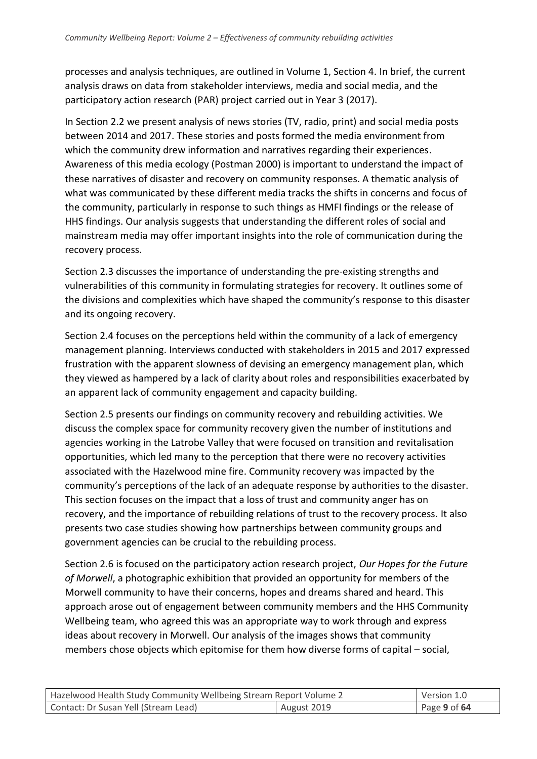processes and analysis techniques, are outlined in Volume 1, Section 4. In brief, the current analysis draws on data from stakeholder interviews, media and social media, and the participatory action research (PAR) project carried out in Year 3 (2017).

In Section 2.2 we present analysis of news stories (TV, radio, print) and social media posts between 2014 and 2017. These stories and posts formed the media environment from which the community drew information and narratives regarding their experiences. Awareness of this media ecology (Postman 2000) is important to understand the impact of these narratives of disaster and recovery on community responses. A thematic analysis of what was communicated by these different media tracks the shifts in concerns and focus of the community, particularly in response to such things as HMFI findings or the release of HHS findings. Our analysis suggests that understanding the different roles of social and mainstream media may offer important insights into the role of communication during the recovery process.

Section 2.3 discusses the importance of understanding the pre-existing strengths and vulnerabilities of this community in formulating strategies for recovery. It outlines some of the divisions and complexities which have shaped the community's response to this disaster and its ongoing recovery.

Section 2.4 focuses on the perceptions held within the community of a lack of emergency management planning. Interviews conducted with stakeholders in 2015 and 2017 expressed frustration with the apparent slowness of devising an emergency management plan, which they viewed as hampered by a lack of clarity about roles and responsibilities exacerbated by an apparent lack of community engagement and capacity building.

Section 2.5 presents our findings on community recovery and rebuilding activities. We discuss the complex space for community recovery given the number of institutions and agencies working in the Latrobe Valley that were focused on transition and revitalisation opportunities, which led many to the perception that there were no recovery activities associated with the Hazelwood mine fire. Community recovery was impacted by the community's perceptions of the lack of an adequate response by authorities to the disaster. This section focuses on the impact that a loss of trust and community anger has on recovery, and the importance of rebuilding relations of trust to the recovery process. It also presents two case studies showing how partnerships between community groups and government agencies can be crucial to the rebuilding process.

Section 2.6 is focused on the participatory action research project, *Our Hopes for the Future of Morwell*, a photographic exhibition that provided an opportunity for members of the Morwell community to have their concerns, hopes and dreams shared and heard. This approach arose out of engagement between community members and the HHS Community Wellbeing team, who agreed this was an appropriate way to work through and express ideas about recovery in Morwell. Our analysis of the images shows that community members chose objects which epitomise for them how diverse forms of capital – social,

| Hazelwood Health Study Community Wellbeing Stream Report Volume 2 |             | Version 1.0  |
|-------------------------------------------------------------------|-------------|--------------|
| Contact: Dr Susan Yell (Stream Lead)                              | August 2019 | Page 9 of 64 |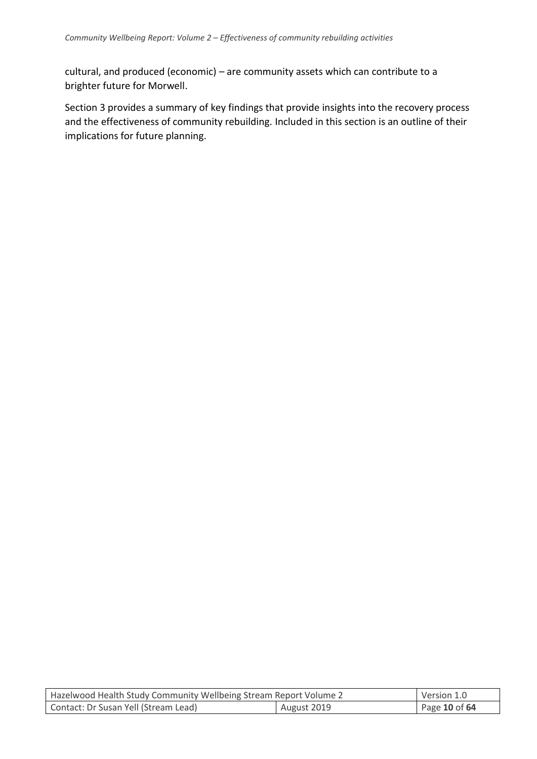cultural, and produced (economic) – are community assets which can contribute to a brighter future for Morwell.

Section 3 provides a summary of key findings that provide insights into the recovery process and the effectiveness of community rebuilding. Included in this section is an outline of their implications for future planning.

| Hazelwood Health Study Community Wellbeing Stream Report Volume 2 |             | Version 1.0   |
|-------------------------------------------------------------------|-------------|---------------|
| Contact: Dr Susan Yell (Stream Lead)                              | August 2019 | Page 10 of 64 |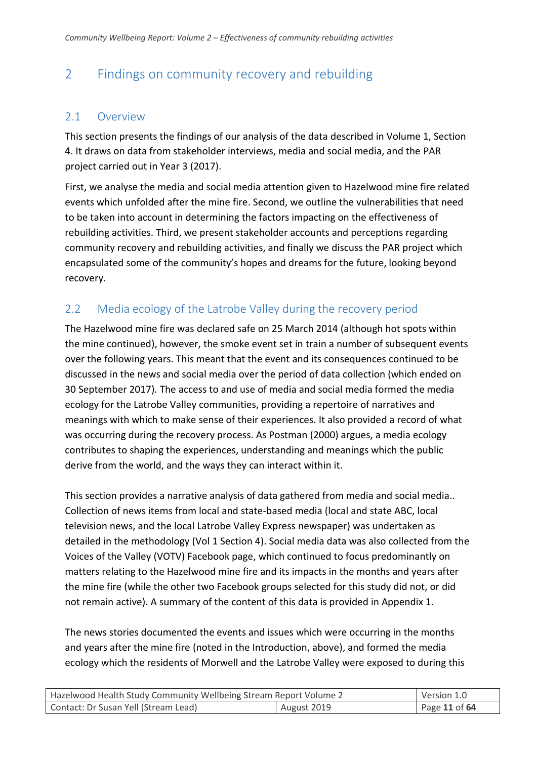## <span id="page-10-0"></span>2 Findings on community recovery and rebuilding

### <span id="page-10-1"></span>2.1 Overview

This section presents the findings of our analysis of the data described in Volume 1, Section 4. It draws on data from stakeholder interviews, media and social media, and the PAR project carried out in Year 3 (2017).

First, we analyse the media and social media attention given to Hazelwood mine fire related events which unfolded after the mine fire. Second, we outline the vulnerabilities that need to be taken into account in determining the factors impacting on the effectiveness of rebuilding activities. Third, we present stakeholder accounts and perceptions regarding community recovery and rebuilding activities, and finally we discuss the PAR project which encapsulated some of the community's hopes and dreams for the future, looking beyond recovery.

## <span id="page-10-2"></span>2.2 Media ecology of the Latrobe Valley during the recovery period

The Hazelwood mine fire was declared safe on 25 March 2014 (although hot spots within the mine continued), however, the smoke event set in train a number of subsequent events over the following years. This meant that the event and its consequences continued to be discussed in the news and social media over the period of data collection (which ended on 30 September 2017). The access to and use of media and social media formed the media ecology for the Latrobe Valley communities, providing a repertoire of narratives and meanings with which to make sense of their experiences. It also provided a record of what was occurring during the recovery process. As Postman (2000) argues, a media ecology contributes to shaping the experiences, understanding and meanings which the public derive from the world, and the ways they can interact within it.

This section provides a narrative analysis of data gathered from media and social media.. Collection of news items from local and state-based media (local and state ABC, local television news, and the local Latrobe Valley Express newspaper) was undertaken as detailed in the methodology (Vol 1 Section 4). Social media data was also collected from the Voices of the Valley (VOTV) Facebook page, which continued to focus predominantly on matters relating to the Hazelwood mine fire and its impacts in the months and years after the mine fire (while the other two Facebook groups selected for this study did not, or did not remain active). A summary of the content of this data is provided in Appendix 1.

The news stories documented the events and issues which were occurring in the months and years after the mine fire (noted in the Introduction, above), and formed the media ecology which the residents of Morwell and the Latrobe Valley were exposed to during this

| Hazelwood Health Study Community Wellbeing Stream Report Volume 2 |  | Version 1.0   |
|-------------------------------------------------------------------|--|---------------|
| Contact: Dr Susan Yell (Stream Lead)<br>August 2019               |  | Page 11 of 64 |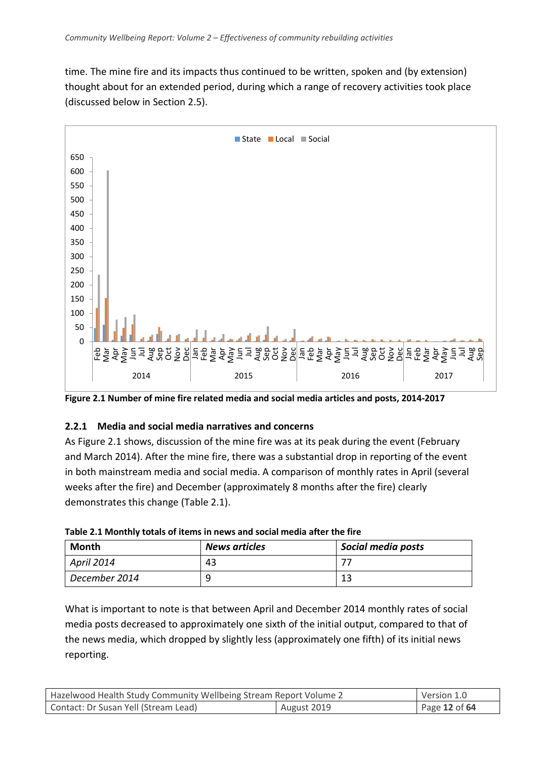time. The mine fire and its impacts thus continued to be written, spoken and (by extension) thought about for an extended period, during which a range of recovery activities took place (discussed below in Section 2.5).



**Figure 2.1 Number of mine fire related media and social media articles and posts, 2014-2017**

#### **2.2.1 Media and social media narratives and concerns**

As Figure 2.1 shows, discussion of the mine fire was at its peak during the event (February and March 2014). After the mine fire, there was a substantial drop in reporting of the event in both mainstream media and social media. A comparison of monthly rates in April (several weeks after the fire) and December (approximately 8 months after the fire) clearly demonstrates this change (Table 2.1).

| <b>Month</b>  | <b>News articles</b> | Social media posts |
|---------------|----------------------|--------------------|
| April 2014    | 43                   |                    |
| December 2014 |                      |                    |

**Table 2.1 Monthly totals of items in news and social media after the fire**

What is important to note is that between April and December 2014 monthly rates of social media posts decreased to approximately one sixth of the initial output, compared to that of the news media, which dropped by slightly less (approximately one fifth) of its initial news reporting.

| Hazelwood Health Study Community Wellbeing Stream Report Volume 2 |                              | Version 1.0 |
|-------------------------------------------------------------------|------------------------------|-------------|
| Contact: Dr Susan Yell (Stream Lead)                              | August 2019<br>Page 12 of 64 |             |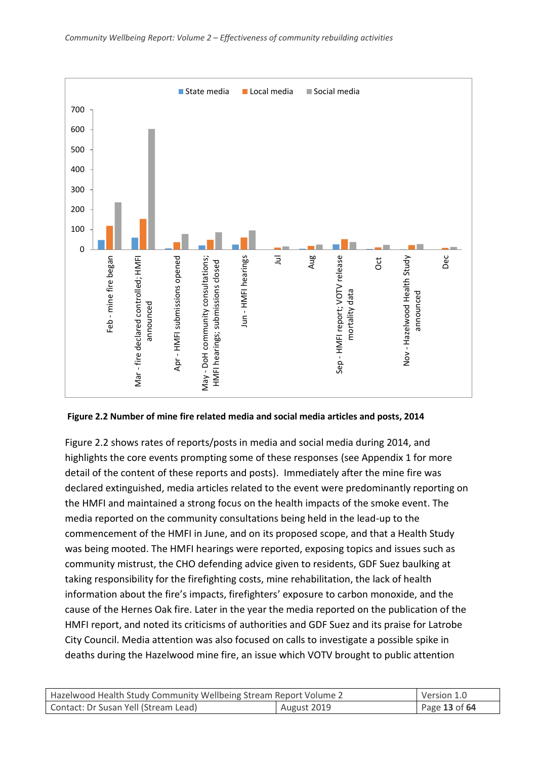

**Figure 2.2 Number of mine fire related media and social media articles and posts, 2014** 

Figure 2.2 shows rates of reports/posts in media and social media during 2014, and highlights the core events prompting some of these responses (see Appendix 1 for more detail of the content of these reports and posts). Immediately after the mine fire was declared extinguished, media articles related to the event were predominantly reporting on the HMFI and maintained a strong focus on the health impacts of the smoke event. The media reported on the community consultations being held in the lead-up to the commencement of the HMFI in June, and on its proposed scope, and that a Health Study was being mooted. The HMFI hearings were reported, exposing topics and issues such as community mistrust, the CHO defending advice given to residents, GDF Suez baulking at taking responsibility for the firefighting costs, mine rehabilitation, the lack of health information about the fire's impacts, firefighters' exposure to carbon monoxide, and the cause of the Hernes Oak fire. Later in the year the media reported on the publication of the HMFI report, and noted its criticisms of authorities and GDF Suez and its praise for Latrobe City Council. Media attention was also focused on calls to investigate a possible spike in deaths during the Hazelwood mine fire, an issue which VOTV brought to public attention

| Hazelwood Health Study Community Wellbeing Stream Report Volume 2 |  | Version 1.0   |
|-------------------------------------------------------------------|--|---------------|
| Contact: Dr Susan Yell (Stream Lead)<br>August 2019               |  | Page 13 of 64 |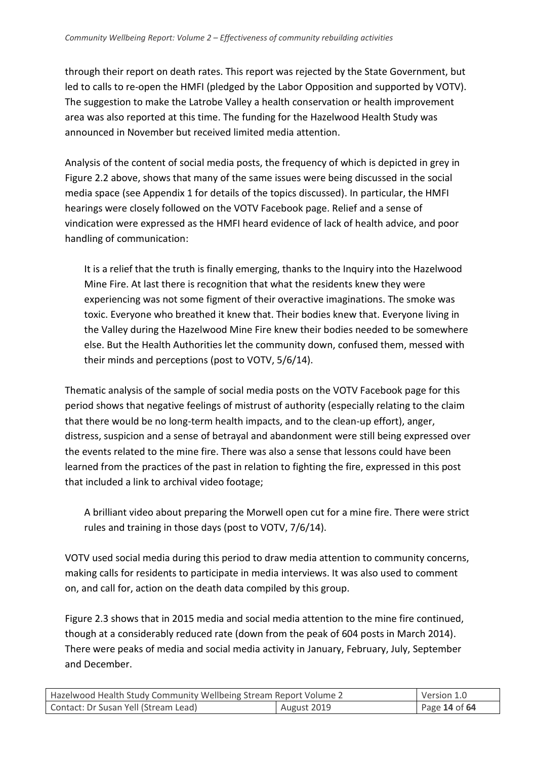through their report on death rates. This report was rejected by the State Government, but led to calls to re-open the HMFI (pledged by the Labor Opposition and supported by VOTV). The suggestion to make the Latrobe Valley a health conservation or health improvement area was also reported at this time. The funding for the Hazelwood Health Study was announced in November but received limited media attention.

Analysis of the content of social media posts, the frequency of which is depicted in grey in Figure 2.2 above, shows that many of the same issues were being discussed in the social media space (see Appendix 1 for details of the topics discussed). In particular, the HMFI hearings were closely followed on the VOTV Facebook page. Relief and a sense of vindication were expressed as the HMFI heard evidence of lack of health advice, and poor handling of communication:

It is a relief that the truth is finally emerging, thanks to the Inquiry into the Hazelwood Mine Fire. At last there is recognition that what the residents knew they were experiencing was not some figment of their overactive imaginations. The smoke was toxic. Everyone who breathed it knew that. Their bodies knew that. Everyone living in the Valley during the Hazelwood Mine Fire knew their bodies needed to be somewhere else. But the Health Authorities let the community down, confused them, messed with their minds and perceptions (post to VOTV, 5/6/14).

Thematic analysis of the sample of social media posts on the VOTV Facebook page for this period shows that negative feelings of mistrust of authority (especially relating to the claim that there would be no long-term health impacts, and to the clean-up effort), anger, distress, suspicion and a sense of betrayal and abandonment were still being expressed over the events related to the mine fire. There was also a sense that lessons could have been learned from the practices of the past in relation to fighting the fire, expressed in this post that included a link to archival video footage;

A brilliant video about preparing the Morwell open cut for a mine fire. There were strict rules and training in those days (post to VOTV, 7/6/14).

VOTV used social media during this period to draw media attention to community concerns, making calls for residents to participate in media interviews. It was also used to comment on, and call for, action on the death data compiled by this group.

Figure 2.3 shows that in 2015 media and social media attention to the mine fire continued, though at a considerably reduced rate (down from the peak of 604 posts in March 2014). There were peaks of media and social media activity in January, February, July, September and December.

| Hazelwood Health Study Community Wellbeing Stream Report Volume 2 |  | Version 1.0   |
|-------------------------------------------------------------------|--|---------------|
| August 2019<br>Contact: Dr Susan Yell (Stream Lead)               |  | Page 14 of 64 |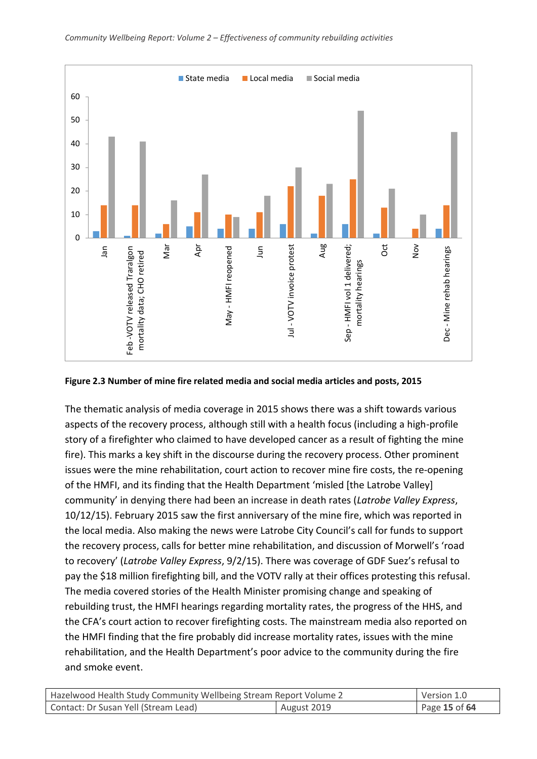

**Figure 2.3 Number of mine fire related media and social media articles and posts, 2015** 

The thematic analysis of media coverage in 2015 shows there was a shift towards various aspects of the recovery process, although still with a health focus (including a high-profile story of a firefighter who claimed to have developed cancer as a result of fighting the mine fire). This marks a key shift in the discourse during the recovery process. Other prominent issues were the mine rehabilitation, court action to recover mine fire costs, the re-opening of the HMFI, and its finding that the Health Department 'misled [the Latrobe Valley] community' in denying there had been an increase in death rates (*Latrobe Valley Express*, 10/12/15). February 2015 saw the first anniversary of the mine fire, which was reported in the local media. Also making the news were Latrobe City Council's call for funds to support the recovery process, calls for better mine rehabilitation, and discussion of Morwell's 'road to recovery' (*Latrobe Valley Express*, 9/2/15). There was coverage of GDF Suez's refusal to pay the \$18 million firefighting bill, and the VOTV rally at their offices protesting this refusal. The media covered stories of the Health Minister promising change and speaking of rebuilding trust, the HMFI hearings regarding mortality rates, the progress of the HHS, and the CFA's court action to recover firefighting costs. The mainstream media also reported on the HMFI finding that the fire probably did increase mortality rates, issues with the mine rehabilitation, and the Health Department's poor advice to the community during the fire and smoke event.

| Hazelwood Health Study Community Wellbeing Stream Report Volume 2 |  | Version 1.0   |
|-------------------------------------------------------------------|--|---------------|
| Contact: Dr Susan Yell (Stream Lead)<br>August 2019               |  | Page 15 of 64 |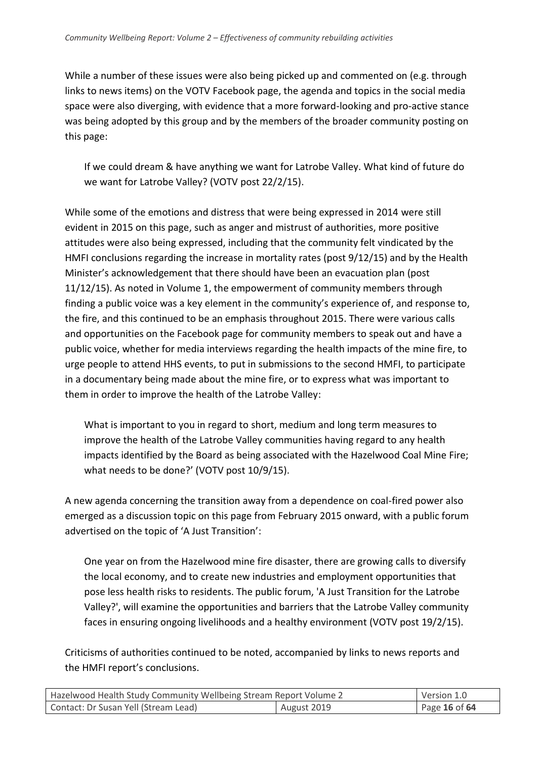While a number of these issues were also being picked up and commented on (e.g. through links to news items) on the VOTV Facebook page, the agenda and topics in the social media space were also diverging, with evidence that a more forward-looking and pro-active stance was being adopted by this group and by the members of the broader community posting on this page:

If we could dream & have anything we want for Latrobe Valley. What kind of future do we want for Latrobe Valley? (VOTV post 22/2/15).

While some of the emotions and distress that were being expressed in 2014 were still evident in 2015 on this page, such as anger and mistrust of authorities, more positive attitudes were also being expressed, including that the community felt vindicated by the HMFI conclusions regarding the increase in mortality rates (post 9/12/15) and by the Health Minister's acknowledgement that there should have been an evacuation plan (post 11/12/15). As noted in Volume 1, the empowerment of community members through finding a public voice was a key element in the community's experience of, and response to, the fire, and this continued to be an emphasis throughout 2015. There were various calls and opportunities on the Facebook page for community members to speak out and have a public voice, whether for media interviews regarding the health impacts of the mine fire, to urge people to attend HHS events, to put in submissions to the second HMFI, to participate in a documentary being made about the mine fire, or to express what was important to them in order to improve the health of the Latrobe Valley:

What is important to you in regard to short, medium and long term measures to improve the health of the Latrobe Valley communities having regard to any health impacts identified by the Board as being associated with the Hazelwood Coal Mine Fire; what needs to be done?' (VOTV post 10/9/15).

A new agenda concerning the transition away from a dependence on coal-fired power also emerged as a discussion topic on this page from February 2015 onward, with a public forum advertised on the topic of 'A Just Transition':

One year on from the Hazelwood mine fire disaster, there are growing calls to diversify the local economy, and to create new industries and employment opportunities that pose less health risks to residents. The public forum, 'A Just Transition for the Latrobe Valley?', will examine the opportunities and barriers that the Latrobe Valley community faces in ensuring ongoing livelihoods and a healthy environment (VOTV post 19/2/15).

Criticisms of authorities continued to be noted, accompanied by links to news reports and the HMFI report's conclusions.

| Hazelwood Health Study Community Wellbeing Stream Report Volume 2 |  | Version 1.0   |
|-------------------------------------------------------------------|--|---------------|
| Contact: Dr Susan Yell (Stream Lead)<br>August 2019               |  | Page 16 of 64 |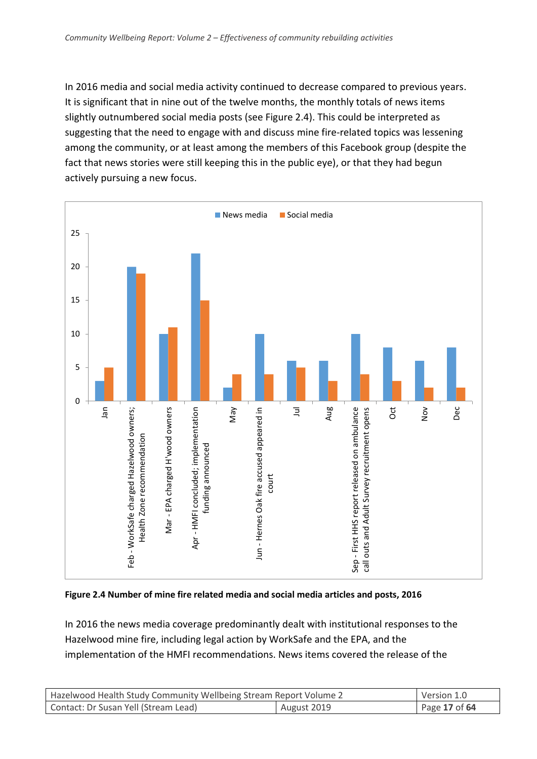In 2016 media and social media activity continued to decrease compared to previous years. It is significant that in nine out of the twelve months, the monthly totals of news items slightly outnumbered social media posts (see Figure 2.4). This could be interpreted as suggesting that the need to engage with and discuss mine fire-related topics was lessening among the community, or at least among the members of this Facebook group (despite the fact that news stories were still keeping this in the public eye), or that they had begun actively pursuing a new focus.



**Figure 2.4 Number of mine fire related media and social media articles and posts, 2016**

In 2016 the news media coverage predominantly dealt with institutional responses to the Hazelwood mine fire, including legal action by WorkSafe and the EPA, and the implementation of the HMFI recommendations. News items covered the release of the

| Hazelwood Health Study Community Wellbeing Stream Report Volume 2 |  | Version 1.0   |
|-------------------------------------------------------------------|--|---------------|
| Contact: Dr Susan Yell (Stream Lead)<br>August 2019               |  | Page 17 of 64 |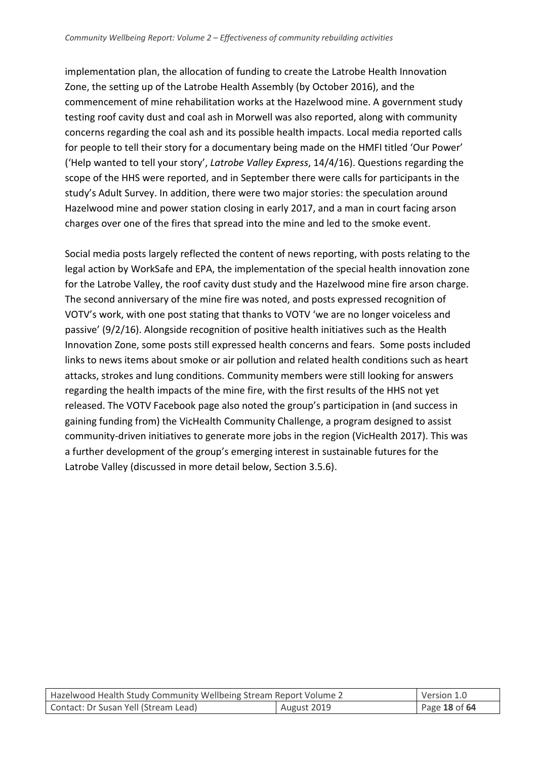implementation plan, the allocation of funding to create the Latrobe Health Innovation Zone, the setting up of the Latrobe Health Assembly (by October 2016), and the commencement of mine rehabilitation works at the Hazelwood mine. A government study testing roof cavity dust and coal ash in Morwell was also reported, along with community concerns regarding the coal ash and its possible health impacts. Local media reported calls for people to tell their story for a documentary being made on the HMFI titled 'Our Power' ('Help wanted to tell your story', *Latrobe Valley Express*, 14/4/16). Questions regarding the scope of the HHS were reported, and in September there were calls for participants in the study's Adult Survey. In addition, there were two major stories: the speculation around Hazelwood mine and power station closing in early 2017, and a man in court facing arson charges over one of the fires that spread into the mine and led to the smoke event.

Social media posts largely reflected the content of news reporting, with posts relating to the legal action by WorkSafe and EPA, the implementation of the special health innovation zone for the Latrobe Valley, the roof cavity dust study and the Hazelwood mine fire arson charge. The second anniversary of the mine fire was noted, and posts expressed recognition of VOTV's work, with one post stating that thanks to VOTV 'we are no longer voiceless and passive' (9/2/16). Alongside recognition of positive health initiatives such as the Health Innovation Zone, some posts still expressed health concerns and fears. Some posts included links to news items about smoke or air pollution and related health conditions such as heart attacks, strokes and lung conditions. Community members were still looking for answers regarding the health impacts of the mine fire, with the first results of the HHS not yet released. The VOTV Facebook page also noted the group's participation in (and success in gaining funding from) the VicHealth Community Challenge, a program designed to assist community-driven initiatives to generate more jobs in the region (VicHealth 2017). This was a further development of the group's emerging interest in sustainable futures for the Latrobe Valley (discussed in more detail below, Section 3.5.6).

| Hazelwood Health Study Community Wellbeing Stream Report Volume 2 |  | Version 1.0   |
|-------------------------------------------------------------------|--|---------------|
| Contact: Dr Susan Yell (Stream Lead)<br>August 2019               |  | Page 18 of 64 |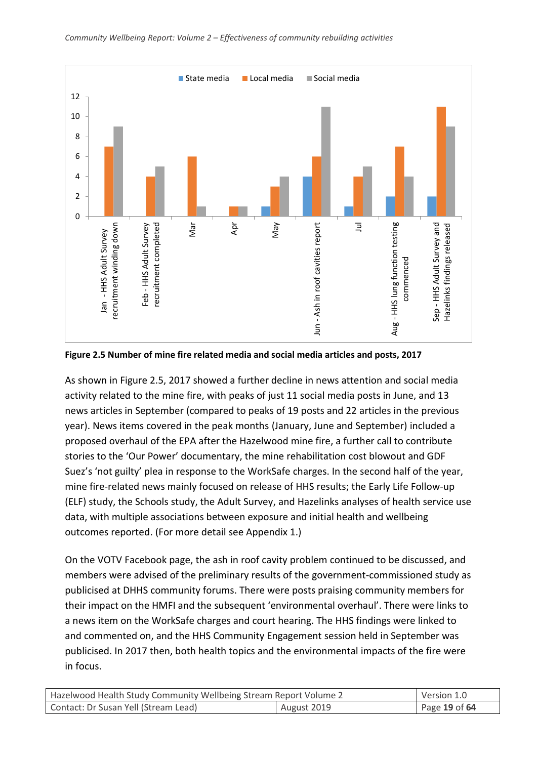

**Figure 2.5 Number of mine fire related media and social media articles and posts, 2017**

As shown in Figure 2.5, 2017 showed a further decline in news attention and social media activity related to the mine fire, with peaks of just 11 social media posts in June, and 13 news articles in September (compared to peaks of 19 posts and 22 articles in the previous year). News items covered in the peak months (January, June and September) included a proposed overhaul of the EPA after the Hazelwood mine fire, a further call to contribute stories to the 'Our Power' documentary, the mine rehabilitation cost blowout and GDF Suez's 'not guilty' plea in response to the WorkSafe charges. In the second half of the year, mine fire-related news mainly focused on release of HHS results; the Early Life Follow-up (ELF) study, the Schools study, the Adult Survey, and Hazelinks analyses of health service use data, with multiple associations between exposure and initial health and wellbeing outcomes reported. (For more detail see Appendix 1.)

On the VOTV Facebook page, the ash in roof cavity problem continued to be discussed, and members were advised of the preliminary results of the government-commissioned study as publicised at DHHS community forums. There were posts praising community members for their impact on the HMFI and the subsequent 'environmental overhaul'. There were links to a news item on the WorkSafe charges and court hearing. The HHS findings were linked to and commented on, and the HHS Community Engagement session held in September was publicised. In 2017 then, both health topics and the environmental impacts of the fire were in focus.

| Hazelwood Health Study Community Wellbeing Stream Report Volume 2 |  | Version 1.0   |
|-------------------------------------------------------------------|--|---------------|
| Contact: Dr Susan Yell (Stream Lead)<br>August 2019               |  | Page 19 of 64 |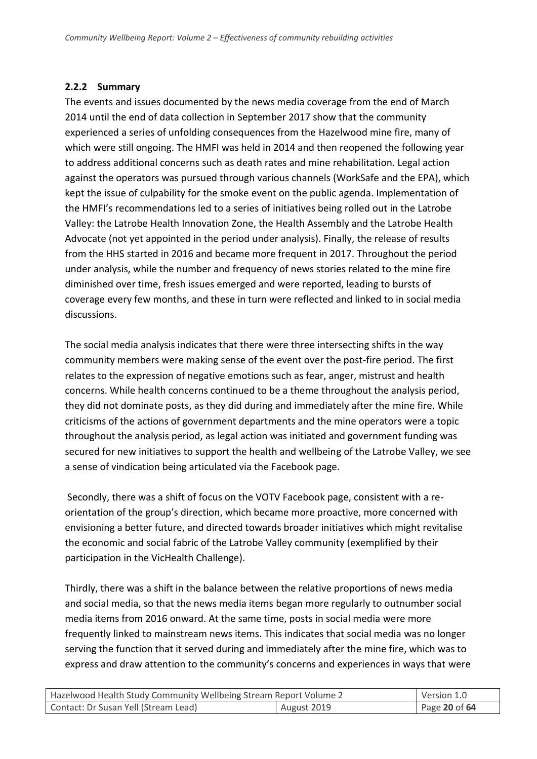#### **2.2.2 Summary**

The events and issues documented by the news media coverage from the end of March 2014 until the end of data collection in September 2017 show that the community experienced a series of unfolding consequences from the Hazelwood mine fire, many of which were still ongoing. The HMFI was held in 2014 and then reopened the following year to address additional concerns such as death rates and mine rehabilitation. Legal action against the operators was pursued through various channels (WorkSafe and the EPA), which kept the issue of culpability for the smoke event on the public agenda. Implementation of the HMFI's recommendations led to a series of initiatives being rolled out in the Latrobe Valley: the Latrobe Health Innovation Zone, the Health Assembly and the Latrobe Health Advocate (not yet appointed in the period under analysis). Finally, the release of results from the HHS started in 2016 and became more frequent in 2017. Throughout the period under analysis, while the number and frequency of news stories related to the mine fire diminished over time, fresh issues emerged and were reported, leading to bursts of coverage every few months, and these in turn were reflected and linked to in social media discussions.

The social media analysis indicates that there were three intersecting shifts in the way community members were making sense of the event over the post-fire period. The first relates to the expression of negative emotions such as fear, anger, mistrust and health concerns. While health concerns continued to be a theme throughout the analysis period, they did not dominate posts, as they did during and immediately after the mine fire. While criticisms of the actions of government departments and the mine operators were a topic throughout the analysis period, as legal action was initiated and government funding was secured for new initiatives to support the health and wellbeing of the Latrobe Valley, we see a sense of vindication being articulated via the Facebook page.

Secondly, there was a shift of focus on the VOTV Facebook page, consistent with a reorientation of the group's direction, which became more proactive, more concerned with envisioning a better future, and directed towards broader initiatives which might revitalise the economic and social fabric of the Latrobe Valley community (exemplified by their participation in the VicHealth Challenge).

Thirdly, there was a shift in the balance between the relative proportions of news media and social media, so that the news media items began more regularly to outnumber social media items from 2016 onward. At the same time, posts in social media were more frequently linked to mainstream news items. This indicates that social media was no longer serving the function that it served during and immediately after the mine fire, which was to express and draw attention to the community's concerns and experiences in ways that were

| Hazelwood Health Study Community Wellbeing Stream Report Volume 2 |  | Version 1.0     |
|-------------------------------------------------------------------|--|-----------------|
| Contact: Dr Susan Yell (Stream Lead)<br>August 2019               |  | Page 20 of $64$ |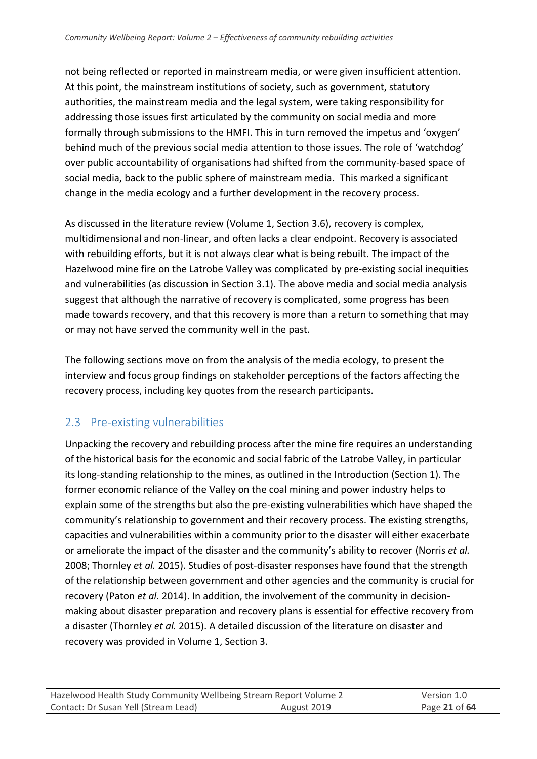not being reflected or reported in mainstream media, or were given insufficient attention. At this point, the mainstream institutions of society, such as government, statutory authorities, the mainstream media and the legal system, were taking responsibility for addressing those issues first articulated by the community on social media and more formally through submissions to the HMFI. This in turn removed the impetus and 'oxygen' behind much of the previous social media attention to those issues. The role of 'watchdog' over public accountability of organisations had shifted from the community-based space of social media, back to the public sphere of mainstream media. This marked a significant change in the media ecology and a further development in the recovery process.

As discussed in the literature review (Volume 1, Section 3.6), recovery is complex, multidimensional and non-linear, and often lacks a clear endpoint. Recovery is associated with rebuilding efforts, but it is not always clear what is being rebuilt. The impact of the Hazelwood mine fire on the Latrobe Valley was complicated by pre-existing social inequities and vulnerabilities (as discussion in Section 3.1). The above media and social media analysis suggest that although the narrative of recovery is complicated, some progress has been made towards recovery, and that this recovery is more than a return to something that may or may not have served the community well in the past.

The following sections move on from the analysis of the media ecology, to present the interview and focus group findings on stakeholder perceptions of the factors affecting the recovery process, including key quotes from the research participants.

## <span id="page-20-0"></span>2.3 Pre-existing vulnerabilities

Unpacking the recovery and rebuilding process after the mine fire requires an understanding of the historical basis for the economic and social fabric of the Latrobe Valley, in particular its long-standing relationship to the mines, as outlined in the Introduction (Section 1). The former economic reliance of the Valley on the coal mining and power industry helps to explain some of the strengths but also the pre-existing vulnerabilities which have shaped the community's relationship to government and their recovery process. The existing strengths, capacities and vulnerabilities within a community prior to the disaster will either exacerbate or ameliorate the impact of the disaster and the community's ability to recover (Norris *et al.* 2008; Thornley *et al.* 2015). Studies of post-disaster responses have found that the strength of the relationship between government and other agencies and the community is crucial for recovery (Paton *et al.* 2014). In addition, the involvement of the community in decisionmaking about disaster preparation and recovery plans is essential for effective recovery from a disaster (Thornley *et al.* 2015). A detailed discussion of the literature on disaster and recovery was provided in Volume 1, Section 3.

| Hazelwood Health Study Community Wellbeing Stream Report Volume 2 |  | Version 1.0   |
|-------------------------------------------------------------------|--|---------------|
| Contact: Dr Susan Yell (Stream Lead)<br>August 2019               |  | Page 21 of 64 |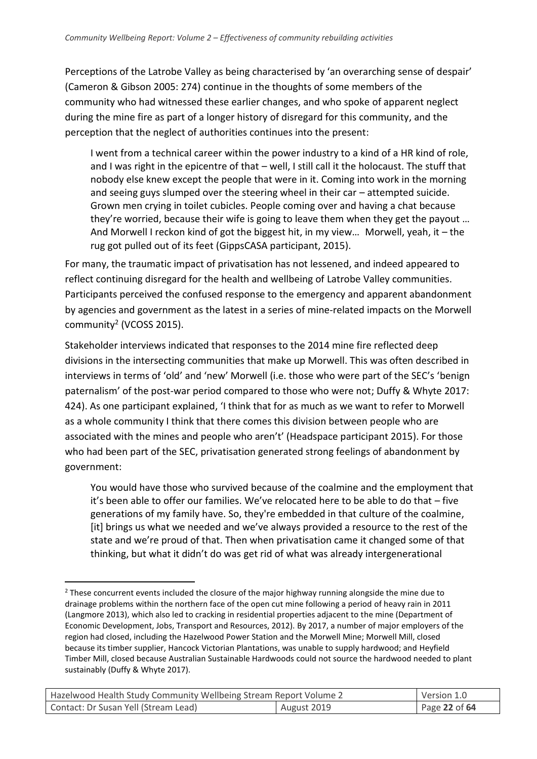Perceptions of the Latrobe Valley as being characterised by 'an overarching sense of despair' (Cameron & Gibson 2005: 274) continue in the thoughts of some members of the community who had witnessed these earlier changes, and who spoke of apparent neglect during the mine fire as part of a longer history of disregard for this community, and the perception that the neglect of authorities continues into the present:

I went from a technical career within the power industry to a kind of a HR kind of role, and I was right in the epicentre of that – well, I still call it the holocaust. The stuff that nobody else knew except the people that were in it. Coming into work in the morning and seeing guys slumped over the steering wheel in their car – attempted suicide. Grown men crying in toilet cubicles. People coming over and having a chat because they're worried, because their wife is going to leave them when they get the payout … And Morwell I reckon kind of got the biggest hit, in my view… Morwell, yeah, it – the rug got pulled out of its feet (GippsCASA participant, 2015).

For many, the traumatic impact of privatisation has not lessened, and indeed appeared to reflect continuing disregard for the health and wellbeing of Latrobe Valley communities. Participants perceived the confused response to the emergency and apparent abandonment by agencies and government as the latest in a series of mine-related impacts on the Morwell community<sup>2</sup> (VCOSS 2015).

Stakeholder interviews indicated that responses to the 2014 mine fire reflected deep divisions in the intersecting communities that make up Morwell. This was often described in interviews in terms of 'old' and 'new' Morwell (i.e. those who were part of the SEC's 'benign paternalism' of the post-war period compared to those who were not; Duffy & Whyte 2017: 424). As one participant explained, 'I think that for as much as we want to refer to Morwell as a whole community I think that there comes this division between people who are associated with the mines and people who aren't' (Headspace participant 2015). For those who had been part of the SEC, privatisation generated strong feelings of abandonment by government:

You would have those who survived because of the coalmine and the employment that it's been able to offer our families. We've relocated here to be able to do that – five generations of my family have. So, they're embedded in that culture of the coalmine, [it] brings us what we needed and we've always provided a resource to the rest of the state and we're proud of that. Then when privatisation came it changed some of that thinking, but what it didn't do was get rid of what was already intergenerational

1

| Hazelwood Health Study Community Wellbeing Stream Report Volume 2 |  | Version 1.0   |
|-------------------------------------------------------------------|--|---------------|
| Contact: Dr Susan Yell (Stream Lead)<br>August 2019               |  | Page 22 of 64 |

<sup>&</sup>lt;sup>2</sup> These concurrent events included the closure of the major highway running alongside the mine due to drainage problems within the northern face of the open cut mine following a period of heavy rain in 2011 (Langmore 2013), which also led to cracking in residential properties adjacent to the mine (Department of Economic Development, Jobs, Transport and Resources, 2012). By 2017, a number of major employers of the region had closed, including the Hazelwood Power Station and the Morwell Mine; Morwell Mill, closed because its timber supplier, Hancock Victorian Plantations, was unable to supply hardwood; and Heyfield Timber Mill, closed because Australian Sustainable Hardwoods could not source the hardwood needed to plant sustainably (Duffy & Whyte 2017).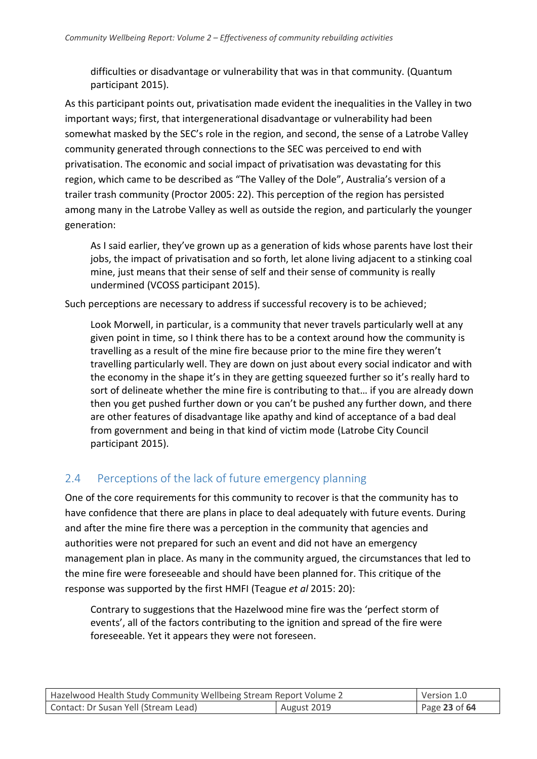difficulties or disadvantage or vulnerability that was in that community. (Quantum participant 2015).

As this participant points out, privatisation made evident the inequalities in the Valley in two important ways; first, that intergenerational disadvantage or vulnerability had been somewhat masked by the SEC's role in the region, and second, the sense of a Latrobe Valley community generated through connections to the SEC was perceived to end with privatisation. The economic and social impact of privatisation was devastating for this region, which came to be described as "The Valley of the Dole", Australia's version of a trailer trash community (Proctor 2005: 22). This perception of the region has persisted among many in the Latrobe Valley as well as outside the region, and particularly the younger generation:

As I said earlier, they've grown up as a generation of kids whose parents have lost their jobs, the impact of privatisation and so forth, let alone living adjacent to a stinking coal mine, just means that their sense of self and their sense of community is really undermined (VCOSS participant 2015).

Such perceptions are necessary to address if successful recovery is to be achieved;

Look Morwell, in particular, is a community that never travels particularly well at any given point in time, so I think there has to be a context around how the community is travelling as a result of the mine fire because prior to the mine fire they weren't travelling particularly well. They are down on just about every social indicator and with the economy in the shape it's in they are getting squeezed further so it's really hard to sort of delineate whether the mine fire is contributing to that… if you are already down then you get pushed further down or you can't be pushed any further down, and there are other features of disadvantage like apathy and kind of acceptance of a bad deal from government and being in that kind of victim mode (Latrobe City Council participant 2015).

## <span id="page-22-0"></span>2.4 Perceptions of the lack of future emergency planning

One of the core requirements for this community to recover is that the community has to have confidence that there are plans in place to deal adequately with future events. During and after the mine fire there was a perception in the community that agencies and authorities were not prepared for such an event and did not have an emergency management plan in place. As many in the community argued, the circumstances that led to the mine fire were foreseeable and should have been planned for. This critique of the response was supported by the first HMFI (Teague *et al* 2015: 20):

Contrary to suggestions that the Hazelwood mine fire was the 'perfect storm of events', all of the factors contributing to the ignition and spread of the fire were foreseeable. Yet it appears they were not foreseen.

| Hazelwood Health Study Community Wellbeing Stream Report Volume 2 |  | Version 1.0   |
|-------------------------------------------------------------------|--|---------------|
| Contact: Dr Susan Yell (Stream Lead)<br>August 2019               |  | Page 23 of 64 |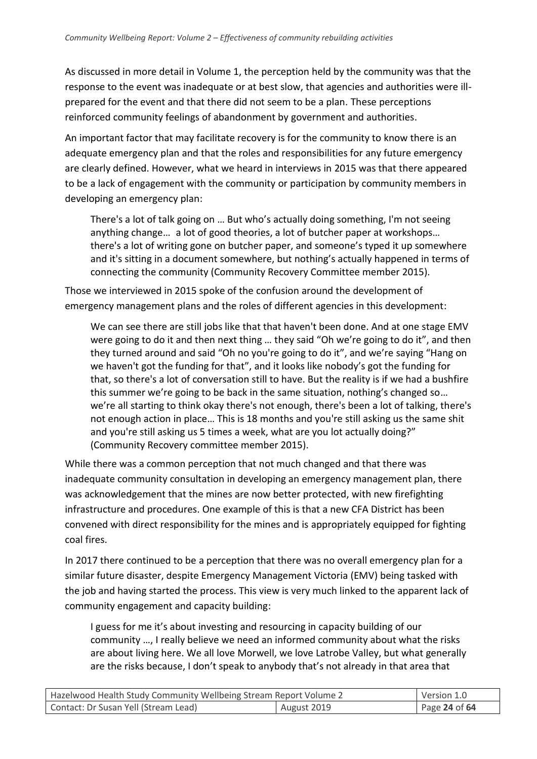As discussed in more detail in Volume 1, the perception held by the community was that the response to the event was inadequate or at best slow, that agencies and authorities were illprepared for the event and that there did not seem to be a plan. These perceptions reinforced community feelings of abandonment by government and authorities.

An important factor that may facilitate recovery is for the community to know there is an adequate emergency plan and that the roles and responsibilities for any future emergency are clearly defined. However, what we heard in interviews in 2015 was that there appeared to be a lack of engagement with the community or participation by community members in developing an emergency plan:

There's a lot of talk going on … But who's actually doing something, I'm not seeing anything change… a lot of good theories, a lot of butcher paper at workshops… there's a lot of writing gone on butcher paper, and someone's typed it up somewhere and it's sitting in a document somewhere, but nothing's actually happened in terms of connecting the community (Community Recovery Committee member 2015).

Those we interviewed in 2015 spoke of the confusion around the development of emergency management plans and the roles of different agencies in this development:

We can see there are still jobs like that that haven't been done. And at one stage EMV were going to do it and then next thing … they said "Oh we're going to do it", and then they turned around and said "Oh no you're going to do it", and we're saying "Hang on we haven't got the funding for that", and it looks like nobody's got the funding for that, so there's a lot of conversation still to have. But the reality is if we had a bushfire this summer we're going to be back in the same situation, nothing's changed so… we're all starting to think okay there's not enough, there's been a lot of talking, there's not enough action in place… This is 18 months and you're still asking us the same shit and you're still asking us 5 times a week, what are you lot actually doing?" (Community Recovery committee member 2015).

While there was a common perception that not much changed and that there was inadequate community consultation in developing an emergency management plan, there was acknowledgement that the mines are now better protected, with new firefighting infrastructure and procedures. One example of this is that a new CFA District has been convened with direct responsibility for the mines and is appropriately equipped for fighting coal fires.

In 2017 there continued to be a perception that there was no overall emergency plan for a similar future disaster, despite Emergency Management Victoria (EMV) being tasked with the job and having started the process. This view is very much linked to the apparent lack of community engagement and capacity building:

I guess for me it's about investing and resourcing in capacity building of our community …, I really believe we need an informed community about what the risks are about living here. We all love Morwell, we love Latrobe Valley, but what generally are the risks because, I don't speak to anybody that's not already in that area that

| Hazelwood Health Study Community Wellbeing Stream Report Volume 2 |  | Version 1.0   |
|-------------------------------------------------------------------|--|---------------|
| Contact: Dr Susan Yell (Stream Lead)<br>August 2019               |  | Page 24 of 64 |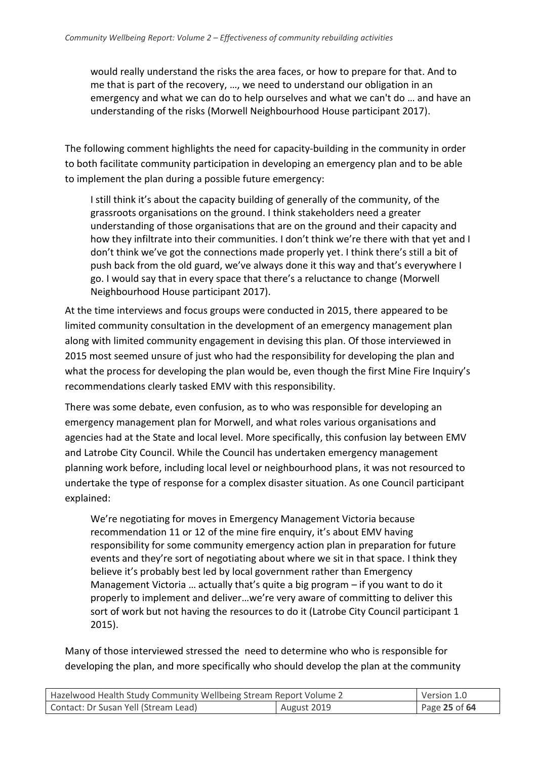would really understand the risks the area faces, or how to prepare for that. And to me that is part of the recovery, …, we need to understand our obligation in an emergency and what we can do to help ourselves and what we can't do … and have an understanding of the risks (Morwell Neighbourhood House participant 2017).

The following comment highlights the need for capacity-building in the community in order to both facilitate community participation in developing an emergency plan and to be able to implement the plan during a possible future emergency:

I still think it's about the capacity building of generally of the community, of the grassroots organisations on the ground. I think stakeholders need a greater understanding of those organisations that are on the ground and their capacity and how they infiltrate into their communities. I don't think we're there with that yet and I don't think we've got the connections made properly yet. I think there's still a bit of push back from the old guard, we've always done it this way and that's everywhere I go. I would say that in every space that there's a reluctance to change (Morwell Neighbourhood House participant 2017).

At the time interviews and focus groups were conducted in 2015, there appeared to be limited community consultation in the development of an emergency management plan along with limited community engagement in devising this plan. Of those interviewed in 2015 most seemed unsure of just who had the responsibility for developing the plan and what the process for developing the plan would be, even though the first Mine Fire Inquiry's recommendations clearly tasked EMV with this responsibility.

There was some debate, even confusion, as to who was responsible for developing an emergency management plan for Morwell, and what roles various organisations and agencies had at the State and local level. More specifically, this confusion lay between EMV and Latrobe City Council. While the Council has undertaken emergency management planning work before, including local level or neighbourhood plans, it was not resourced to undertake the type of response for a complex disaster situation. As one Council participant explained:

We're negotiating for moves in Emergency Management Victoria because recommendation 11 or 12 of the mine fire enquiry, it's about EMV having responsibility for some community emergency action plan in preparation for future events and they're sort of negotiating about where we sit in that space. I think they believe it's probably best led by local government rather than Emergency Management Victoria … actually that's quite a big program – if you want to do it properly to implement and deliver…we're very aware of committing to deliver this sort of work but not having the resources to do it (Latrobe City Council participant 1 2015).

Many of those interviewed stressed the need to determine who who is responsible for developing the plan, and more specifically who should develop the plan at the community

| Hazelwood Health Study Community Wellbeing Stream Report Volume 2 |  | Version 1.0   |
|-------------------------------------------------------------------|--|---------------|
| Contact: Dr Susan Yell (Stream Lead)<br>August 2019               |  | Page 25 of 64 |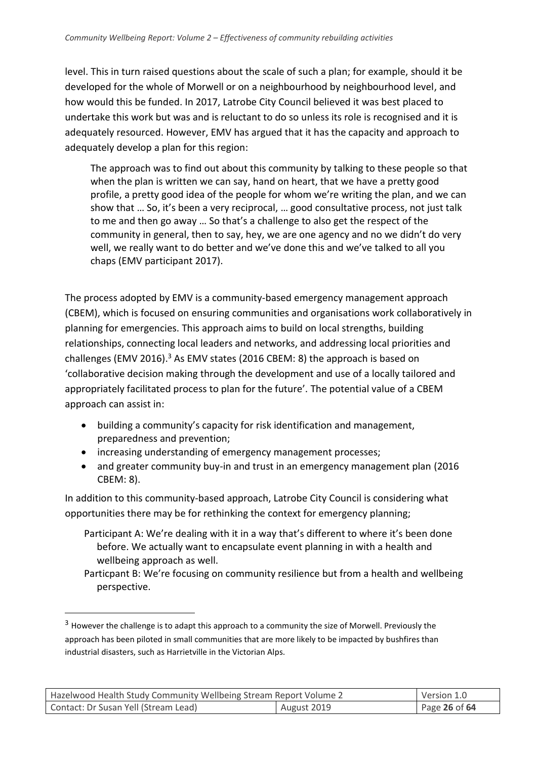level. This in turn raised questions about the scale of such a plan; for example, should it be developed for the whole of Morwell or on a neighbourhood by neighbourhood level, and how would this be funded. In 2017, Latrobe City Council believed it was best placed to undertake this work but was and is reluctant to do so unless its role is recognised and it is adequately resourced. However, EMV has argued that it has the capacity and approach to adequately develop a plan for this region:

The approach was to find out about this community by talking to these people so that when the plan is written we can say, hand on heart, that we have a pretty good profile, a pretty good idea of the people for whom we're writing the plan, and we can show that … So, it's been a very reciprocal, … good consultative process, not just talk to me and then go away … So that's a challenge to also get the respect of the community in general, then to say, hey, we are one agency and no we didn't do very well, we really want to do better and we've done this and we've talked to all you chaps (EMV participant 2017).

The process adopted by EMV is a community-based emergency management approach (CBEM), which is focused on ensuring communities and organisations work collaboratively in planning for emergencies. This approach aims to build on local strengths, building relationships, connecting local leaders and networks, and addressing local priorities and challenges (EMV 2016).<sup>3</sup> As EMV states (2016 CBEM: 8) the approach is based on 'collaborative decision making through the development and use of a locally tailored and appropriately facilitated process to plan for the future'. The potential value of a CBEM approach can assist in:

- building a community's capacity for risk identification and management, preparedness and prevention;
- increasing understanding of emergency management processes;
- and greater community buy-in and trust in an emergency management plan (2016) CBEM: 8).

In addition to this community-based approach, Latrobe City Council is considering what opportunities there may be for rethinking the context for emergency planning;

- Participant A: We're dealing with it in a way that's different to where it's been done before. We actually want to encapsulate event planning in with a health and wellbeing approach as well.
- Particpant B: We're focusing on community resilience but from a health and wellbeing perspective.

-

| Hazelwood Health Study Community Wellbeing Stream Report Volume 2 |  | Version 1.0   |
|-------------------------------------------------------------------|--|---------------|
| August 2019<br>Contact: Dr Susan Yell (Stream Lead)               |  | Page 26 of 64 |

<sup>&</sup>lt;sup>3</sup> However the challenge is to adapt this approach to a community the size of Morwell. Previously the approach has been piloted in small communities that are more likely to be impacted by bushfires than industrial disasters, such as Harrietville in the Victorian Alps.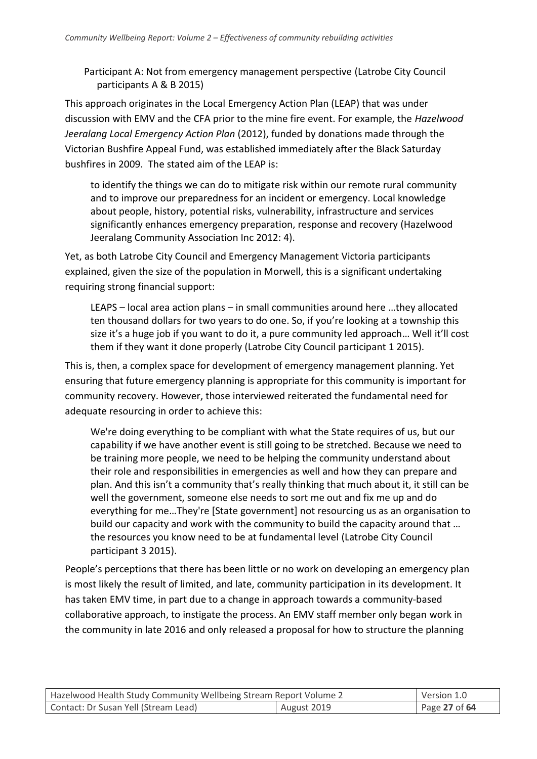Participant A: Not from emergency management perspective (Latrobe City Council participants A & B 2015)

This approach originates in the Local Emergency Action Plan (LEAP) that was under discussion with EMV and the CFA prior to the mine fire event. For example, the *Hazelwood Jeeralang Local Emergency Action Plan* (2012), funded by donations made through the Victorian Bushfire Appeal Fund, was established immediately after the Black Saturday bushfires in 2009. The stated aim of the LEAP is:

to identify the things we can do to mitigate risk within our remote rural community and to improve our preparedness for an incident or emergency. Local knowledge about people, history, potential risks, vulnerability, infrastructure and services significantly enhances emergency preparation, response and recovery (Hazelwood Jeeralang Community Association Inc 2012: 4).

Yet, as both Latrobe City Council and Emergency Management Victoria participants explained, given the size of the population in Morwell, this is a significant undertaking requiring strong financial support:

LEAPS – local area action plans – in small communities around here …they allocated ten thousand dollars for two years to do one. So, if you're looking at a township this size it's a huge job if you want to do it, a pure community led approach… Well it'll cost them if they want it done properly (Latrobe City Council participant 1 2015).

This is, then, a complex space for development of emergency management planning. Yet ensuring that future emergency planning is appropriate for this community is important for community recovery. However, those interviewed reiterated the fundamental need for adequate resourcing in order to achieve this:

We're doing everything to be compliant with what the State requires of us, but our capability if we have another event is still going to be stretched. Because we need to be training more people, we need to be helping the community understand about their role and responsibilities in emergencies as well and how they can prepare and plan. And this isn't a community that's really thinking that much about it, it still can be well the government, someone else needs to sort me out and fix me up and do everything for me…They're [State government] not resourcing us as an organisation to build our capacity and work with the community to build the capacity around that … the resources you know need to be at fundamental level (Latrobe City Council participant 3 2015).

People's perceptions that there has been little or no work on developing an emergency plan is most likely the result of limited, and late, community participation in its development. It has taken EMV time, in part due to a change in approach towards a community-based collaborative approach, to instigate the process. An EMV staff member only began work in the community in late 2016 and only released a proposal for how to structure the planning

| Hazelwood Health Study Community Wellbeing Stream Report Volume 2 |  | Version 1.0   |
|-------------------------------------------------------------------|--|---------------|
| Contact: Dr Susan Yell (Stream Lead)<br>August 2019               |  | Page 27 of 64 |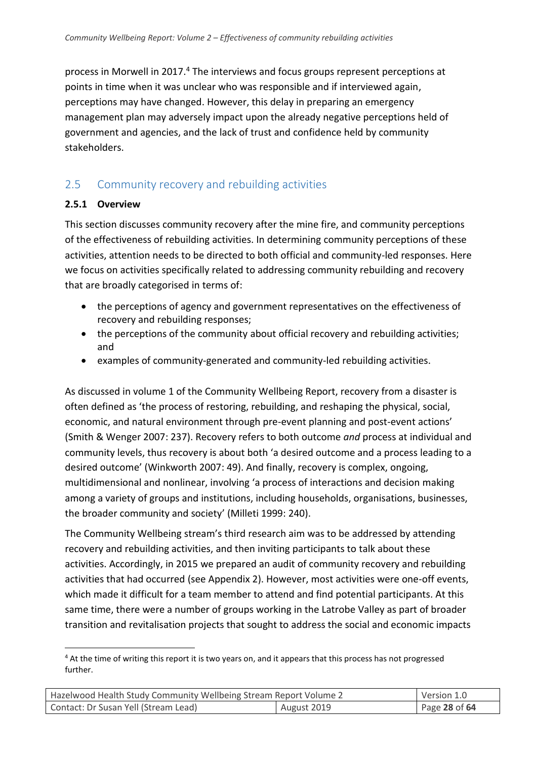process in Morwell in 2017.<sup>4</sup> The interviews and focus groups represent perceptions at points in time when it was unclear who was responsible and if interviewed again, perceptions may have changed. However, this delay in preparing an emergency management plan may adversely impact upon the already negative perceptions held of government and agencies, and the lack of trust and confidence held by community stakeholders.

## <span id="page-27-0"></span>2.5 Community recovery and rebuilding activities

#### **2.5.1 Overview**

-

This section discusses community recovery after the mine fire, and community perceptions of the effectiveness of rebuilding activities. In determining community perceptions of these activities, attention needs to be directed to both official and community-led responses. Here we focus on activities specifically related to addressing community rebuilding and recovery that are broadly categorised in terms of:

- the perceptions of agency and government representatives on the effectiveness of recovery and rebuilding responses;
- the perceptions of the community about official recovery and rebuilding activities; and
- examples of community-generated and community-led rebuilding activities.

As discussed in volume 1 of the Community Wellbeing Report, recovery from a disaster is often defined as 'the process of restoring, rebuilding, and reshaping the physical, social, economic, and natural environment through pre-event planning and post-event actions' (Smith & Wenger 2007: 237). Recovery refers to both outcome *and* process at individual and community levels, thus recovery is about both 'a desired outcome and a process leading to a desired outcome' (Winkworth 2007: 49). And finally, recovery is complex, ongoing, multidimensional and nonlinear, involving 'a process of interactions and decision making among a variety of groups and institutions, including households, organisations, businesses, the broader community and society' (Milleti 1999: 240).

The Community Wellbeing stream's third research aim was to be addressed by attending recovery and rebuilding activities, and then inviting participants to talk about these activities. Accordingly, in 2015 we prepared an audit of community recovery and rebuilding activities that had occurred (see Appendix 2). However, most activities were one-off events, which made it difficult for a team member to attend and find potential participants. At this same time, there were a number of groups working in the Latrobe Valley as part of broader transition and revitalisation projects that sought to address the social and economic impacts

<sup>&</sup>lt;sup>4</sup> At the time of writing this report it is two years on, and it appears that this process has not progressed further.

| Hazelwood Health Study Community Wellbeing Stream Report Volume 2 |  | Version 1.0     |
|-------------------------------------------------------------------|--|-----------------|
| Contact: Dr Susan Yell (Stream Lead)<br>August 2019               |  | Page 28 of $64$ |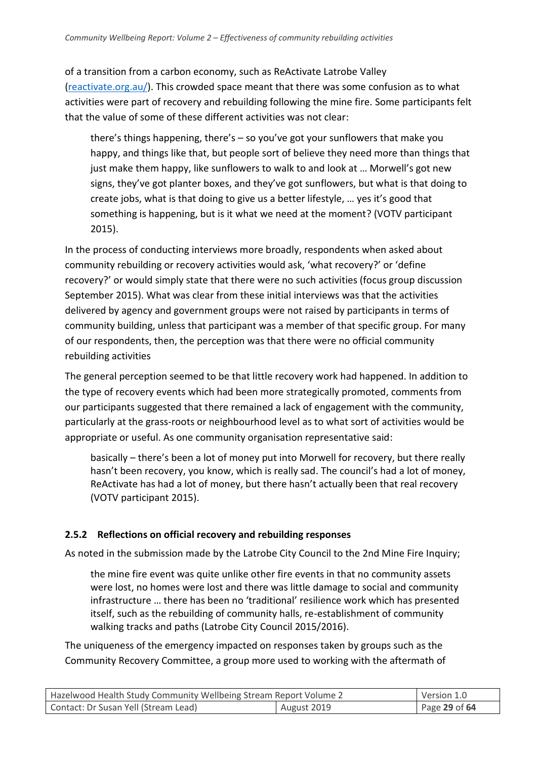of a transition from a carbon economy, such as ReActivate Latrobe Valley [\(reactivate.org.au/\)](http://reactivate.org.au/). This crowded space meant that there was some confusion as to what activities were part of recovery and rebuilding following the mine fire. Some participants felt that the value of some of these different activities was not clear:

there's things happening, there's – so you've got your sunflowers that make you happy, and things like that, but people sort of believe they need more than things that just make them happy, like sunflowers to walk to and look at … Morwell's got new signs, they've got planter boxes, and they've got sunflowers, but what is that doing to create jobs, what is that doing to give us a better lifestyle, … yes it's good that something is happening, but is it what we need at the moment? (VOTV participant 2015).

In the process of conducting interviews more broadly, respondents when asked about community rebuilding or recovery activities would ask, 'what recovery?' or 'define recovery?' or would simply state that there were no such activities (focus group discussion September 2015). What was clear from these initial interviews was that the activities delivered by agency and government groups were not raised by participants in terms of community building, unless that participant was a member of that specific group. For many of our respondents, then, the perception was that there were no official community rebuilding activities

The general perception seemed to be that little recovery work had happened. In addition to the type of recovery events which had been more strategically promoted, comments from our participants suggested that there remained a lack of engagement with the community, particularly at the grass-roots or neighbourhood level as to what sort of activities would be appropriate or useful. As one community organisation representative said:

basically – there's been a lot of money put into Morwell for recovery, but there really hasn't been recovery, you know, which is really sad. The council's had a lot of money, ReActivate has had a lot of money, but there hasn't actually been that real recovery (VOTV participant 2015).

## **2.5.2 Reflections on official recovery and rebuilding responses**

As noted in the submission made by the Latrobe City Council to the 2nd Mine Fire Inquiry;

the mine fire event was quite unlike other fire events in that no community assets were lost, no homes were lost and there was little damage to social and community infrastructure … there has been no 'traditional' resilience work which has presented itself, such as the rebuilding of community halls, re-establishment of community walking tracks and paths (Latrobe City Council 2015/2016).

The uniqueness of the emergency impacted on responses taken by groups such as the Community Recovery Committee, a group more used to working with the aftermath of

| Hazelwood Health Study Community Wellbeing Stream Report Volume 2 |  | Version 1.0   |
|-------------------------------------------------------------------|--|---------------|
| Contact: Dr Susan Yell (Stream Lead)<br>August 2019               |  | Page 29 of 64 |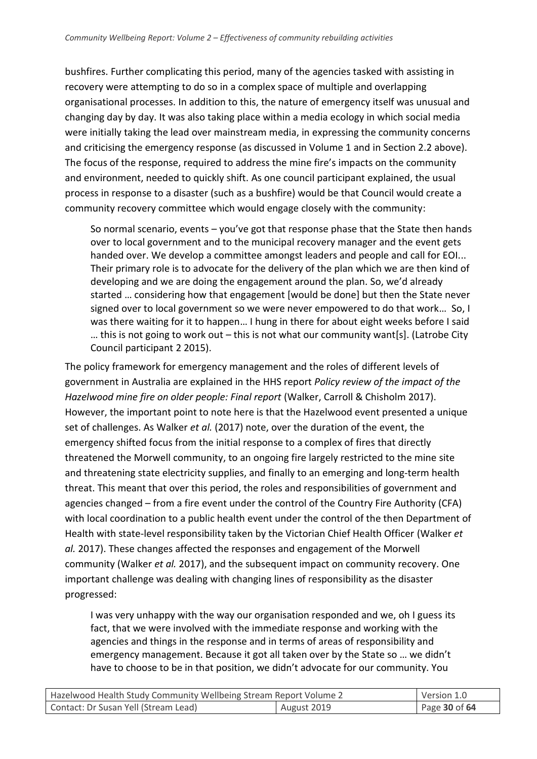bushfires. Further complicating this period, many of the agencies tasked with assisting in recovery were attempting to do so in a complex space of multiple and overlapping organisational processes. In addition to this, the nature of emergency itself was unusual and changing day by day. It was also taking place within a media ecology in which social media were initially taking the lead over mainstream media, in expressing the community concerns and criticising the emergency response (as discussed in Volume 1 and in Section 2.2 above). The focus of the response, required to address the mine fire's impacts on the community and environment, needed to quickly shift. As one council participant explained, the usual process in response to a disaster (such as a bushfire) would be that Council would create a community recovery committee which would engage closely with the community:

So normal scenario, events – you've got that response phase that the State then hands over to local government and to the municipal recovery manager and the event gets handed over. We develop a committee amongst leaders and people and call for EOI... Their primary role is to advocate for the delivery of the plan which we are then kind of developing and we are doing the engagement around the plan. So, we'd already started … considering how that engagement [would be done] but then the State never signed over to local government so we were never empowered to do that work… So, I was there waiting for it to happen… I hung in there for about eight weeks before I said … this is not going to work out – this is not what our community want[s]. (Latrobe City Council participant 2 2015).

The policy framework for emergency management and the roles of different levels of government in Australia are explained in the HHS report *Policy review of the impact of the Hazelwood mine fire on older people: Final report* (Walker, Carroll & Chisholm 2017). However, the important point to note here is that the Hazelwood event presented a unique set of challenges. As Walker *et al.* (2017) note, over the duration of the event, the emergency shifted focus from the initial response to a complex of fires that directly threatened the Morwell community, to an ongoing fire largely restricted to the mine site and threatening state electricity supplies, and finally to an emerging and long-term health threat. This meant that over this period, the roles and responsibilities of government and agencies changed – from a fire event under the control of the Country Fire Authority (CFA) with local coordination to a public health event under the control of the then Department of Health with state-level responsibility taken by the Victorian Chief Health Officer (Walker *et al.* 2017). These changes affected the responses and engagement of the Morwell community (Walker *et al.* 2017), and the subsequent impact on community recovery. One important challenge was dealing with changing lines of responsibility as the disaster progressed:

I was very unhappy with the way our organisation responded and we, oh I guess its fact, that we were involved with the immediate response and working with the agencies and things in the response and in terms of areas of responsibility and emergency management. Because it got all taken over by the State so … we didn't have to choose to be in that position, we didn't advocate for our community. You

| Hazelwood Health Study Community Wellbeing Stream Report Volume 2 |  | Version 1.0   |
|-------------------------------------------------------------------|--|---------------|
| Contact: Dr Susan Yell (Stream Lead)<br>August 2019               |  | Page 30 of 64 |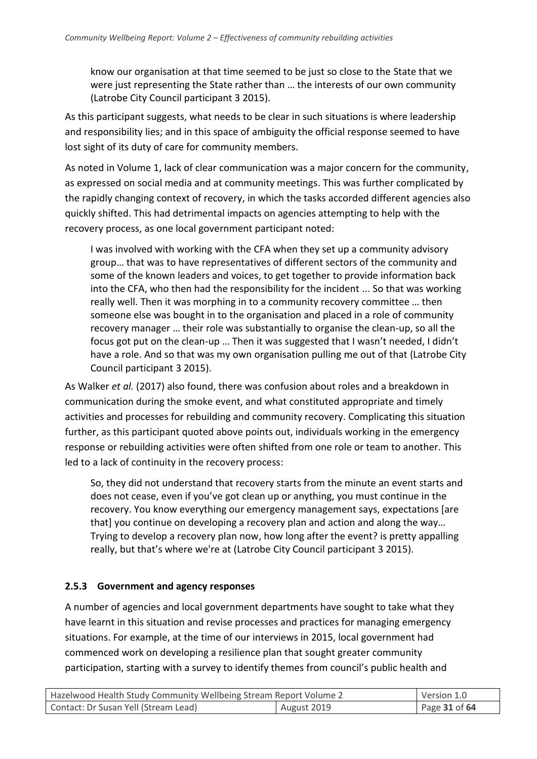know our organisation at that time seemed to be just so close to the State that we were just representing the State rather than … the interests of our own community (Latrobe City Council participant 3 2015).

As this participant suggests, what needs to be clear in such situations is where leadership and responsibility lies; and in this space of ambiguity the official response seemed to have lost sight of its duty of care for community members.

As noted in Volume 1, lack of clear communication was a major concern for the community, as expressed on social media and at community meetings. This was further complicated by the rapidly changing context of recovery, in which the tasks accorded different agencies also quickly shifted. This had detrimental impacts on agencies attempting to help with the recovery process, as one local government participant noted:

I was involved with working with the CFA when they set up a community advisory group… that was to have representatives of different sectors of the community and some of the known leaders and voices, to get together to provide information back into the CFA, who then had the responsibility for the incident ... So that was working really well. Then it was morphing in to a community recovery committee … then someone else was bought in to the organisation and placed in a role of community recovery manager … their role was substantially to organise the clean-up, so all the focus got put on the clean-up … Then it was suggested that I wasn't needed, I didn't have a role. And so that was my own organisation pulling me out of that (Latrobe City Council participant 3 2015).

As Walker *et al.* (2017) also found, there was confusion about roles and a breakdown in communication during the smoke event, and what constituted appropriate and timely activities and processes for rebuilding and community recovery. Complicating this situation further, as this participant quoted above points out, individuals working in the emergency response or rebuilding activities were often shifted from one role or team to another. This led to a lack of continuity in the recovery process:

So, they did not understand that recovery starts from the minute an event starts and does not cease, even if you've got clean up or anything, you must continue in the recovery. You know everything our emergency management says, expectations [are that] you continue on developing a recovery plan and action and along the way… Trying to develop a recovery plan now, how long after the event? is pretty appalling really, but that's where we're at (Latrobe City Council participant 3 2015).

#### **2.5.3 Government and agency responses**

A number of agencies and local government departments have sought to take what they have learnt in this situation and revise processes and practices for managing emergency situations. For example, at the time of our interviews in 2015, local government had commenced work on developing a resilience plan that sought greater community participation, starting with a survey to identify themes from council's public health and

| Hazelwood Health Study Community Wellbeing Stream Report Volume 2 |  | Version 1.0   |
|-------------------------------------------------------------------|--|---------------|
| Contact: Dr Susan Yell (Stream Lead)<br>August 2019               |  | Page 31 of 64 |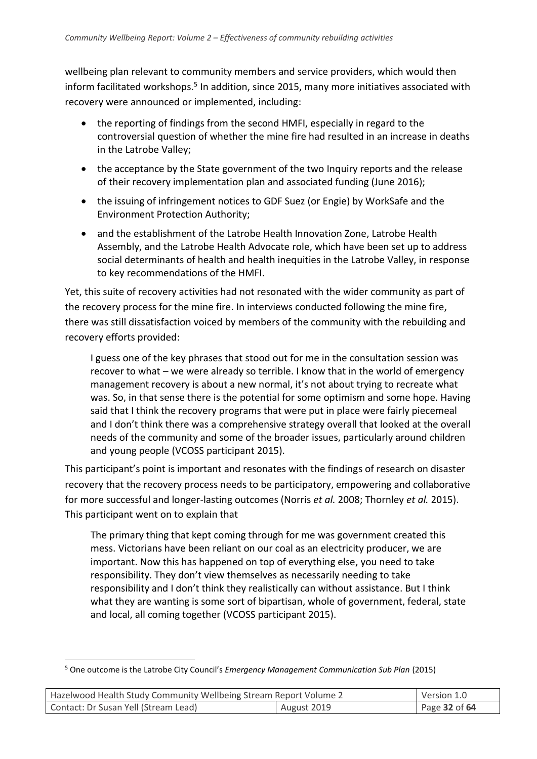wellbeing plan relevant to community members and service providers, which would then inform facilitated workshops.<sup>5</sup> In addition, since 2015, many more initiatives associated with recovery were announced or implemented, including:

- the reporting of findings from the second HMFI, especially in regard to the controversial question of whether the mine fire had resulted in an increase in deaths in the Latrobe Valley;
- the acceptance by the State government of the two Inquiry reports and the release of their recovery implementation plan and associated funding (June 2016);
- the issuing of infringement notices to GDF Suez (or Engie) by WorkSafe and the Environment Protection Authority;
- and the establishment of the Latrobe Health Innovation Zone, Latrobe Health Assembly, and the Latrobe Health Advocate role, which have been set up to address social determinants of health and health inequities in the Latrobe Valley, in response to key recommendations of the HMFI.

Yet, this suite of recovery activities had not resonated with the wider community as part of the recovery process for the mine fire. In interviews conducted following the mine fire, there was still dissatisfaction voiced by members of the community with the rebuilding and recovery efforts provided:

I guess one of the key phrases that stood out for me in the consultation session was recover to what – we were already so terrible. I know that in the world of emergency management recovery is about a new normal, it's not about trying to recreate what was. So, in that sense there is the potential for some optimism and some hope. Having said that I think the recovery programs that were put in place were fairly piecemeal and I don't think there was a comprehensive strategy overall that looked at the overall needs of the community and some of the broader issues, particularly around children and young people (VCOSS participant 2015).

This participant's point is important and resonates with the findings of research on disaster recovery that the recovery process needs to be participatory, empowering and collaborative for more successful and longer-lasting outcomes (Norris *et al.* 2008; Thornley *et al.* 2015). This participant went on to explain that

The primary thing that kept coming through for me was government created this mess. Victorians have been reliant on our coal as an electricity producer, we are important. Now this has happened on top of everything else, you need to take responsibility. They don't view themselves as necessarily needing to take responsibility and I don't think they realistically can without assistance. But I think what they are wanting is some sort of bipartisan, whole of government, federal, state and local, all coming together (VCOSS participant 2015).

<sup>-</sup><sup>5</sup> One outcome is the Latrobe City Council's *Emergency Management Communication Sub Plan* (2015)

| Hazelwood Health Study Community Wellbeing Stream Report Volume 2 |  | Version 1.0       |
|-------------------------------------------------------------------|--|-------------------|
| Contact: Dr Susan Yell (Stream Lead)<br>August 2019               |  | Page $32$ of $64$ |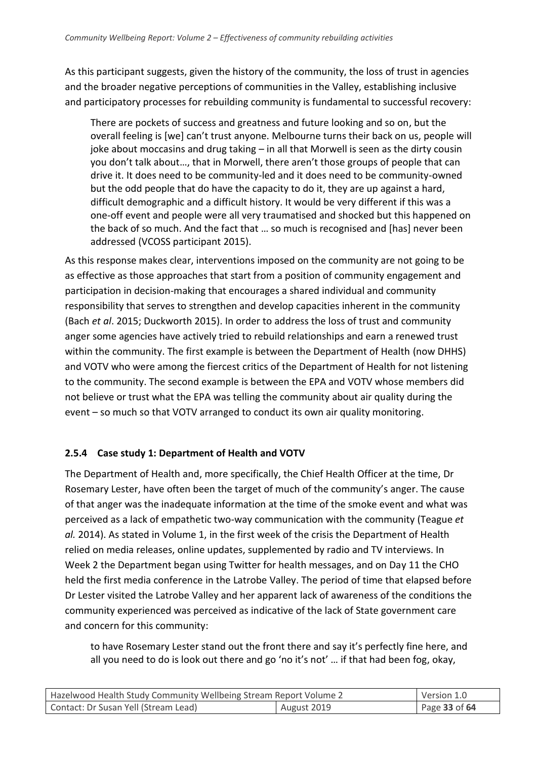As this participant suggests, given the history of the community, the loss of trust in agencies and the broader negative perceptions of communities in the Valley, establishing inclusive and participatory processes for rebuilding community is fundamental to successful recovery:

There are pockets of success and greatness and future looking and so on, but the overall feeling is [we] can't trust anyone. Melbourne turns their back on us, people will joke about moccasins and drug taking – in all that Morwell is seen as the dirty cousin you don't talk about…, that in Morwell, there aren't those groups of people that can drive it. It does need to be community-led and it does need to be community-owned but the odd people that do have the capacity to do it, they are up against a hard, difficult demographic and a difficult history. It would be very different if this was a one-off event and people were all very traumatised and shocked but this happened on the back of so much. And the fact that … so much is recognised and [has] never been addressed (VCOSS participant 2015).

As this response makes clear, interventions imposed on the community are not going to be as effective as those approaches that start from a position of community engagement and participation in decision-making that encourages a shared individual and community responsibility that serves to strengthen and develop capacities inherent in the community (Bach *et al*. 2015; Duckworth 2015). In order to address the loss of trust and community anger some agencies have actively tried to rebuild relationships and earn a renewed trust within the community. The first example is between the Department of Health (now DHHS) and VOTV who were among the fiercest critics of the Department of Health for not listening to the community. The second example is between the EPA and VOTV whose members did not believe or trust what the EPA was telling the community about air quality during the event – so much so that VOTV arranged to conduct its own air quality monitoring.

## **2.5.4 Case study 1: Department of Health and VOTV**

The Department of Health and, more specifically, the Chief Health Officer at the time, Dr Rosemary Lester, have often been the target of much of the community's anger. The cause of that anger was the inadequate information at the time of the smoke event and what was perceived as a lack of empathetic two-way communication with the community (Teague *et al.* 2014). As stated in Volume 1, in the first week of the crisis the Department of Health relied on media releases, online updates, supplemented by radio and TV interviews. In Week 2 the Department began using Twitter for health messages, and on Day 11 the CHO held the first media conference in the Latrobe Valley. The period of time that elapsed before Dr Lester visited the Latrobe Valley and her apparent lack of awareness of the conditions the community experienced was perceived as indicative of the lack of State government care and concern for this community:

to have Rosemary Lester stand out the front there and say it's perfectly fine here, and all you need to do is look out there and go 'no it's not' … if that had been fog, okay,

| Hazelwood Health Study Community Wellbeing Stream Report Volume 2 |  | Version 1.0   |
|-------------------------------------------------------------------|--|---------------|
| Contact: Dr Susan Yell (Stream Lead)<br>August 2019               |  | Page 33 of 64 |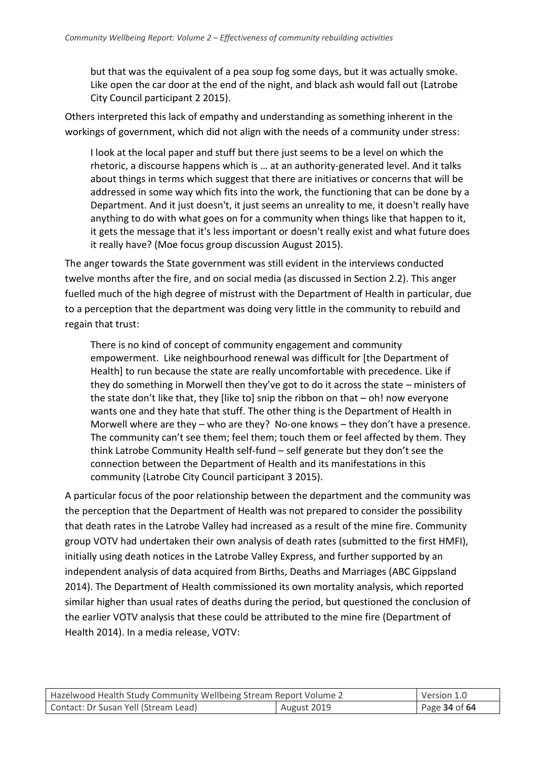but that was the equivalent of a pea soup fog some days, but it was actually smoke. Like open the car door at the end of the night, and black ash would fall out (Latrobe City Council participant 2 2015).

Others interpreted this lack of empathy and understanding as something inherent in the workings of government, which did not align with the needs of a community under stress:

I look at the local paper and stuff but there just seems to be a level on which the rhetoric, a discourse happens which is … at an authority-generated level. And it talks about things in terms which suggest that there are initiatives or concerns that will be addressed in some way which fits into the work, the functioning that can be done by a Department. And it just doesn't, it just seems an unreality to me, it doesn't really have anything to do with what goes on for a community when things like that happen to it, it gets the message that it's less important or doesn't really exist and what future does it really have? (Moe focus group discussion August 2015).

The anger towards the State government was still evident in the interviews conducted twelve months after the fire, and on social media (as discussed in Section 2.2). This anger fuelled much of the high degree of mistrust with the Department of Health in particular, due to a perception that the department was doing very little in the community to rebuild and regain that trust:

There is no kind of concept of community engagement and community empowerment. Like neighbourhood renewal was difficult for [the Department of Health] to run because the state are really uncomfortable with precedence. Like if they do something in Morwell then they've got to do it across the state – ministers of the state don't like that, they [like to] snip the ribbon on that – oh! now everyone wants one and they hate that stuff. The other thing is the Department of Health in Morwell where are they – who are they? No-one knows – they don't have a presence. The community can't see them; feel them; touch them or feel affected by them. They think Latrobe Community Health self-fund – self generate but they don't see the connection between the Department of Health and its manifestations in this community (Latrobe City Council participant 3 2015).

A particular focus of the poor relationship between the department and the community was the perception that the Department of Health was not prepared to consider the possibility that death rates in the Latrobe Valley had increased as a result of the mine fire. Community group VOTV had undertaken their own analysis of death rates (submitted to the first HMFI), initially using death notices in the Latrobe Valley Express, and further supported by an independent analysis of data acquired from Births, Deaths and Marriages (ABC Gippsland 2014). The Department of Health commissioned its own mortality analysis, which reported similar higher than usual rates of deaths during the period, but questioned the conclusion of the earlier VOTV analysis that these could be attributed to the mine fire (Department of Health 2014). In a media release, VOTV:

| Hazelwood Health Study Community Wellbeing Stream Report Volume 2 |             | Version 1.0   |
|-------------------------------------------------------------------|-------------|---------------|
| Contact: Dr Susan Yell (Stream Lead)                              | August 2019 | Page 34 of 64 |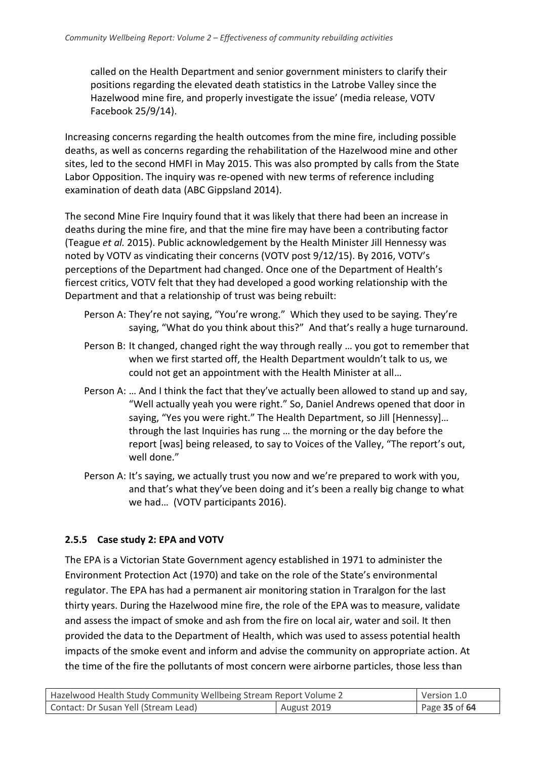called on the Health Department and senior government ministers to clarify their positions regarding the elevated death statistics in the Latrobe Valley since the Hazelwood mine fire, and properly investigate the issue' (media release, VOTV Facebook 25/9/14).

Increasing concerns regarding the health outcomes from the mine fire, including possible deaths, as well as concerns regarding the rehabilitation of the Hazelwood mine and other sites, led to the second HMFI in May 2015. This was also prompted by calls from the State Labor Opposition. The inquiry was re-opened with new terms of reference including examination of death data (ABC Gippsland 2014).

The second Mine Fire Inquiry found that it was likely that there had been an increase in deaths during the mine fire, and that the mine fire may have been a contributing factor (Teague *et al.* 2015). Public acknowledgement by the Health Minister Jill Hennessy was noted by VOTV as vindicating their concerns (VOTV post 9/12/15). By 2016, VOTV's perceptions of the Department had changed. Once one of the Department of Health's fiercest critics, VOTV felt that they had developed a good working relationship with the Department and that a relationship of trust was being rebuilt:

- Person A: They're not saying, "You're wrong." Which they used to be saying. They're saying, "What do you think about this?" And that's really a huge turnaround.
- Person B: It changed, changed right the way through really … you got to remember that when we first started off, the Health Department wouldn't talk to us, we could not get an appointment with the Health Minister at all…
- Person A: … And I think the fact that they've actually been allowed to stand up and say, "Well actually yeah you were right." So, Daniel Andrews opened that door in saying, "Yes you were right." The Health Department, so Jill [Hennessy]… through the last Inquiries has rung … the morning or the day before the report [was] being released, to say to Voices of the Valley, "The report's out, well done."
- Person A: It's saying, we actually trust you now and we're prepared to work with you, and that's what they've been doing and it's been a really big change to what we had… (VOTV participants 2016).

## **2.5.5 Case study 2: EPA and VOTV**

The EPA is a Victorian State Government agency established in 1971 to administer the Environment Protection Act (1970) and take on the role of the State's environmental regulator. The EPA has had a permanent air monitoring station in Traralgon for the last thirty years. During the Hazelwood mine fire, the role of the EPA was to measure, validate and assess the impact of smoke and ash from the fire on local air, water and soil. It then provided the data to the Department of Health, which was used to assess potential health impacts of the smoke event and inform and advise the community on appropriate action. At the time of the fire the pollutants of most concern were airborne particles, those less than

| Hazelwood Health Study Community Wellbeing Stream Report Volume 2 |             | Version 1.0   |
|-------------------------------------------------------------------|-------------|---------------|
| Contact: Dr Susan Yell (Stream Lead)                              | August 2019 | Page 35 of 64 |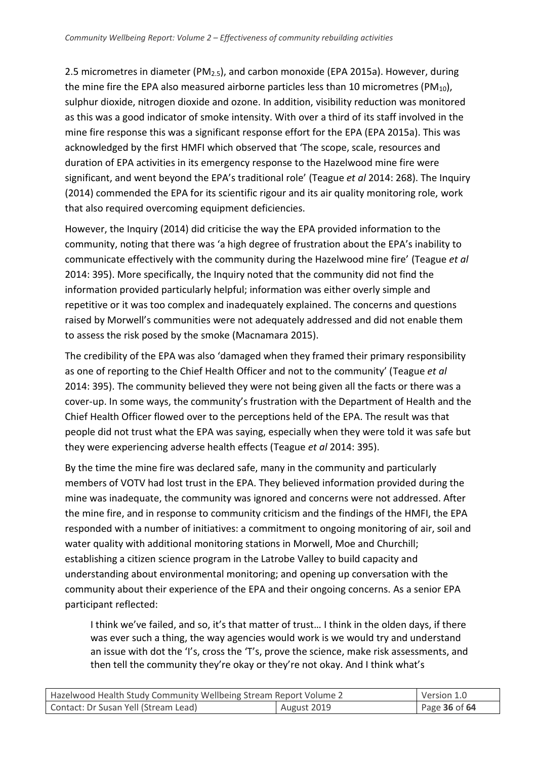2.5 micrometres in diameter (PM2.5), and carbon monoxide (EPA 2015a). However, during the mine fire the EPA also measured airborne particles less than 10 micrometres ( $PM_{10}$ ), sulphur dioxide, nitrogen dioxide and ozone. In addition, visibility reduction was monitored as this was a good indicator of smoke intensity. With over a third of its staff involved in the mine fire response this was a significant response effort for the EPA (EPA 2015a). This was acknowledged by the first HMFI which observed that 'The scope, scale, resources and duration of EPA activities in its emergency response to the Hazelwood mine fire were significant, and went beyond the EPA's traditional role' (Teague *et al* 2014: 268). The Inquiry (2014) commended the EPA for its scientific rigour and its air quality monitoring role, work that also required overcoming equipment deficiencies.

However, the Inquiry (2014) did criticise the way the EPA provided information to the community, noting that there was 'a high degree of frustration about the EPA's inability to communicate effectively with the community during the Hazelwood mine fire' (Teague *et al* 2014: 395). More specifically, the Inquiry noted that the community did not find the information provided particularly helpful; information was either overly simple and repetitive or it was too complex and inadequately explained. The concerns and questions raised by Morwell's communities were not adequately addressed and did not enable them to assess the risk posed by the smoke (Macnamara 2015).

The credibility of the EPA was also 'damaged when they framed their primary responsibility as one of reporting to the Chief Health Officer and not to the community' (Teague *et al* 2014: 395). The community believed they were not being given all the facts or there was a cover-up. In some ways, the community's frustration with the Department of Health and the Chief Health Officer flowed over to the perceptions held of the EPA. The result was that people did not trust what the EPA was saying, especially when they were told it was safe but they were experiencing adverse health effects (Teague *et al* 2014: 395).

By the time the mine fire was declared safe, many in the community and particularly members of VOTV had lost trust in the EPA. They believed information provided during the mine was inadequate, the community was ignored and concerns were not addressed. After the mine fire, and in response to community criticism and the findings of the HMFI, the EPA responded with a number of initiatives: a commitment to ongoing monitoring of air, soil and water quality with additional monitoring stations in Morwell, Moe and Churchill; establishing a citizen science program in the Latrobe Valley to build capacity and understanding about environmental monitoring; and opening up conversation with the community about their experience of the EPA and their ongoing concerns. As a senior EPA participant reflected:

I think we've failed, and so, it's that matter of trust… I think in the olden days, if there was ever such a thing, the way agencies would work is we would try and understand an issue with dot the 'I's, cross the 'T's, prove the science, make risk assessments, and then tell the community they're okay or they're not okay. And I think what's

| Hazelwood Health Study Community Wellbeing Stream Report Volume 2 |             | Version 1.0   |
|-------------------------------------------------------------------|-------------|---------------|
| Contact: Dr Susan Yell (Stream Lead)                              | August 2019 | Page 36 of 64 |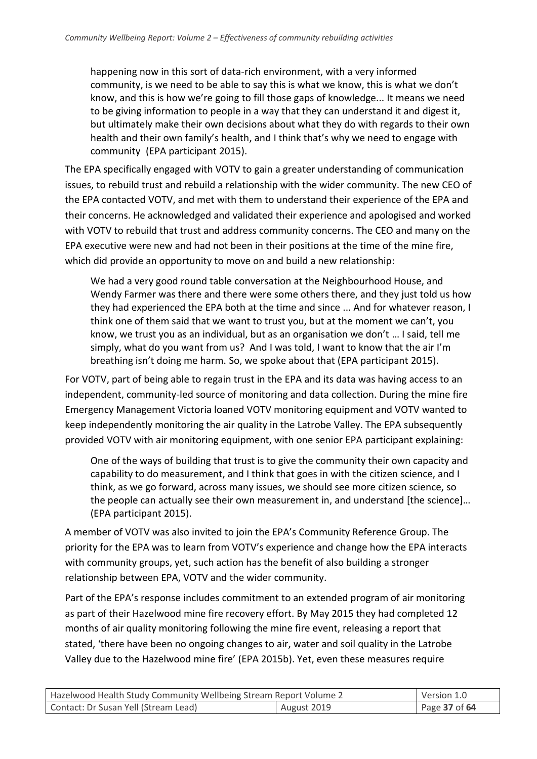happening now in this sort of data-rich environment, with a very informed community, is we need to be able to say this is what we know, this is what we don't know, and this is how we're going to fill those gaps of knowledge... It means we need to be giving information to people in a way that they can understand it and digest it, but ultimately make their own decisions about what they do with regards to their own health and their own family's health, and I think that's why we need to engage with community (EPA participant 2015).

The EPA specifically engaged with VOTV to gain a greater understanding of communication issues, to rebuild trust and rebuild a relationship with the wider community. The new CEO of the EPA contacted VOTV, and met with them to understand their experience of the EPA and their concerns. He acknowledged and validated their experience and apologised and worked with VOTV to rebuild that trust and address community concerns. The CEO and many on the EPA executive were new and had not been in their positions at the time of the mine fire, which did provide an opportunity to move on and build a new relationship:

We had a very good round table conversation at the Neighbourhood House, and Wendy Farmer was there and there were some others there, and they just told us how they had experienced the EPA both at the time and since ... And for whatever reason, I think one of them said that we want to trust you, but at the moment we can't, you know, we trust you as an individual, but as an organisation we don't … I said, tell me simply, what do you want from us? And I was told, I want to know that the air I'm breathing isn't doing me harm. So, we spoke about that (EPA participant 2015).

For VOTV, part of being able to regain trust in the EPA and its data was having access to an independent, community-led source of monitoring and data collection. During the mine fire Emergency Management Victoria loaned VOTV monitoring equipment and VOTV wanted to keep independently monitoring the air quality in the Latrobe Valley. The EPA subsequently provided VOTV with air monitoring equipment, with one senior EPA participant explaining:

One of the ways of building that trust is to give the community their own capacity and capability to do measurement, and I think that goes in with the citizen science, and I think, as we go forward, across many issues, we should see more citizen science, so the people can actually see their own measurement in, and understand [the science]… (EPA participant 2015).

A member of VOTV was also invited to join the EPA's Community Reference Group. The priority for the EPA was to learn from VOTV's experience and change how the EPA interacts with community groups, yet, such action has the benefit of also building a stronger relationship between EPA, VOTV and the wider community.

Part of the EPA's response includes commitment to an extended program of air monitoring as part of their Hazelwood mine fire recovery effort. By May 2015 they had completed 12 months of air quality monitoring following the mine fire event, releasing a report that stated, 'there have been no ongoing changes to air, water and soil quality in the Latrobe Valley due to the Hazelwood mine fire' (EPA 2015b). Yet, even these measures require

| Hazelwood Health Study Community Wellbeing Stream Report Volume 2 |             | Version 1.0   |
|-------------------------------------------------------------------|-------------|---------------|
| Contact: Dr Susan Yell (Stream Lead)                              | August 2019 | Page 37 of 64 |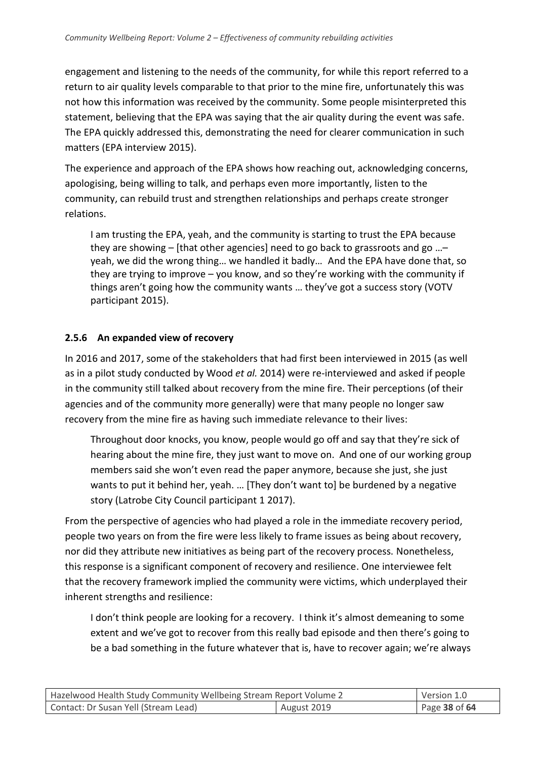engagement and listening to the needs of the community, for while this report referred to a return to air quality levels comparable to that prior to the mine fire, unfortunately this was not how this information was received by the community. Some people misinterpreted this statement, believing that the EPA was saying that the air quality during the event was safe. The EPA quickly addressed this, demonstrating the need for clearer communication in such matters (EPA interview 2015).

The experience and approach of the EPA shows how reaching out, acknowledging concerns, apologising, being willing to talk, and perhaps even more importantly, listen to the community, can rebuild trust and strengthen relationships and perhaps create stronger relations.

I am trusting the EPA, yeah, and the community is starting to trust the EPA because they are showing – [that other agencies] need to go back to grassroots and go …– yeah, we did the wrong thing… we handled it badly… And the EPA have done that, so they are trying to improve – you know, and so they're working with the community if things aren't going how the community wants … they've got a success story (VOTV participant 2015).

#### **2.5.6 An expanded view of recovery**

In 2016 and 2017, some of the stakeholders that had first been interviewed in 2015 (as well as in a pilot study conducted by Wood *et al.* 2014) were re-interviewed and asked if people in the community still talked about recovery from the mine fire. Their perceptions (of their agencies and of the community more generally) were that many people no longer saw recovery from the mine fire as having such immediate relevance to their lives:

Throughout door knocks, you know, people would go off and say that they're sick of hearing about the mine fire, they just want to move on. And one of our working group members said she won't even read the paper anymore, because she just, she just wants to put it behind her, yeah. … [They don't want to] be burdened by a negative story (Latrobe City Council participant 1 2017).

From the perspective of agencies who had played a role in the immediate recovery period, people two years on from the fire were less likely to frame issues as being about recovery, nor did they attribute new initiatives as being part of the recovery process. Nonetheless, this response is a significant component of recovery and resilience. One interviewee felt that the recovery framework implied the community were victims, which underplayed their inherent strengths and resilience:

I don't think people are looking for a recovery. I think it's almost demeaning to some extent and we've got to recover from this really bad episode and then there's going to be a bad something in the future whatever that is, have to recover again; we're always

| Hazelwood Health Study Community Wellbeing Stream Report Volume 2 |             | Version 1.0   |
|-------------------------------------------------------------------|-------------|---------------|
| Contact: Dr Susan Yell (Stream Lead)                              | August 2019 | Page 38 of 64 |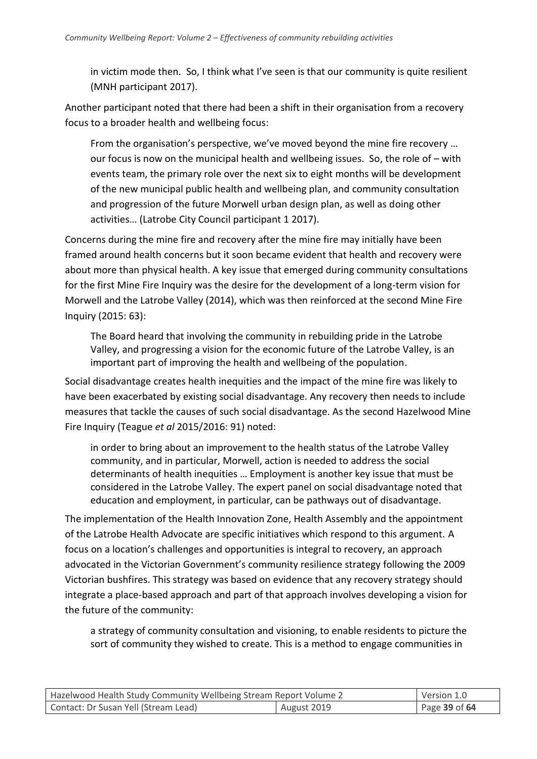in victim mode then. So, I think what I've seen is that our community is quite resilient (MNH participant 2017).

Another participant noted that there had been a shift in their organisation from a recovery focus to a broader health and wellbeing focus:

From the organisation's perspective, we've moved beyond the mine fire recovery … our focus is now on the municipal health and wellbeing issues. So, the role of – with events team, the primary role over the next six to eight months will be development of the new municipal public health and wellbeing plan, and community consultation and progression of the future Morwell urban design plan, as well as doing other activities… (Latrobe City Council participant 1 2017).

Concerns during the mine fire and recovery after the mine fire may initially have been framed around health concerns but it soon became evident that health and recovery were about more than physical health. A key issue that emerged during community consultations for the first Mine Fire Inquiry was the desire for the development of a long-term vision for Morwell and the Latrobe Valley (2014), which was then reinforced at the second Mine Fire Inquiry (2015: 63):

The Board heard that involving the community in rebuilding pride in the Latrobe Valley, and progressing a vision for the economic future of the Latrobe Valley, is an important part of improving the health and wellbeing of the population.

Social disadvantage creates health inequities and the impact of the mine fire was likely to have been exacerbated by existing social disadvantage. Any recovery then needs to include measures that tackle the causes of such social disadvantage. As the second Hazelwood Mine Fire Inquiry (Teague *et al* 2015/2016: 91) noted:

in order to bring about an improvement to the health status of the Latrobe Valley community, and in particular, Morwell, action is needed to address the social determinants of health inequities … Employment is another key issue that must be considered in the Latrobe Valley. The expert panel on social disadvantage noted that education and employment, in particular, can be pathways out of disadvantage.

The implementation of the Health Innovation Zone, Health Assembly and the appointment of the Latrobe Health Advocate are specific initiatives which respond to this argument. A focus on a location's challenges and opportunities is integral to recovery, an approach advocated in the Victorian Government's community resilience strategy following the 2009 Victorian bushfires. This strategy was based on evidence that any recovery strategy should integrate a place-based approach and part of that approach involves developing a vision for the future of the community:

a strategy of community consultation and visioning, to enable residents to picture the sort of community they wished to create. This is a method to engage communities in

| Hazelwood Health Study Community Wellbeing Stream Report Volume 2 |             | Version 1.0   |
|-------------------------------------------------------------------|-------------|---------------|
| Contact: Dr Susan Yell (Stream Lead)                              | August 2019 | Page 39 of 64 |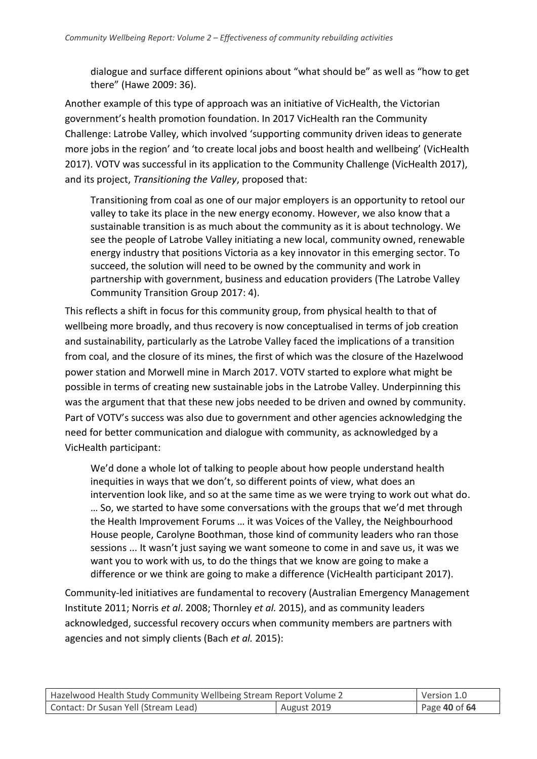dialogue and surface different opinions about "what should be" as well as "how to get there" (Hawe 2009: 36).

Another example of this type of approach was an initiative of VicHealth, the Victorian government's health promotion foundation. In 2017 VicHealth ran the Community Challenge: Latrobe Valley, which involved 'supporting community driven ideas to generate more jobs in the region' and 'to create local jobs and boost health and wellbeing' (VicHealth 2017). VOTV was successful in its application to the Community Challenge (VicHealth 2017), and its project, *Transitioning the Valley*, proposed that:

Transitioning from coal as one of our major employers is an opportunity to retool our valley to take its place in the new energy economy. However, we also know that a sustainable transition is as much about the community as it is about technology. We see the people of Latrobe Valley initiating a new local, community owned, renewable energy industry that positions Victoria as a key innovator in this emerging sector. To succeed, the solution will need to be owned by the community and work in partnership with government, business and education providers (The Latrobe Valley Community Transition Group 2017: 4).

This reflects a shift in focus for this community group, from physical health to that of wellbeing more broadly, and thus recovery is now conceptualised in terms of job creation and sustainability, particularly as the Latrobe Valley faced the implications of a transition from coal, and the closure of its mines, the first of which was the closure of the Hazelwood power station and Morwell mine in March 2017. VOTV started to explore what might be possible in terms of creating new sustainable jobs in the Latrobe Valley. Underpinning this was the argument that that these new jobs needed to be driven and owned by community. Part of VOTV's success was also due to government and other agencies acknowledging the need for better communication and dialogue with community, as acknowledged by a VicHealth participant:

We'd done a whole lot of talking to people about how people understand health inequities in ways that we don't, so different points of view, what does an intervention look like, and so at the same time as we were trying to work out what do. … So, we started to have some conversations with the groups that we'd met through the Health Improvement Forums … it was Voices of the Valley, the Neighbourhood House people, Carolyne Boothman, those kind of community leaders who ran those sessions ... It wasn't just saying we want someone to come in and save us, it was we want you to work with us, to do the things that we know are going to make a difference or we think are going to make a difference (VicHealth participant 2017).

Community-led initiatives are fundamental to recovery (Australian Emergency Management Institute 2011; Norris *et al*. 2008; Thornley *et al.* 2015), and as community leaders acknowledged, successful recovery occurs when community members are partners with agencies and not simply clients (Bach *et al.* 2015):

| Hazelwood Health Study Community Wellbeing Stream Report Volume 2 |             | Version 1.0     |
|-------------------------------------------------------------------|-------------|-----------------|
| Contact: Dr Susan Yell (Stream Lead)                              | August 2019 | Page 40 of $64$ |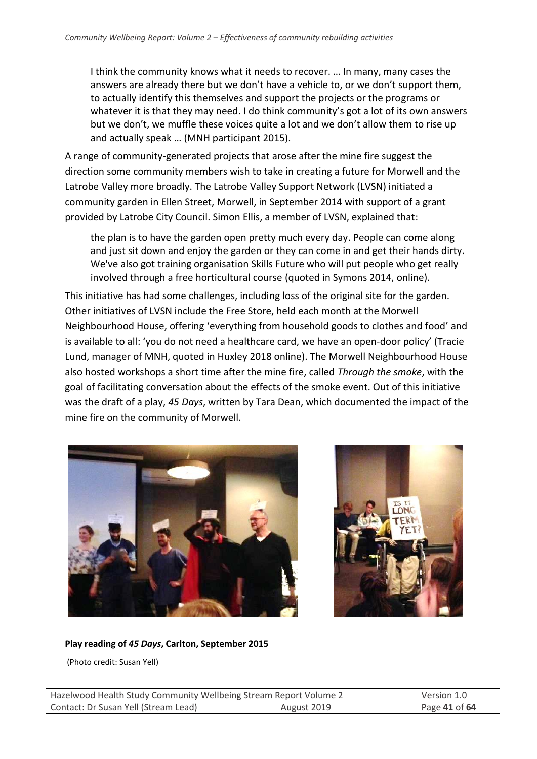I think the community knows what it needs to recover. … In many, many cases the answers are already there but we don't have a vehicle to, or we don't support them, to actually identify this themselves and support the projects or the programs or whatever it is that they may need. I do think community's got a lot of its own answers but we don't, we muffle these voices quite a lot and we don't allow them to rise up and actually speak … (MNH participant 2015).

A range of community-generated projects that arose after the mine fire suggest the direction some community members wish to take in creating a future for Morwell and the Latrobe Valley more broadly. The Latrobe Valley Support Network (LVSN) initiated a community garden in Ellen Street, Morwell, in September 2014 with support of a grant provided by Latrobe City Council. Simon Ellis, a member of LVSN, explained that:

the plan is to have the garden open pretty much every day. People can come along and just sit down and enjoy the garden or they can come in and get their hands dirty. We've also got training organisation Skills Future who will put people who get really involved through a free horticultural course (quoted in Symons 2014, online).

This initiative has had some challenges, including loss of the original site for the garden. Other initiatives of LVSN include the Free Store, held each month at the Morwell Neighbourhood House, offering 'everything from household goods to clothes and food' and is available to all: 'you do not need a healthcare card, we have an open-door policy' (Tracie Lund, manager of MNH, quoted in Huxley 2018 online). The Morwell Neighbourhood House also hosted workshops a short time after the mine fire, called *Through the smoke*, with the goal of facilitating conversation about the effects of the smoke event. Out of this initiative was the draft of a play, *45 Days*, written by Tara Dean, which documented the impact of the mine fire on the community of Morwell.





#### **Play reading of** *45 Days***, Carlton, September 2015**

(Photo credit: Susan Yell)

| Hazelwood Health Study Community Wellbeing Stream Report Volume 2 |  | Version 1.0   |
|-------------------------------------------------------------------|--|---------------|
| Contact: Dr Susan Yell (Stream Lead)<br>August 2019               |  | Page 41 of 64 |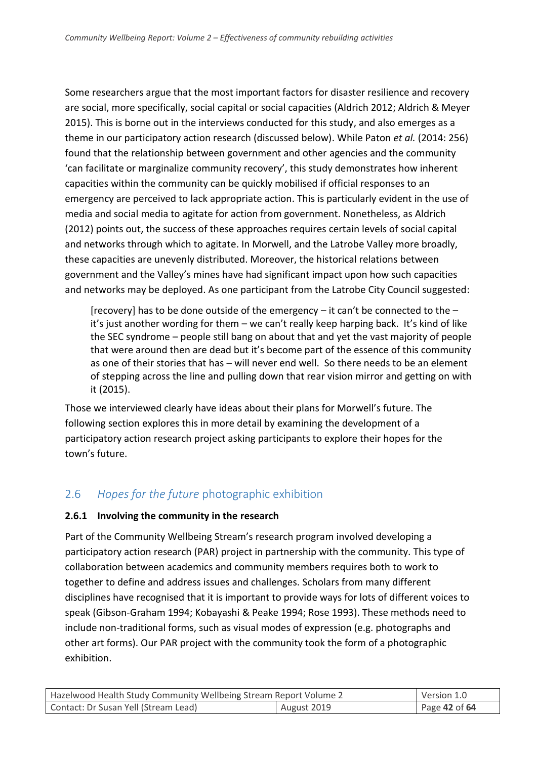Some researchers argue that the most important factors for disaster resilience and recovery are social, more specifically, social capital or social capacities (Aldrich 2012; Aldrich & Meyer 2015). This is borne out in the interviews conducted for this study, and also emerges as a theme in our participatory action research (discussed below). While Paton *et al.* (2014: 256) found that the relationship between government and other agencies and the community 'can facilitate or marginalize community recovery', this study demonstrates how inherent capacities within the community can be quickly mobilised if official responses to an emergency are perceived to lack appropriate action. This is particularly evident in the use of media and social media to agitate for action from government. Nonetheless, as Aldrich (2012) points out, the success of these approaches requires certain levels of social capital and networks through which to agitate. In Morwell, and the Latrobe Valley more broadly, these capacities are unevenly distributed. Moreover, the historical relations between government and the Valley's mines have had significant impact upon how such capacities and networks may be deployed. As one participant from the Latrobe City Council suggested:

[recovery] has to be done outside of the emergency  $-$  it can't be connected to the  $$ it's just another wording for them – we can't really keep harping back. It's kind of like the SEC syndrome – people still bang on about that and yet the vast majority of people that were around then are dead but it's become part of the essence of this community as one of their stories that has – will never end well. So there needs to be an element of stepping across the line and pulling down that rear vision mirror and getting on with it (2015).

Those we interviewed clearly have ideas about their plans for Morwell's future. The following section explores this in more detail by examining the development of a participatory action research project asking participants to explore their hopes for the town's future.

## <span id="page-41-0"></span>2.6 *Hopes for the future* photographic exhibition

#### **2.6.1 Involving the community in the research**

Part of the Community Wellbeing Stream's research program involved developing a participatory action research (PAR) project in partnership with the community. This type of collaboration between academics and community members requires both to work to together to define and address issues and challenges. Scholars from many different disciplines have recognised that it is important to provide ways for lots of different voices to speak (Gibson-Graham 1994; Kobayashi & Peake 1994; Rose 1993). These methods need to include non-traditional forms, such as visual modes of expression (e.g. photographs and other art forms). Our PAR project with the community took the form of a photographic exhibition.

| Hazelwood Health Study Community Wellbeing Stream Report Volume 2 |  | Version 1.0   |
|-------------------------------------------------------------------|--|---------------|
| Contact: Dr Susan Yell (Stream Lead)<br>August 2019               |  | Page 42 of 64 |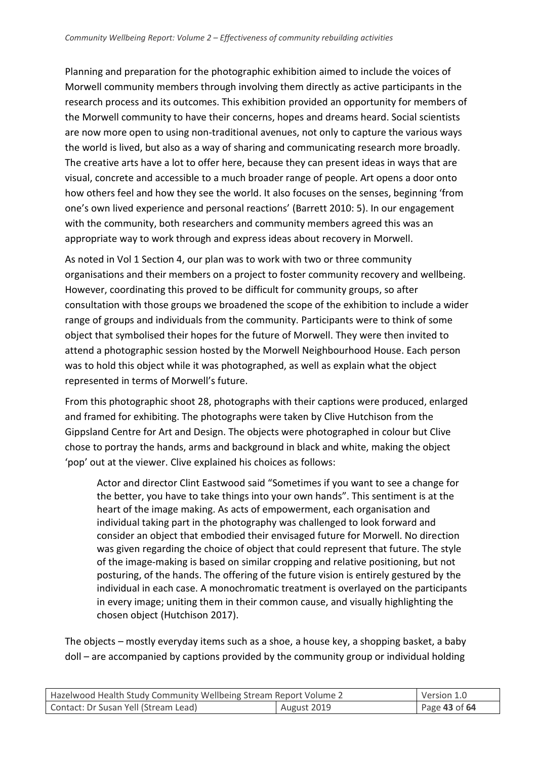Planning and preparation for the photographic exhibition aimed to include the voices of Morwell community members through involving them directly as active participants in the research process and its outcomes. This exhibition provided an opportunity for members of the Morwell community to have their concerns, hopes and dreams heard. Social scientists are now more open to using non-traditional avenues, not only to capture the various ways the world is lived, but also as a way of sharing and communicating research more broadly. The creative arts have a lot to offer here, because they can present ideas in ways that are visual, concrete and accessible to a much broader range of people. Art opens a door onto how others feel and how they see the world. It also focuses on the senses, beginning 'from one's own lived experience and personal reactions' (Barrett 2010: 5). In our engagement with the community, both researchers and community members agreed this was an appropriate way to work through and express ideas about recovery in Morwell.

As noted in Vol 1 Section 4, our plan was to work with two or three community organisations and their members on a project to foster community recovery and wellbeing. However, coordinating this proved to be difficult for community groups, so after consultation with those groups we broadened the scope of the exhibition to include a wider range of groups and individuals from the community. Participants were to think of some object that symbolised their hopes for the future of Morwell. They were then invited to attend a photographic session hosted by the Morwell Neighbourhood House. Each person was to hold this object while it was photographed, as well as explain what the object represented in terms of Morwell's future.

From this photographic shoot 28, photographs with their captions were produced, enlarged and framed for exhibiting. The photographs were taken by Clive Hutchison from the Gippsland Centre for Art and Design. The objects were photographed in colour but Clive chose to portray the hands, arms and background in black and white, making the object 'pop' out at the viewer. Clive explained his choices as follows:

Actor and director Clint Eastwood said "Sometimes if you want to see a change for the better, you have to take things into your own hands". This sentiment is at the heart of the image making. As acts of empowerment, each organisation and individual taking part in the photography was challenged to look forward and consider an object that embodied their envisaged future for Morwell. No direction was given regarding the choice of object that could represent that future. The style of the image-making is based on similar cropping and relative positioning, but not posturing, of the hands. The offering of the future vision is entirely gestured by the individual in each case. A monochromatic treatment is overlayed on the participants in every image; uniting them in their common cause, and visually highlighting the chosen object (Hutchison 2017).

The objects – mostly everyday items such as a shoe, a house key, a shopping basket, a baby doll – are accompanied by captions provided by the community group or individual holding

| Hazelwood Health Study Community Wellbeing Stream Report Volume 2 |             | Version 1.0   |
|-------------------------------------------------------------------|-------------|---------------|
| Contact: Dr Susan Yell (Stream Lead)                              | August 2019 | Page 43 of 64 |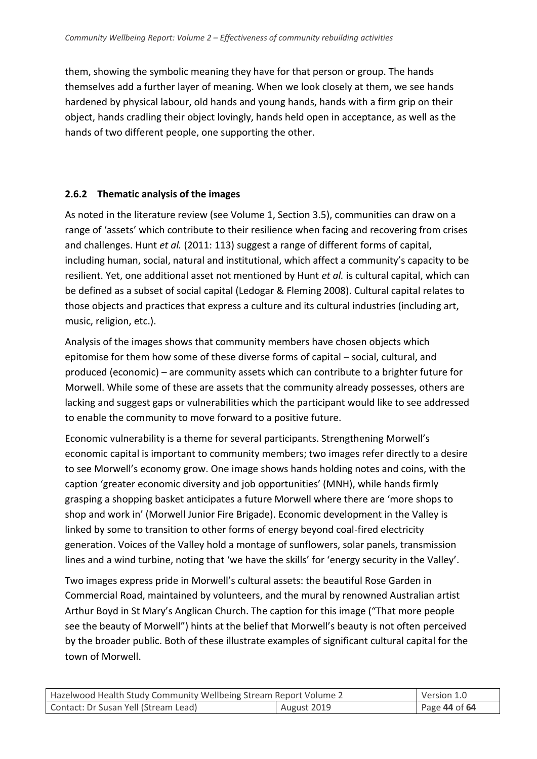them, showing the symbolic meaning they have for that person or group. The hands themselves add a further layer of meaning. When we look closely at them, we see hands hardened by physical labour, old hands and young hands, hands with a firm grip on their object, hands cradling their object lovingly, hands held open in acceptance, as well as the hands of two different people, one supporting the other.

## **2.6.2 Thematic analysis of the images**

As noted in the literature review (see Volume 1, Section 3.5), communities can draw on a range of 'assets' which contribute to their resilience when facing and recovering from crises and challenges. Hunt *et al.* (2011: 113) suggest a range of different forms of capital, including human, social, natural and institutional, which affect a community's capacity to be resilient. Yet, one additional asset not mentioned by Hunt *et al.* is cultural capital, which can be defined as a subset of social capital (Ledogar & Fleming 2008). Cultural capital relates to those objects and practices that express a culture and its cultural industries (including art, music, religion, etc.).

Analysis of the images shows that community members have chosen objects which epitomise for them how some of these diverse forms of capital – social, cultural, and produced (economic) – are community assets which can contribute to a brighter future for Morwell. While some of these are assets that the community already possesses, others are lacking and suggest gaps or vulnerabilities which the participant would like to see addressed to enable the community to move forward to a positive future.

Economic vulnerability is a theme for several participants. Strengthening Morwell's economic capital is important to community members; two images refer directly to a desire to see Morwell's economy grow. One image shows hands holding notes and coins, with the caption 'greater economic diversity and job opportunities' (MNH), while hands firmly grasping a shopping basket anticipates a future Morwell where there are 'more shops to shop and work in' (Morwell Junior Fire Brigade). Economic development in the Valley is linked by some to transition to other forms of energy beyond coal-fired electricity generation. Voices of the Valley hold a montage of sunflowers, solar panels, transmission lines and a wind turbine, noting that 'we have the skills' for 'energy security in the Valley'.

Two images express pride in Morwell's cultural assets: the beautiful Rose Garden in Commercial Road, maintained by volunteers, and the mural by renowned Australian artist Arthur Boyd in St Mary's Anglican Church. The caption for this image ("That more people see the beauty of Morwell") hints at the belief that Morwell's beauty is not often perceived by the broader public. Both of these illustrate examples of significant cultural capital for the town of Morwell.

| Hazelwood Health Study Community Wellbeing Stream Report Volume 2 |             | Version 1.0       |
|-------------------------------------------------------------------|-------------|-------------------|
| Contact: Dr Susan Yell (Stream Lead)                              | August 2019 | Page $44$ of $64$ |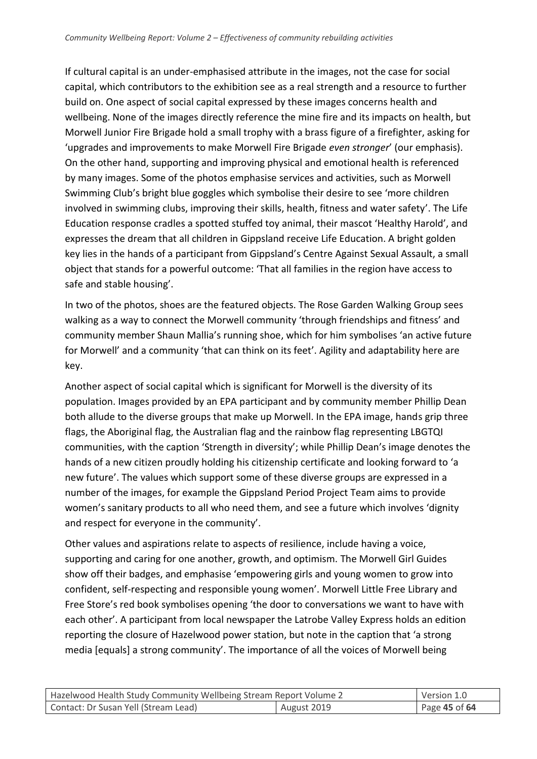If cultural capital is an under-emphasised attribute in the images, not the case for social capital, which contributors to the exhibition see as a real strength and a resource to further build on. One aspect of social capital expressed by these images concerns health and wellbeing. None of the images directly reference the mine fire and its impacts on health, but Morwell Junior Fire Brigade hold a small trophy with a brass figure of a firefighter, asking for 'upgrades and improvements to make Morwell Fire Brigade *even stronger*' (our emphasis). On the other hand, supporting and improving physical and emotional health is referenced by many images. Some of the photos emphasise services and activities, such as Morwell Swimming Club's bright blue goggles which symbolise their desire to see 'more children involved in swimming clubs, improving their skills, health, fitness and water safety'. The Life Education response cradles a spotted stuffed toy animal, their mascot 'Healthy Harold', and expresses the dream that all children in Gippsland receive Life Education. A bright golden key lies in the hands of a participant from Gippsland's Centre Against Sexual Assault, a small object that stands for a powerful outcome: 'That all families in the region have access to safe and stable housing'.

In two of the photos, shoes are the featured objects. The Rose Garden Walking Group sees walking as a way to connect the Morwell community 'through friendships and fitness' and community member Shaun Mallia's running shoe, which for him symbolises 'an active future for Morwell' and a community 'that can think on its feet'. Agility and adaptability here are key.

Another aspect of social capital which is significant for Morwell is the diversity of its population. Images provided by an EPA participant and by community member Phillip Dean both allude to the diverse groups that make up Morwell. In the EPA image, hands grip three flags, the Aboriginal flag, the Australian flag and the rainbow flag representing LBGTQI communities, with the caption 'Strength in diversity'; while Phillip Dean's image denotes the hands of a new citizen proudly holding his citizenship certificate and looking forward to 'a new future'. The values which support some of these diverse groups are expressed in a number of the images, for example the Gippsland Period Project Team aims to provide women's sanitary products to all who need them, and see a future which involves 'dignity and respect for everyone in the community'.

Other values and aspirations relate to aspects of resilience, include having a voice, supporting and caring for one another, growth, and optimism. The Morwell Girl Guides show off their badges, and emphasise 'empowering girls and young women to grow into confident, self-respecting and responsible young women'. Morwell Little Free Library and Free Store's red book symbolises opening 'the door to conversations we want to have with each other'. A participant from local newspaper the Latrobe Valley Express holds an edition reporting the closure of Hazelwood power station, but note in the caption that 'a strong media [equals] a strong community'. The importance of all the voices of Morwell being

| Hazelwood Health Study Community Wellbeing Stream Report Volume 2 |             | Version 1.0   |
|-------------------------------------------------------------------|-------------|---------------|
| Contact: Dr Susan Yell (Stream Lead)                              | August 2019 | Page 45 of 64 |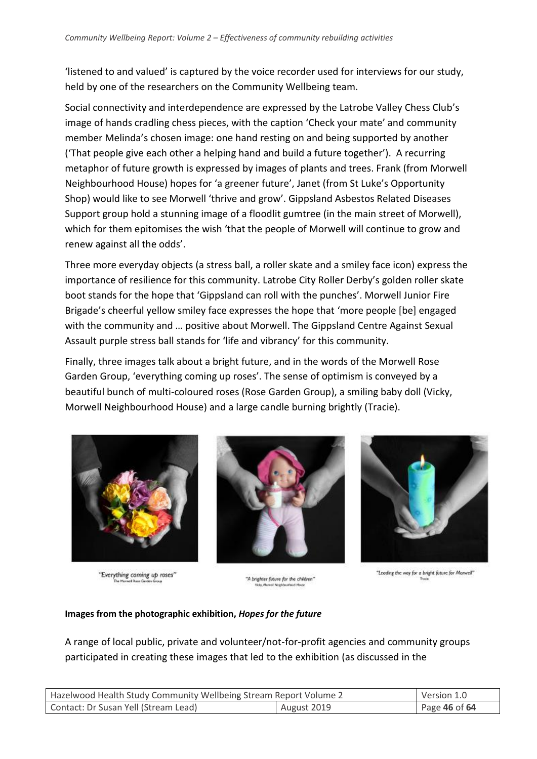'listened to and valued' is captured by the voice recorder used for interviews for our study, held by one of the researchers on the Community Wellbeing team.

Social connectivity and interdependence are expressed by the Latrobe Valley Chess Club's image of hands cradling chess pieces, with the caption 'Check your mate' and community member Melinda's chosen image: one hand resting on and being supported by another ('That people give each other a helping hand and build a future together'). A recurring metaphor of future growth is expressed by images of plants and trees. Frank (from Morwell Neighbourhood House) hopes for 'a greener future', Janet (from St Luke's Opportunity Shop) would like to see Morwell 'thrive and grow'. Gippsland Asbestos Related Diseases Support group hold a stunning image of a floodlit gumtree (in the main street of Morwell), which for them epitomises the wish 'that the people of Morwell will continue to grow and renew against all the odds'.

Three more everyday objects (a stress ball, a roller skate and a smiley face icon) express the importance of resilience for this community. Latrobe City Roller Derby's golden roller skate boot stands for the hope that 'Gippsland can roll with the punches'. Morwell Junior Fire Brigade's cheerful yellow smiley face expresses the hope that 'more people [be] engaged with the community and ... positive about Morwell. The Gippsland Centre Against Sexual Assault purple stress ball stands for 'life and vibrancy' for this community.

Finally, three images talk about a bright future, and in the words of the Morwell Rose Garden Group, 'everything coming up roses'. The sense of optimism is conveyed by a beautiful bunch of multi-coloured roses (Rose Garden Group), a smiling baby doll (Vicky, Morwell Neighbourhood House) and a large candle burning brightly (Tracie).



"Everything coming up roses"



"A brighter future for the children"



"Leading the way for a bright future for Manwell"

#### **Images from the photographic exhibition,** *Hopes for the future*

A range of local public, private and volunteer/not-for-profit agencies and community groups participated in creating these images that led to the exhibition (as discussed in the

| Hazelwood Health Study Community Wellbeing Stream Report Volume 2 |             | Version 1.0   |
|-------------------------------------------------------------------|-------------|---------------|
| Contact: Dr Susan Yell (Stream Lead)                              | August 2019 | Page 46 of 64 |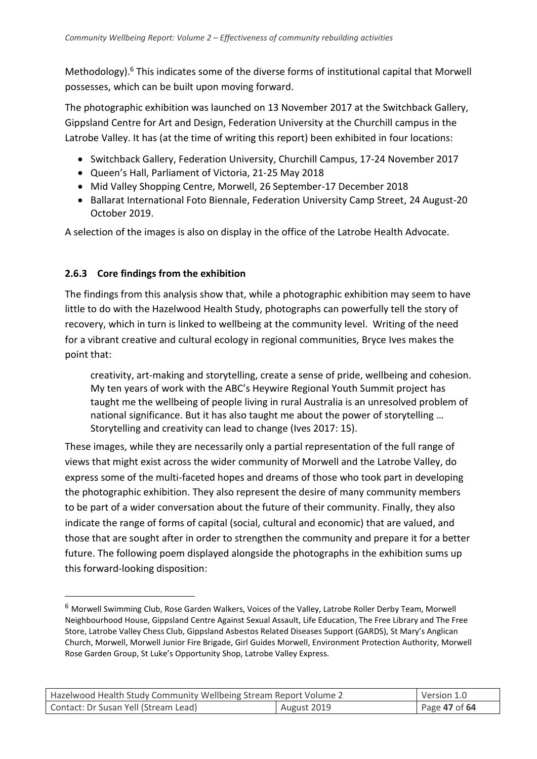Methodology). $6$  This indicates some of the diverse forms of institutional capital that Morwell possesses, which can be built upon moving forward.

The photographic exhibition was launched on 13 November 2017 at the Switchback Gallery, Gippsland Centre for Art and Design, Federation University at the Churchill campus in the Latrobe Valley. It has (at the time of writing this report) been exhibited in four locations:

- Switchback Gallery, Federation University, Churchill Campus, 17-24 November 2017
- Queen's Hall, Parliament of Victoria, 21-25 May 2018
- Mid Valley Shopping Centre, Morwell, 26 September-17 December 2018
- Ballarat International Foto Biennale, Federation University Camp Street, 24 August-20 October 2019.

A selection of the images is also on display in the office of the Latrobe Health Advocate.

## **2.6.3 Core findings from the exhibition**

-

The findings from this analysis show that, while a photographic exhibition may seem to have little to do with the Hazelwood Health Study, photographs can powerfully tell the story of recovery, which in turn is linked to wellbeing at the community level. Writing of the need for a vibrant creative and cultural ecology in regional communities, Bryce Ives makes the point that:

creativity, art-making and storytelling, create a sense of pride, wellbeing and cohesion. My ten years of work with the ABC's Heywire Regional Youth Summit project has taught me the wellbeing of people living in rural Australia is an unresolved problem of national significance. But it has also taught me about the power of storytelling … Storytelling and creativity can lead to change (Ives 2017: 15).

These images, while they are necessarily only a partial representation of the full range of views that might exist across the wider community of Morwell and the Latrobe Valley, do express some of the multi-faceted hopes and dreams of those who took part in developing the photographic exhibition. They also represent the desire of many community members to be part of a wider conversation about the future of their community. Finally, they also indicate the range of forms of capital (social, cultural and economic) that are valued, and those that are sought after in order to strengthen the community and prepare it for a better future. The following poem displayed alongside the photographs in the exhibition sums up this forward-looking disposition:

<sup>6</sup> Morwell Swimming Club, Rose Garden Walkers, Voices of the Valley, Latrobe Roller Derby Team, Morwell Neighbourhood House, Gippsland Centre Against Sexual Assault, Life Education, The Free Library and The Free Store, Latrobe Valley Chess Club, Gippsland Asbestos Related Diseases Support (GARDS), St Mary's Anglican Church, Morwell, Morwell Junior Fire Brigade, Girl Guides Morwell, Environment Protection Authority, Morwell Rose Garden Group, St Luke's Opportunity Shop, Latrobe Valley Express.

| Hazelwood Health Study Community Wellbeing Stream Report Volume 2 |             | Version 1.0   |
|-------------------------------------------------------------------|-------------|---------------|
| Contact: Dr Susan Yell (Stream Lead)                              | August 2019 | Page 47 of 64 |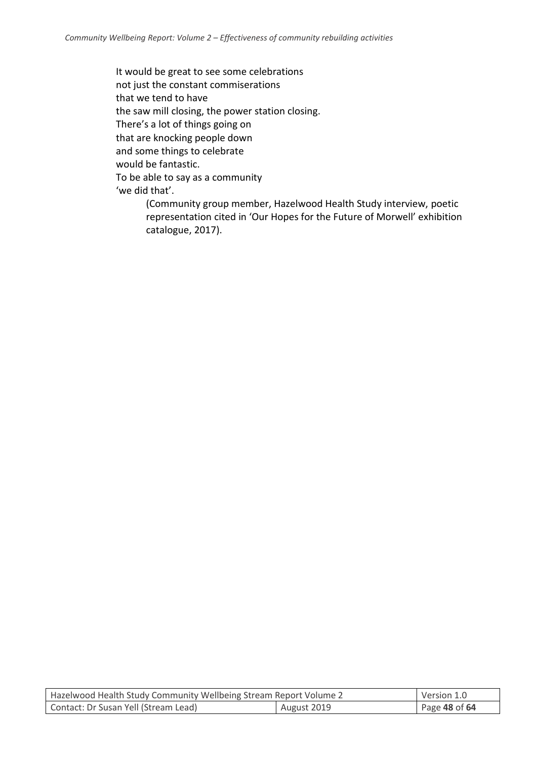It would be great to see some celebrations not just the constant commiserations that we tend to have the saw mill closing, the power station closing. There's a lot of things going on that are knocking people down and some things to celebrate would be fantastic. To be able to say as a community 'we did that'.

(Community group member, Hazelwood Health Study interview, poetic representation cited in 'Our Hopes for the Future of Morwell' exhibition catalogue, 2017).

| Hazelwood Health Study Community Wellbeing Stream Report Volume 2 |             | Version 1.0   |
|-------------------------------------------------------------------|-------------|---------------|
| Contact: Dr Susan Yell (Stream Lead)                              | August 2019 | Page 48 of 64 |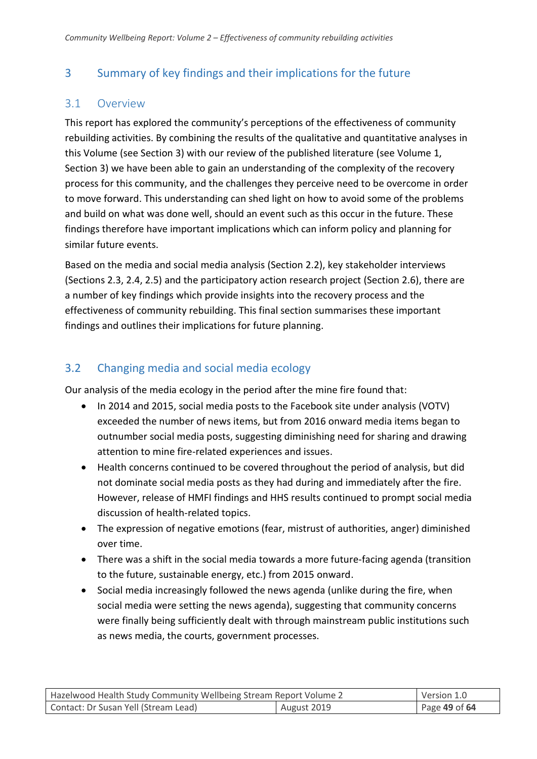## <span id="page-48-0"></span>3 Summary of key findings and their implications for the future

## <span id="page-48-1"></span>3.1 Overview

This report has explored the community's perceptions of the effectiveness of community rebuilding activities. By combining the results of the qualitative and quantitative analyses in this Volume (see Section 3) with our review of the published literature (see Volume 1, Section 3) we have been able to gain an understanding of the complexity of the recovery process for this community, and the challenges they perceive need to be overcome in order to move forward. This understanding can shed light on how to avoid some of the problems and build on what was done well, should an event such as this occur in the future. These findings therefore have important implications which can inform policy and planning for similar future events.

Based on the media and social media analysis (Section 2.2), key stakeholder interviews (Sections 2.3, 2.4, 2.5) and the participatory action research project (Section 2.6), there are a number of key findings which provide insights into the recovery process and the effectiveness of community rebuilding. This final section summarises these important findings and outlines their implications for future planning.

## <span id="page-48-2"></span>3.2 Changing media and social media ecology

Our analysis of the media ecology in the period after the mine fire found that:

- In 2014 and 2015, social media posts to the Facebook site under analysis (VOTV) exceeded the number of news items, but from 2016 onward media items began to outnumber social media posts, suggesting diminishing need for sharing and drawing attention to mine fire-related experiences and issues.
- Health concerns continued to be covered throughout the period of analysis, but did not dominate social media posts as they had during and immediately after the fire. However, release of HMFI findings and HHS results continued to prompt social media discussion of health-related topics.
- The expression of negative emotions (fear, mistrust of authorities, anger) diminished over time.
- There was a shift in the social media towards a more future-facing agenda (transition to the future, sustainable energy, etc.) from 2015 onward.
- Social media increasingly followed the news agenda (unlike during the fire, when social media were setting the news agenda), suggesting that community concerns were finally being sufficiently dealt with through mainstream public institutions such as news media, the courts, government processes.

| Hazelwood Health Study Community Wellbeing Stream Report Volume 2 |             | Version 1.0   |
|-------------------------------------------------------------------|-------------|---------------|
| Contact: Dr Susan Yell (Stream Lead)                              | August 2019 | Page 49 of 64 |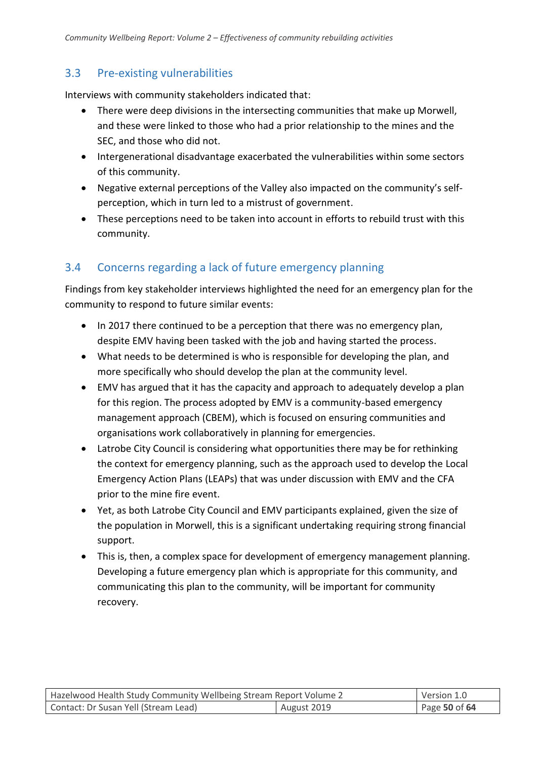## <span id="page-49-0"></span>3.3 Pre-existing vulnerabilities

Interviews with community stakeholders indicated that:

- There were deep divisions in the intersecting communities that make up Morwell, and these were linked to those who had a prior relationship to the mines and the SEC, and those who did not.
- Intergenerational disadvantage exacerbated the vulnerabilities within some sectors of this community.
- Negative external perceptions of the Valley also impacted on the community's selfperception, which in turn led to a mistrust of government.
- These perceptions need to be taken into account in efforts to rebuild trust with this community.

## <span id="page-49-1"></span>3.4 Concerns regarding a lack of future emergency planning

Findings from key stakeholder interviews highlighted the need for an emergency plan for the community to respond to future similar events:

- In 2017 there continued to be a perception that there was no emergency plan, despite EMV having been tasked with the job and having started the process.
- What needs to be determined is who is responsible for developing the plan, and more specifically who should develop the plan at the community level.
- EMV has argued that it has the capacity and approach to adequately develop a plan for this region. The process adopted by EMV is a community-based emergency management approach (CBEM), which is focused on ensuring communities and organisations work collaboratively in planning for emergencies.
- Latrobe City Council is considering what opportunities there may be for rethinking the context for emergency planning, such as the approach used to develop the Local Emergency Action Plans (LEAPs) that was under discussion with EMV and the CFA prior to the mine fire event.
- Yet, as both Latrobe City Council and EMV participants explained, given the size of the population in Morwell, this is a significant undertaking requiring strong financial support.
- This is, then, a complex space for development of emergency management planning. Developing a future emergency plan which is appropriate for this community, and communicating this plan to the community, will be important for community recovery.

| Hazelwood Health Study Community Wellbeing Stream Report Volume 2 |             | Version 1.0   |
|-------------------------------------------------------------------|-------------|---------------|
| Contact: Dr Susan Yell (Stream Lead)                              | August 2019 | Page 50 of 64 |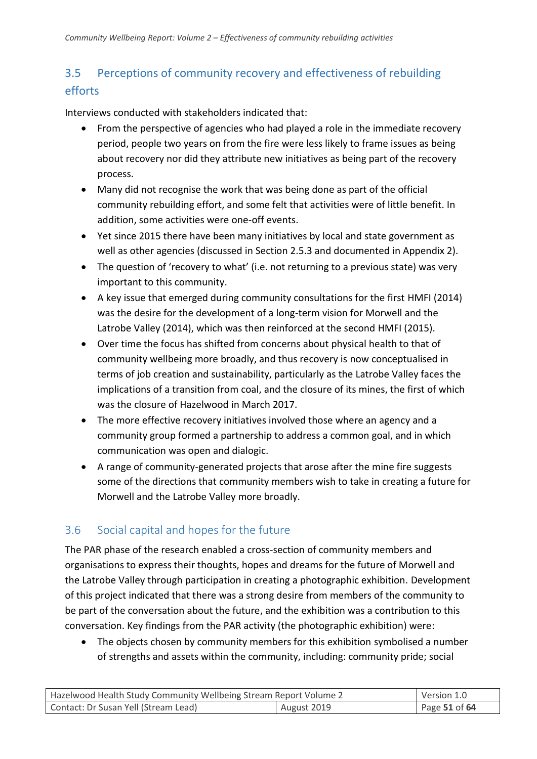## <span id="page-50-0"></span>3.5 Perceptions of community recovery and effectiveness of rebuilding efforts

Interviews conducted with stakeholders indicated that:

- From the perspective of agencies who had played a role in the immediate recovery period, people two years on from the fire were less likely to frame issues as being about recovery nor did they attribute new initiatives as being part of the recovery process.
- Many did not recognise the work that was being done as part of the official community rebuilding effort, and some felt that activities were of little benefit. In addition, some activities were one-off events.
- Yet since 2015 there have been many initiatives by local and state government as well as other agencies (discussed in Section 2.5.3 and documented in Appendix 2).
- The question of 'recovery to what' (i.e. not returning to a previous state) was very important to this community.
- A key issue that emerged during community consultations for the first HMFI (2014) was the desire for the development of a long-term vision for Morwell and the Latrobe Valley (2014), which was then reinforced at the second HMFI (2015).
- Over time the focus has shifted from concerns about physical health to that of community wellbeing more broadly, and thus recovery is now conceptualised in terms of job creation and sustainability, particularly as the Latrobe Valley faces the implications of a transition from coal, and the closure of its mines, the first of which was the closure of Hazelwood in March 2017.
- The more effective recovery initiatives involved those where an agency and a community group formed a partnership to address a common goal, and in which communication was open and dialogic.
- A range of community-generated projects that arose after the mine fire suggests some of the directions that community members wish to take in creating a future for Morwell and the Latrobe Valley more broadly.

## <span id="page-50-1"></span>3.6 Social capital and hopes for the future

The PAR phase of the research enabled a cross-section of community members and organisations to express their thoughts, hopes and dreams for the future of Morwell and the Latrobe Valley through participation in creating a photographic exhibition. Development of this project indicated that there was a strong desire from members of the community to be part of the conversation about the future, and the exhibition was a contribution to this conversation. Key findings from the PAR activity (the photographic exhibition) were:

• The objects chosen by community members for this exhibition symbolised a number of strengths and assets within the community, including: community pride; social

| Hazelwood Health Study Community Wellbeing Stream Report Volume 2 |             | Version 1.0   |
|-------------------------------------------------------------------|-------------|---------------|
| Contact: Dr Susan Yell (Stream Lead)                              | August 2019 | Page 51 of 64 |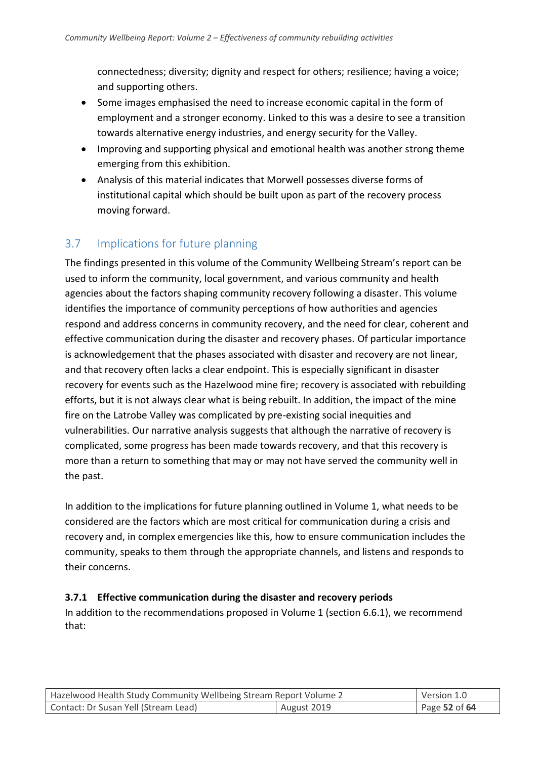connectedness; diversity; dignity and respect for others; resilience; having a voice; and supporting others.

- Some images emphasised the need to increase economic capital in the form of employment and a stronger economy. Linked to this was a desire to see a transition towards alternative energy industries, and energy security for the Valley.
- Improving and supporting physical and emotional health was another strong theme emerging from this exhibition.
- Analysis of this material indicates that Morwell possesses diverse forms of institutional capital which should be built upon as part of the recovery process moving forward.

## <span id="page-51-0"></span>3.7 Implications for future planning

The findings presented in this volume of the Community Wellbeing Stream's report can be used to inform the community, local government, and various community and health agencies about the factors shaping community recovery following a disaster. This volume identifies the importance of community perceptions of how authorities and agencies respond and address concerns in community recovery, and the need for clear, coherent and effective communication during the disaster and recovery phases. Of particular importance is acknowledgement that the phases associated with disaster and recovery are not linear, and that recovery often lacks a clear endpoint. This is especially significant in disaster recovery for events such as the Hazelwood mine fire; recovery is associated with rebuilding efforts, but it is not always clear what is being rebuilt. In addition, the impact of the mine fire on the Latrobe Valley was complicated by pre-existing social inequities and vulnerabilities. Our narrative analysis suggests that although the narrative of recovery is complicated, some progress has been made towards recovery, and that this recovery is more than a return to something that may or may not have served the community well in the past.

In addition to the implications for future planning outlined in Volume 1, what needs to be considered are the factors which are most critical for communication during a crisis and recovery and, in complex emergencies like this, how to ensure communication includes the community, speaks to them through the appropriate channels, and listens and responds to their concerns.

## **3.7.1 Effective communication during the disaster and recovery periods**

In addition to the recommendations proposed in Volume 1 (section 6.6.1), we recommend that:

| Hazelwood Health Study Community Wellbeing Stream Report Volume 2 |             | Version 1.0   |
|-------------------------------------------------------------------|-------------|---------------|
| Contact: Dr Susan Yell (Stream Lead)                              | August 2019 | Page 52 of 64 |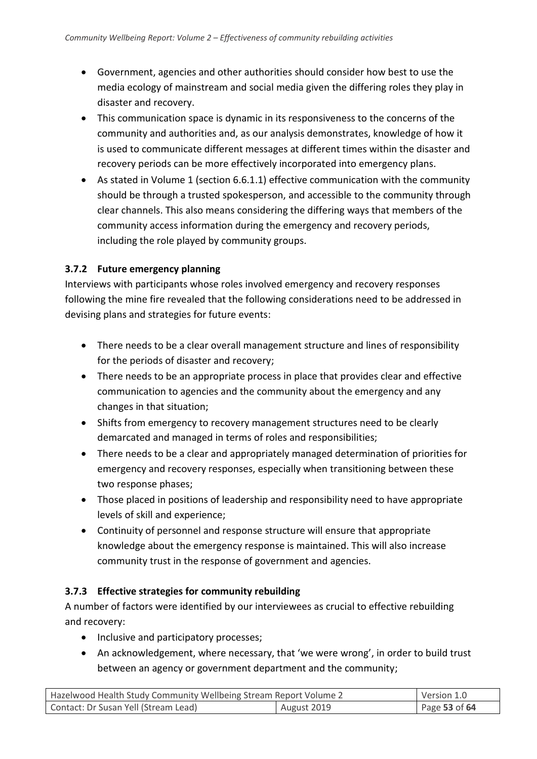- Government, agencies and other authorities should consider how best to use the media ecology of mainstream and social media given the differing roles they play in disaster and recovery.
- This communication space is dynamic in its responsiveness to the concerns of the community and authorities and, as our analysis demonstrates, knowledge of how it is used to communicate different messages at different times within the disaster and recovery periods can be more effectively incorporated into emergency plans.
- As stated in Volume 1 (section 6.6.1.1) effective communication with the community should be through a trusted spokesperson, and accessible to the community through clear channels. This also means considering the differing ways that members of the community access information during the emergency and recovery periods, including the role played by community groups.

### **3.7.2 Future emergency planning**

Interviews with participants whose roles involved emergency and recovery responses following the mine fire revealed that the following considerations need to be addressed in devising plans and strategies for future events:

- There needs to be a clear overall management structure and lines of responsibility for the periods of disaster and recovery;
- There needs to be an appropriate process in place that provides clear and effective communication to agencies and the community about the emergency and any changes in that situation;
- Shifts from emergency to recovery management structures need to be clearly demarcated and managed in terms of roles and responsibilities;
- There needs to be a clear and appropriately managed determination of priorities for emergency and recovery responses, especially when transitioning between these two response phases;
- Those placed in positions of leadership and responsibility need to have appropriate levels of skill and experience;
- Continuity of personnel and response structure will ensure that appropriate knowledge about the emergency response is maintained. This will also increase community trust in the response of government and agencies.

## **3.7.3 Effective strategies for community rebuilding**

A number of factors were identified by our interviewees as crucial to effective rebuilding and recovery:

- Inclusive and participatory processes;
- An acknowledgement, where necessary, that 'we were wrong', in order to build trust between an agency or government department and the community;

| Hazelwood Health Study Community Wellbeing Stream Report Volume 2 |             | Version 1.0   |
|-------------------------------------------------------------------|-------------|---------------|
| Contact: Dr Susan Yell (Stream Lead)                              | August 2019 | Page 53 of 64 |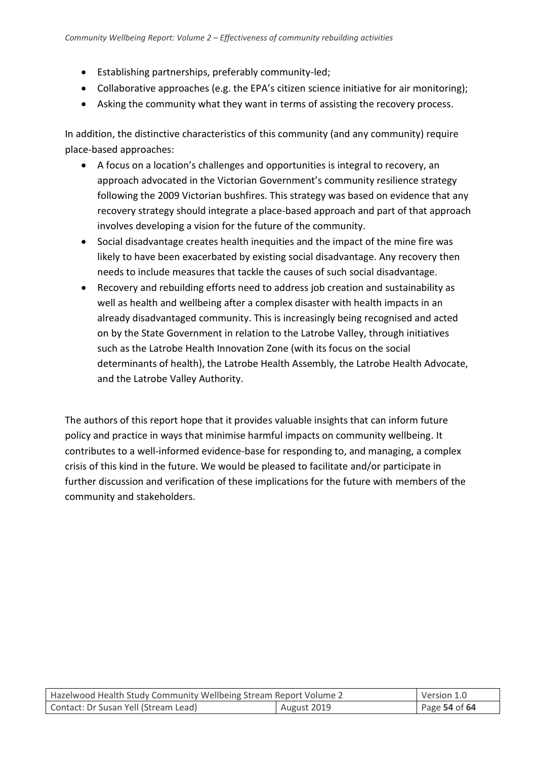- Establishing partnerships, preferably community-led;
- Collaborative approaches (e.g. the EPA's citizen science initiative for air monitoring);
- Asking the community what they want in terms of assisting the recovery process.

In addition, the distinctive characteristics of this community (and any community) require place-based approaches:

- A focus on a location's challenges and opportunities is integral to recovery, an approach advocated in the Victorian Government's community resilience strategy following the 2009 Victorian bushfires. This strategy was based on evidence that any recovery strategy should integrate a place-based approach and part of that approach involves developing a vision for the future of the community.
- Social disadvantage creates health inequities and the impact of the mine fire was likely to have been exacerbated by existing social disadvantage. Any recovery then needs to include measures that tackle the causes of such social disadvantage.
- Recovery and rebuilding efforts need to address job creation and sustainability as well as health and wellbeing after a complex disaster with health impacts in an already disadvantaged community. This is increasingly being recognised and acted on by the State Government in relation to the Latrobe Valley, through initiatives such as the Latrobe Health Innovation Zone (with its focus on the social determinants of health), the Latrobe Health Assembly, the Latrobe Health Advocate, and the Latrobe Valley Authority.

The authors of this report hope that it provides valuable insights that can inform future policy and practice in ways that minimise harmful impacts on community wellbeing. It contributes to a well-informed evidence-base for responding to, and managing, a complex crisis of this kind in the future. We would be pleased to facilitate and/or participate in further discussion and verification of these implications for the future with members of the community and stakeholders.

| Hazelwood Health Study Community Wellbeing Stream Report Volume 2 |  | Version 1.0   |
|-------------------------------------------------------------------|--|---------------|
| Contact: Dr Susan Yell (Stream Lead)<br>August 2019               |  | Page 54 of 64 |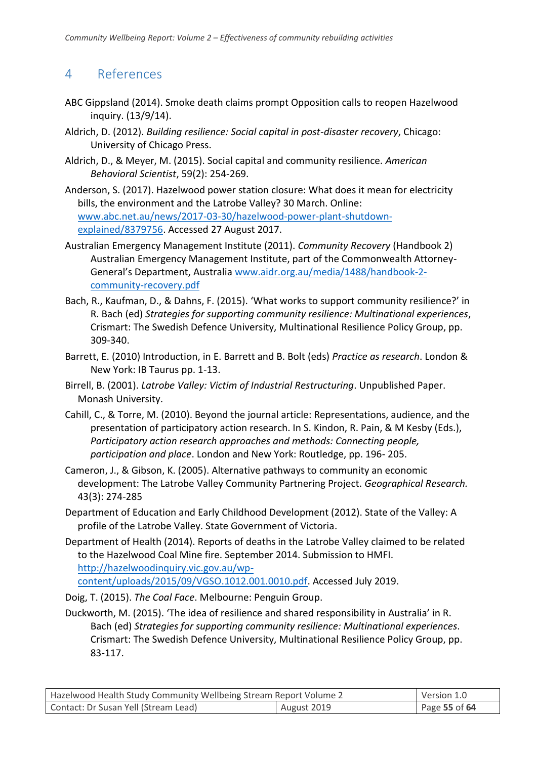## <span id="page-54-0"></span>4 References

- ABC Gippsland (2014). Smoke death claims prompt Opposition calls to reopen Hazelwood inquiry. (13/9/14).
- Aldrich, D. (2012). *Building resilience: Social capital in post-disaster recovery*, Chicago: University of Chicago Press.
- Aldrich, D., & Meyer, M. (2015). Social capital and community resilience. *American Behavioral Scientist*, 59(2): 254-269.
- Anderson, S. (2017). Hazelwood power station closure: What does it mean for electricity bills, the environment and the Latrobe Valley? 30 March. Online: [www.abc.net.au/news/2017-03-30/hazelwood-power-plant-shutdown](http://www.abc.net.au/news/2017-03-30/hazelwood-power-plant-shutdown-explained/8379756)[explained/8379756.](http://www.abc.net.au/news/2017-03-30/hazelwood-power-plant-shutdown-explained/8379756) Accessed 27 August 2017.
- Australian Emergency Management Institute (2011). *Community Recovery* (Handbook 2) Australian Emergency Management Institute, part of the Commonwealth Attorney-General's Department, Australia [www.aidr.org.au/media/1488/handbook-2](http://www.aidr.org.au/media/1488/handbook-2-community-recovery.pdf) [community-recovery.pdf](http://www.aidr.org.au/media/1488/handbook-2-community-recovery.pdf)
- Bach, R., Kaufman, D., & Dahns, F. (2015). 'What works to support community resilience?' in R. Bach (ed) *Strategies for supporting community resilience: Multinational experiences*, Crismart: The Swedish Defence University, Multinational Resilience Policy Group, pp. 309-340.
- Barrett, E. (2010) Introduction, in E. Barrett and B. Bolt (eds) *Practice as research*. London & New York: IB Taurus pp. 1-13.
- Birrell, B. (2001). *Latrobe Valley: Victim of Industrial Restructuring*. Unpublished Paper. Monash University.
- Cahill, C., & Torre, M. (2010). Beyond the journal article: Representations, audience, and the presentation of participatory action research. In S. Kindon, R. Pain, & M Kesby (Eds.), *Participatory action research approaches and methods: Connecting people, participation and place*. London and New York: Routledge, pp. 196- 205.
- Cameron, J., & Gibson, K. (2005). Alternative pathways to community an economic development: The Latrobe Valley Community Partnering Project. *Geographical Research.* 43(3): 274-285
- Department of Education and Early Childhood Development (2012). State of the Valley: A profile of the Latrobe Valley. State Government of Victoria.
- Department of Health (2014). Reports of deaths in the Latrobe Valley claimed to be related to the Hazelwood Coal Mine fire. September 2014. Submission to HMFI. [http://hazelwoodinquiry.vic.gov.au/wp](http://hazelwoodinquiry.vic.gov.au/wp-content/uploads/2015/09/VGSO.1012.001.0010.pdf)[content/uploads/2015/09/VGSO.1012.001.0010.pdf.](http://hazelwoodinquiry.vic.gov.au/wp-content/uploads/2015/09/VGSO.1012.001.0010.pdf) Accessed July 2019.
- Doig, T. (2015). *The Coal Face*. Melbourne: Penguin Group.
- Duckworth, M. (2015). 'The idea of resilience and shared responsibility in Australia' in R. Bach (ed) *Strategies for supporting community resilience: Multinational experiences*. Crismart: The Swedish Defence University, Multinational Resilience Policy Group, pp. 83-117.

| Hazelwood Health Study Community Wellbeing Stream Report Volume 2 |             | Version 1.0     |
|-------------------------------------------------------------------|-------------|-----------------|
| Contact: Dr Susan Yell (Stream Lead)                              | August 2019 | Page 55 of $64$ |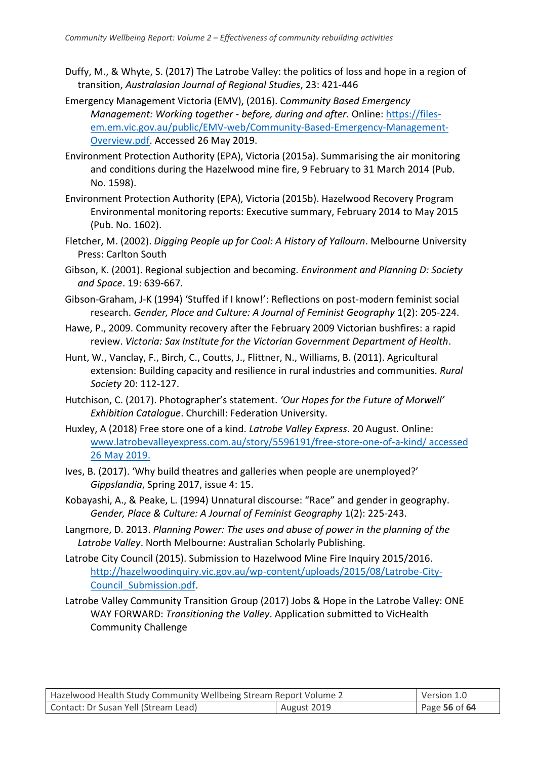- Duffy, M., & Whyte, S. (2017) The Latrobe Valley: the politics of loss and hope in a region of transition, *Australasian Journal of Regional Studies*, 23: 421-446
- Emergency Management Victoria (EMV), (2016). C*ommunity Based Emergency Management: Working together - before, during and after.* Online: [https://files](https://files-em.em.vic.gov.au/public/EMV-web/Community-Based-Emergency-Management-Overview.pdf)[em.em.vic.gov.au/public/EMV-web/Community-Based-Emergency-Management-](https://files-em.em.vic.gov.au/public/EMV-web/Community-Based-Emergency-Management-Overview.pdf)[Overview.pdf.](https://files-em.em.vic.gov.au/public/EMV-web/Community-Based-Emergency-Management-Overview.pdf) Accessed 26 May 2019.
- Environment Protection Authority (EPA), Victoria (2015a). Summarising the air monitoring and conditions during the Hazelwood mine fire, 9 February to 31 March 2014 (Pub. No. 1598).
- Environment Protection Authority (EPA), Victoria (2015b). Hazelwood Recovery Program Environmental monitoring reports: Executive summary, February 2014 to May 2015 (Pub. No. 1602).
- Fletcher, M. (2002). *Digging People up for Coal: A History of Yallourn*. Melbourne University Press: Carlton South
- Gibson, K. (2001). Regional subjection and becoming. *Environment and Planning D: Society and Space*. 19: 639-667.
- Gibson-Graham, J-K (1994) 'Stuffed if I know!': Reflections on post-modern feminist social research. *Gender, Place and Culture: A Journal of Feminist Geography* 1(2): 205-224.
- Hawe, P., 2009. Community recovery after the February 2009 Victorian bushfires: a rapid review. *Victoria: Sax Institute for the Victorian Government Department of Health*.
- Hunt, W., Vanclay, F., Birch, C., Coutts, J., Flittner, N., Williams, B. (2011). Agricultural extension: Building capacity and resilience in rural industries and communities. *Rural Society* 20: 112-127.
- Hutchison, C. (2017). Photographer's statement. *'Our Hopes for the Future of Morwell' Exhibition Catalogue*. Churchill: Federation University.
- Huxley, A (2018) Free store one of a kind. *Latrobe Valley Express*. 20 August. Online: [www.latrobevalleyexpress.com.au/story/5596191/free-store-one-of-a-kind/](http://www.latrobevalleyexpress.com.au/story/5596191/free-store-one-of-a-kind/) accessed 26 May 2019.
- Ives, B. (2017). 'Why build theatres and galleries when people are unemployed?' *Gippslandia*, Spring 2017, issue 4: 15.
- Kobayashi, A., & Peake, L. (1994) Unnatural discourse: "Race" and gender in geography. *Gender, Place & Culture: A Journal of Feminist Geography* 1(2): 225-243.
- Langmore, D. 2013. *Planning Power: The uses and abuse of power in the planning of the Latrobe Valley*. North Melbourne: Australian Scholarly Publishing.
- Latrobe City Council (2015). Submission to Hazelwood Mine Fire Inquiry 2015/2016. [http://hazelwoodinquiry.vic.gov.au/wp-content/uploads/2015/08/Latrobe-City-](http://hazelwoodinquiry.vic.gov.au/wp-content/uploads/2015/08/Latrobe-City-Council_Submission.pdf)[Council\\_Submission.pdf.](http://hazelwoodinquiry.vic.gov.au/wp-content/uploads/2015/08/Latrobe-City-Council_Submission.pdf)
- Latrobe Valley Community Transition Group (2017) Jobs & Hope in the Latrobe Valley: ONE WAY FORWARD: *Transitioning the Valley*. Application submitted to VicHealth Community Challenge

| Hazelwood Health Study Community Wellbeing Stream Report Volume 2 |             | Version 1.0   |
|-------------------------------------------------------------------|-------------|---------------|
| Contact: Dr Susan Yell (Stream Lead)                              | August 2019 | Page 56 of 64 |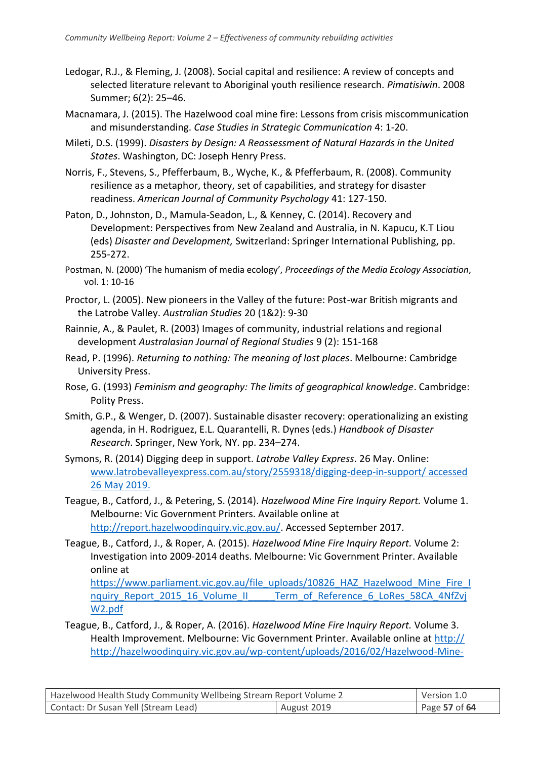- Ledogar, R.J., & Fleming, J. (2008). Social capital and resilience: A review of concepts and selected literature relevant to Aboriginal youth resilience research. *Pimatisiwin*. 2008 Summer; 6(2): 25–46.
- Macnamara, J. (2015). The Hazelwood coal mine fire: Lessons from crisis miscommunication and misunderstanding. *Case Studies in Strategic Communication* 4: 1-20.
- Mileti, D.S. (1999). *Disasters by Design: A Reassessment of Natural Hazards in the United States*. Washington, DC: Joseph Henry Press.
- Norris, F., Stevens, S., Pfefferbaum, B., Wyche, K., & Pfefferbaum, R. (2008). Community resilience as a metaphor, theory, set of capabilities, and strategy for disaster readiness. *American Journal of Community Psychology* 41: 127-150.
- Paton, D., Johnston, D., Mamula-Seadon, L., & Kenney, C. (2014). Recovery and Development: Perspectives from New Zealand and Australia, in N. Kapucu, K.T Liou (eds) *Disaster and Development,* Switzerland: Springer International Publishing, pp. 255-272.
- Postman, N. (2000) 'The humanism of media ecology', *Proceedings of the Media Ecology Association*, vol. 1: 10-16
- Proctor, L. (2005). New pioneers in the Valley of the future: Post-war British migrants and the Latrobe Valley. *Australian Studies* 20 (1&2): 9-30
- Rainnie, A., & Paulet, R. (2003) Images of community, industrial relations and regional development *Australasian Journal of Regional Studies* 9 (2): 151-168
- Read, P. (1996). *Returning to nothing: The meaning of lost places*. Melbourne: Cambridge University Press.
- Rose, G. (1993) *Feminism and geography: The limits of geographical knowledge*. Cambridge: Polity Press.
- Smith, G.P., & Wenger, D. (2007). Sustainable disaster recovery: operationalizing an existing agenda, in H. Rodriguez, E.L. Quarantelli, R. Dynes (eds.) *Handbook of Disaster Research*. Springer, New York, NY. pp. 234–274.
- Symons, R. (2014) Digging deep in support. *Latrobe Valley Express*. 26 May. Online: [www.latrobevalleyexpress.com.au/story/2559318/digging-deep-in-support/](http://www.latrobevalleyexpress.com.au/story/2559318/digging-deep-in-support/) accessed 26 May 2019.
- Teague, B., Catford, J., & Petering, S. (2014). *Hazelwood Mine Fire Inquiry Report.* Volume 1. Melbourne: Vic Government Printers. Available online at [http://report.hazelwoodinquiry.vic.gov.au/.](http://report.hazelwoodinquiry.vic.gov.au/) Accessed September 2017.
- Teague, B., Catford, J., & Roper, A. (2015). *Hazelwood Mine Fire Inquiry Report.* Volume 2: Investigation into 2009-2014 deaths. Melbourne: Vic Government Printer. Available online at

[https://www.parliament.vic.gov.au/file\\_uploads/10826\\_HAZ\\_Hazelwood\\_Mine\\_Fire\\_I](https://www.parliament.vic.gov.au/file_uploads/10826_HAZ_Hazelwood_Mine_Fire_Inquiry_Report_2015_16_Volume_II_____Term_of_Reference_6_LoRes_58CA_4NfZvjW2.pdf) nquiry Report 2015 16 Volume II Term of Reference 6 LoRes 58CA 4NfZvj [W2.pdf](https://www.parliament.vic.gov.au/file_uploads/10826_HAZ_Hazelwood_Mine_Fire_Inquiry_Report_2015_16_Volume_II_____Term_of_Reference_6_LoRes_58CA_4NfZvjW2.pdf)

Teague, B., Catford, J., & Roper, A. (2016). *Hazelwood Mine Fire Inquiry Report.* Volume 3. Health Improvement. Melbourne: Vic Government Printer. Available online at [http://](http://hazelwoodinquiry.vic.gov.au/wp-content/uploads/2016/02/Hazelwood-Mine-Fire-Inquiry-2015-2016-Report-Volume-III-Health-Improvement.pdf) [http://hazelwoodinquiry.vic.gov.au/wp-content/uploads/2016/02/Hazelwood-Mine-](http://hazelwoodinquiry.vic.gov.au/wp-content/uploads/2016/02/Hazelwood-Mine-Fire-Inquiry-2015-2016-Report-Volume-III-Health-Improvement.pdf)

| Hazelwood Health Study Community Wellbeing Stream Report Volume 2 |             | Version 1.0   |
|-------------------------------------------------------------------|-------------|---------------|
| Contact: Dr Susan Yell (Stream Lead)                              | August 2019 | Page 57 of 64 |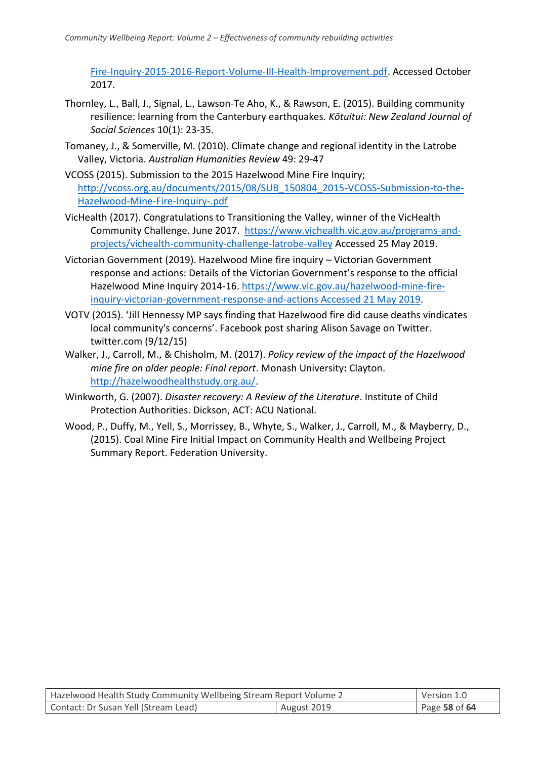[Fire-Inquiry-2015-2016-Report-Volume-III-Health-Improvement.pdf.](http://hazelwoodinquiry.vic.gov.au/wp-content/uploads/2016/02/Hazelwood-Mine-Fire-Inquiry-2015-2016-Report-Volume-III-Health-Improvement.pdf) Accessed October 2017.

- Thornley, L., Ball, J., Signal, L., Lawson-Te Aho, K., & Rawson, E. (2015). Building community resilience: learning from the Canterbury earthquakes. *Kōtuitui: New Zealand Journal of Social Sciences* 10(1): 23-35.
- Tomaney, J., & Somerville, M. (2010). Climate change and regional identity in the Latrobe Valley, Victoria. *Australian Humanities Review* 49: 29-47
- VCOSS (2015). Submission to the 2015 Hazelwood Mine Fire Inquiry; [http://vcoss.org.au/documents/2015/08/SUB\\_150804\\_2015-VCOSS-Submission-to-the-](http://vcoss.org.au/documents/2015/08/SUB_150804_2015-VCOSS-Submission-to-the-Hazelwood-Mine-Fire-Inquiry-.pdf)[Hazelwood-Mine-Fire-Inquiry-.pdf](http://vcoss.org.au/documents/2015/08/SUB_150804_2015-VCOSS-Submission-to-the-Hazelwood-Mine-Fire-Inquiry-.pdf)
- VicHealth (2017). Congratulations to Transitioning the Valley, winner of the VicHealth Community Challenge. June 2017. [https://www.vichealth.vic.gov.au/programs-and](https://www.vichealth.vic.gov.au/programs-and-projects/vichealth-community-challenge-latrobe-valley)[projects/vichealth-community-challenge-latrobe-valley](https://www.vichealth.vic.gov.au/programs-and-projects/vichealth-community-challenge-latrobe-valley) Accessed 25 May 2019.
- Victorian Government (2019). Hazelwood Mine fire inquiry Victorian Government response and actions: Details of the Victorian Government's response to the official Hazelwood Mine Inquiry 2014-16. [https://www.vic.gov.au/hazelwood-mine-fire](https://www.vic.gov.au/hazelwood-mine-fire-inquiry-victorian-government-response-and-actions%20Accessed%2021%20May%202019)[inquiry-victorian-government-response-and-actions Accessed 21 May 2019.](https://www.vic.gov.au/hazelwood-mine-fire-inquiry-victorian-government-response-and-actions%20Accessed%2021%20May%202019)
- VOTV (2015). 'Jill Hennessy MP says finding that Hazelwood fire did cause deaths vindicates local community's concerns'. Facebook post sharing Alison Savage on Twitter. twitter.com (9/12/15)
- Walker, J., Carroll, M., & Chisholm, M. (2017). *Policy review of the impact of the Hazelwood mine fire on older people: Final report*. Monash University**:** Clayton. [http://hazelwoodhealthstudy.org.au/.](http://hazelwoodhealthstudy.org.au/)
- Winkworth, G. (2007). *Disaster recovery: A Review of the Literature*. Institute of Child Protection Authorities. Dickson, ACT: ACU National.
- Wood, P., Duffy, M., Yell, S., Morrissey, B., Whyte, S., Walker, J., Carroll, M., & Mayberry, D., (2015). Coal Mine Fire Initial Impact on Community Health and Wellbeing Project Summary Report. Federation University.

| Hazelwood Health Study Community Wellbeing Stream Report Volume 2 |             | Version 1.0   |
|-------------------------------------------------------------------|-------------|---------------|
| Contact: Dr Susan Yell (Stream Lead)                              | August 2019 | Page 58 of 64 |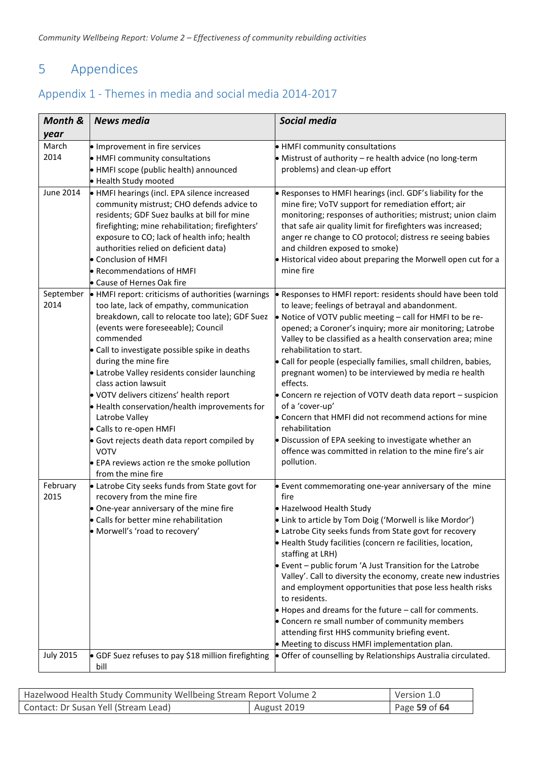# <span id="page-58-0"></span>5 Appendices

## <span id="page-58-1"></span>Appendix 1 - Themes in media and social media 2014-2017

| Month &           | <b>News media</b>                                                                                                                                                                                                                                                                                                                                                                                                                                                                                                                                                                                                                    | <b>Social media</b>                                                                                                                                                                                                                                                                                                                                                                                                                                                                                                                                                                                                                                                                                                                                                          |
|-------------------|--------------------------------------------------------------------------------------------------------------------------------------------------------------------------------------------------------------------------------------------------------------------------------------------------------------------------------------------------------------------------------------------------------------------------------------------------------------------------------------------------------------------------------------------------------------------------------------------------------------------------------------|------------------------------------------------------------------------------------------------------------------------------------------------------------------------------------------------------------------------------------------------------------------------------------------------------------------------------------------------------------------------------------------------------------------------------------------------------------------------------------------------------------------------------------------------------------------------------------------------------------------------------------------------------------------------------------------------------------------------------------------------------------------------------|
| year              |                                                                                                                                                                                                                                                                                                                                                                                                                                                                                                                                                                                                                                      |                                                                                                                                                                                                                                                                                                                                                                                                                                                                                                                                                                                                                                                                                                                                                                              |
| March<br>2014     | • Improvement in fire services<br>• HMFI community consultations<br>• HMFI scope (public health) announced<br>• Health Study mooted                                                                                                                                                                                                                                                                                                                                                                                                                                                                                                  | • HMFI community consultations<br>• Mistrust of authority - re health advice (no long-term<br>problems) and clean-up effort                                                                                                                                                                                                                                                                                                                                                                                                                                                                                                                                                                                                                                                  |
| <b>June 2014</b>  | • HMFI hearings (incl. EPA silence increased<br>community mistrust; CHO defends advice to<br>residents; GDF Suez baulks at bill for mine<br>firefighting; mine rehabilitation; firefighters'<br>exposure to CO; lack of health info; health<br>authorities relied on deficient data)<br>• Conclusion of HMFI<br>• Recommendations of HMFI<br>• Cause of Hernes Oak fire                                                                                                                                                                                                                                                              | . Responses to HMFI hearings (incl. GDF's liability for the<br>mine fire; VoTV support for remediation effort; air<br>monitoring; responses of authorities; mistrust; union claim<br>that safe air quality limit for firefighters was increased;<br>anger re change to CO protocol; distress re seeing babies<br>and children exposed to smoke)<br>• Historical video about preparing the Morwell open cut for a<br>mine fire                                                                                                                                                                                                                                                                                                                                                |
| September<br>2014 | • HMFI report: criticisms of authorities (warnings<br>too late, lack of empathy, communication<br>breakdown, call to relocate too late); GDF Suez<br>(events were foreseeable); Council<br>commended<br>• Call to investigate possible spike in deaths<br>during the mine fire<br>• Latrobe Valley residents consider launching<br>class action lawsuit<br>. VOTV delivers citizens' health report<br>• Health conservation/health improvements for<br>Latrobe Valley<br>• Calls to re-open HMFI<br>• Govt rejects death data report compiled by<br><b>VOTV</b><br>• EPA reviews action re the smoke pollution<br>from the mine fire | • Responses to HMFI report: residents should have been told<br>to leave; feelings of betrayal and abandonment.<br>• Notice of VOTV public meeting - call for HMFI to be re-<br>opened; a Coroner's inquiry; more air monitoring; Latrobe<br>Valley to be classified as a health conservation area; mine<br>rehabilitation to start.<br>• Call for people (especially families, small children, babies,<br>pregnant women) to be interviewed by media re health<br>effects.<br>• Concern re rejection of VOTV death data report - suspicion<br>of a 'cover-up'<br>• Concern that HMFI did not recommend actions for mine<br>rehabilitation<br>• Discussion of EPA seeking to investigate whether an<br>offence was committed in relation to the mine fire's air<br>pollution. |
| February<br>2015  | • Latrobe City seeks funds from State govt for<br>recovery from the mine fire<br>• One-year anniversary of the mine fire<br>• Calls for better mine rehabilitation<br>• Morwell's 'road to recovery'                                                                                                                                                                                                                                                                                                                                                                                                                                 | • Event commemorating one-year anniversary of the mine<br>fire<br>• Hazelwood Health Study<br>• Link to article by Tom Doig ('Morwell is like Mordor')<br>• Latrobe City seeks funds from State govt for recovery<br>• Health Study facilities (concern re facilities, location,<br>staffing at LRH)<br>$\bullet$ Event – public forum 'A Just Transition for the Latrobe<br>Valley'. Call to diversity the economy, create new industries<br>and employment opportunities that pose less health risks<br>to residents.<br>$\bullet$ Hopes and dreams for the future $-$ call for comments.<br>• Concern re small number of community members<br>attending first HHS community briefing event.<br>• Meeting to discuss HMFI implementation plan.                             |
| <b>July 2015</b>  | • GDF Suez refuses to pay \$18 million firefighting<br>bill                                                                                                                                                                                                                                                                                                                                                                                                                                                                                                                                                                          | • Offer of counselling by Relationships Australia circulated.                                                                                                                                                                                                                                                                                                                                                                                                                                                                                                                                                                                                                                                                                                                |

| Hazelwood Health Study Community Wellbeing Stream Report Volume 2 |             | Version 1.0   |
|-------------------------------------------------------------------|-------------|---------------|
| Contact: Dr Susan Yell (Stream Lead)                              | August 2019 | Page 59 of 64 |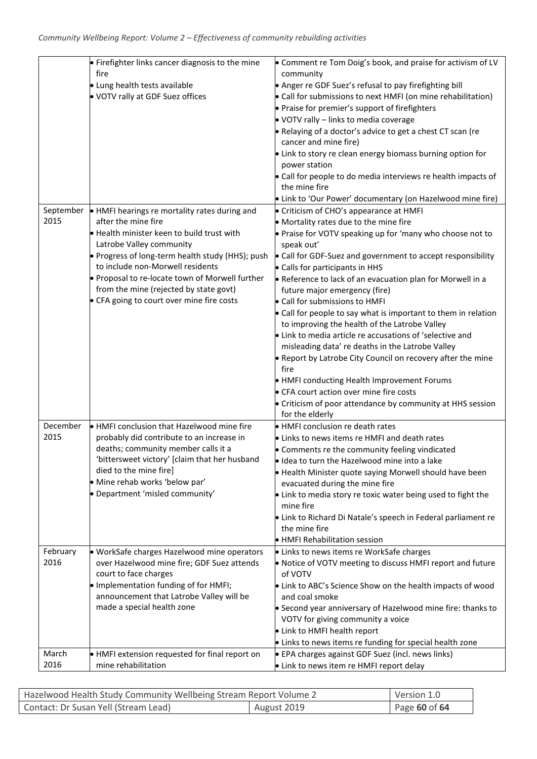| 2015             | • Firefighter links cancer diagnosis to the mine<br>fire<br>· Lung health tests available<br>. VOTV rally at GDF Suez offices<br>September • HMFI hearings re mortality rates during and<br>after the mine fire<br>• Health minister keen to build trust with<br>Latrobe Valley community<br>• Progress of long-term health study (HHS); push<br>to include non-Morwell residents<br>. Proposal to re-locate town of Morwell further | • Comment re Tom Doig's book, and praise for activism of LV<br>community<br>• Anger re GDF Suez's refusal to pay firefighting bill<br>• Call for submissions to next HMFI (on mine rehabilitation)<br>• Praise for premier's support of firefighters<br>$\bullet$ VOTV rally - links to media coverage<br>. Relaying of a doctor's advice to get a chest CT scan (re<br>cancer and mine fire)<br>• Link to story re clean energy biomass burning option for<br>power station<br>• Call for people to do media interviews re health impacts of<br>the mine fire<br>• Link to 'Our Power' documentary (on Hazelwood mine fire)<br>• Criticism of CHO's appearance at HMFI<br>• Mortality rates due to the mine fire<br>• Praise for VOTV speaking up for 'many who choose not to<br>speak out'<br>• Call for GDF-Suez and government to accept responsibility<br>• Calls for participants in HHS<br>• Reference to lack of an evacuation plan for Morwell in a |
|------------------|--------------------------------------------------------------------------------------------------------------------------------------------------------------------------------------------------------------------------------------------------------------------------------------------------------------------------------------------------------------------------------------------------------------------------------------|--------------------------------------------------------------------------------------------------------------------------------------------------------------------------------------------------------------------------------------------------------------------------------------------------------------------------------------------------------------------------------------------------------------------------------------------------------------------------------------------------------------------------------------------------------------------------------------------------------------------------------------------------------------------------------------------------------------------------------------------------------------------------------------------------------------------------------------------------------------------------------------------------------------------------------------------------------------|
|                  | from the mine (rejected by state govt)<br>• CFA going to court over mine fire costs                                                                                                                                                                                                                                                                                                                                                  | future major emergency (fire)<br>• Call for submissions to HMFI<br>• Call for people to say what is important to them in relation<br>to improving the health of the Latrobe Valley<br>• Link to media article re accusations of 'selective and<br>misleading data' re deaths in the Latrobe Valley<br>• Report by Latrobe City Council on recovery after the mine<br>fire<br>• HMFI conducting Health Improvement Forums<br>• CFA court action over mine fire costs<br>• Criticism of poor attendance by community at HHS session<br>for the elderly                                                                                                                                                                                                                                                                                                                                                                                                         |
| December<br>2015 | • HMFI conclusion that Hazelwood mine fire<br>probably did contribute to an increase in<br>deaths; community member calls it a<br>'bittersweet victory' [claim that her husband<br>died to the mine fire]<br>· Mine rehab works 'below par'<br>• Department 'misled community'                                                                                                                                                       | • HMFI conclusion re death rates<br>• Links to news items re HMFI and death rates<br>• Comments re the community feeling vindicated<br>· Idea to turn the Hazelwood mine into a lake<br>• Health Minister quote saying Morwell should have been<br>evacuated during the mine fire<br>• Link to media story re toxic water being used to fight the<br>mine fire<br>• Link to Richard Di Natale's speech in Federal parliament re<br>the mine fire<br>• HMFI Rehabilitation session                                                                                                                                                                                                                                                                                                                                                                                                                                                                            |
| February<br>2016 | · WorkSafe charges Hazelwood mine operators<br>over Hazelwood mine fire; GDF Suez attends<br>court to face charges<br>. Implementation funding of for HMFI;<br>announcement that Latrobe Valley will be<br>made a special health zone                                                                                                                                                                                                | • Links to news items re WorkSafe charges<br>• Notice of VOTV meeting to discuss HMFI report and future<br>of VOTV<br>• Link to ABC's Science Show on the health impacts of wood<br>and coal smoke<br>• Second year anniversary of Hazelwood mine fire: thanks to<br>VOTV for giving community a voice<br>• Link to HMFI health report<br>• Links to news items re funding for special health zone                                                                                                                                                                                                                                                                                                                                                                                                                                                                                                                                                           |
| March<br>2016    | • HMFI extension requested for final report on<br>mine rehabilitation                                                                                                                                                                                                                                                                                                                                                                | • EPA charges against GDF Suez (incl. news links)<br>• Link to news item re HMFI report delay                                                                                                                                                                                                                                                                                                                                                                                                                                                                                                                                                                                                                                                                                                                                                                                                                                                                |

| Hazelwood Health Study Community Wellbeing Stream Report Volume 2 |             | Version 1.0       |
|-------------------------------------------------------------------|-------------|-------------------|
| Contact: Dr Susan Yell (Stream Lead)                              | August 2019 | Page $60$ of $64$ |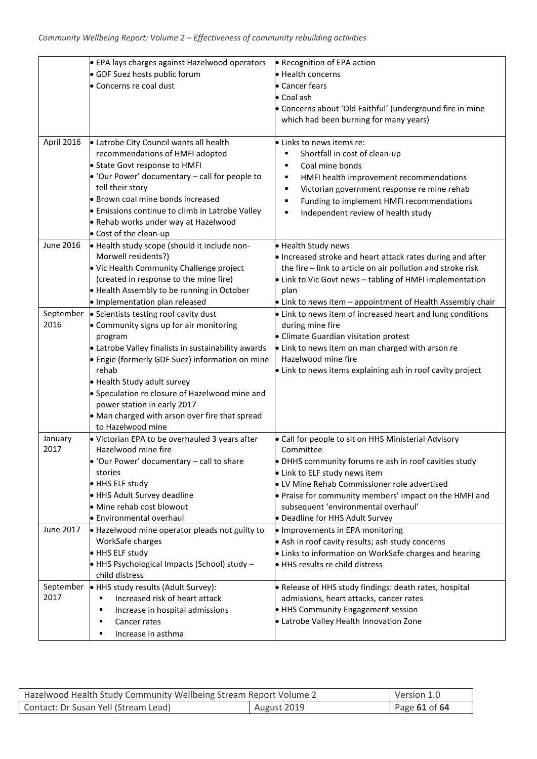|            | • EPA lays charges against Hazelwood operators                      | • Recognition of EPA action                                                                                               |
|------------|---------------------------------------------------------------------|---------------------------------------------------------------------------------------------------------------------------|
|            | • GDF Suez hosts public forum                                       | • Health concerns                                                                                                         |
|            | • Concerns re coal dust                                             | • Cancer fears                                                                                                            |
|            |                                                                     | • Coal ash                                                                                                                |
|            |                                                                     | • Concerns about 'Old Faithful' (underground fire in mine                                                                 |
|            |                                                                     | which had been burning for many years)                                                                                    |
|            |                                                                     |                                                                                                                           |
| April 2016 | • Latrobe City Council wants all health                             | • Links to news items re:                                                                                                 |
|            | recommendations of HMFI adopted                                     | Shortfall in cost of clean-up                                                                                             |
|            | • State Govt response to HMFI                                       | Coal mine bonds<br>п                                                                                                      |
|            | $\bullet$ 'Our Power' documentary – call for people to              | HMFI health improvement recommendations<br>٠                                                                              |
|            | tell their story                                                    | Victorian government response re mine rehab                                                                               |
|            | · Brown coal mine bonds increased                                   | Funding to implement HMFI recommendations                                                                                 |
|            | <b>•</b> Emissions continue to climb in Latrobe Valley              | Independent review of health study                                                                                        |
|            | • Rehab works under way at Hazelwood                                |                                                                                                                           |
|            | • Cost of the clean-up                                              |                                                                                                                           |
| June 2016  | • Health study scope (should it include non-<br>Morwell residents?) | • Health Study news                                                                                                       |
|            | • Vic Health Community Challenge project                            | . Increased stroke and heart attack rates during and after<br>the fire - link to article on air pollution and stroke risk |
|            | (created in response to the mine fire)                              | • Link to Vic Govt news - tabling of HMFI implementation                                                                  |
|            | • Health Assembly to be running in October                          | plan                                                                                                                      |
|            | · Implementation plan released                                      | • Link to news item - appointment of Health Assembly chair                                                                |
| September  | • Scientists testing roof cavity dust                               | • Link to news item of increased heart and lung conditions                                                                |
| 2016       | • Community signs up for air monitoring                             | during mine fire                                                                                                          |
|            | program                                                             | • Climate Guardian visitation protest                                                                                     |
|            | • Latrobe Valley finalists in sustainability awards                 | • Link to news item on man charged with arson re                                                                          |
|            | Engie (formerly GDF Suez) information on mine                       | Hazelwood mine fire                                                                                                       |
|            | rehab                                                               | • Link to news items explaining ash in roof cavity project                                                                |
|            | • Health Study adult survey                                         |                                                                                                                           |
|            | • Speculation re closure of Hazelwood mine and                      |                                                                                                                           |
|            | power station in early 2017                                         |                                                                                                                           |
|            | • Man charged with arson over fire that spread                      |                                                                                                                           |
|            | to Hazelwood mine                                                   |                                                                                                                           |
| January    | • Victorian EPA to be overhauled 3 years after                      | • Call for people to sit on HHS Ministerial Advisory                                                                      |
| 2017       | Hazelwood mine fire                                                 | Committee                                                                                                                 |
|            | $\bullet$ 'Our Power' documentary – call to share                   | • DHHS community forums re ash in roof cavities study                                                                     |
|            | stories<br>• HHS ELF study                                          | • Link to ELF study news item<br>• LV Mine Rehab Commissioner role advertised                                             |
|            | • HHS Adult Survey deadline                                         | • Praise for community members' impact on the HMFI and                                                                    |
|            | • Mine rehab cost blowout                                           | subsequent 'environmental overhaul'                                                                                       |
|            | <b>Environmental overhaul</b>                                       | • Deadline for HHS Adult Survey                                                                                           |
| June 2017  | • Hazelwood mine operator pleads not guilty to                      | • Improvements in EPA monitoring                                                                                          |
|            | WorkSafe charges                                                    | • Ash in roof cavity results; ash study concerns                                                                          |
|            | HHS ELF study                                                       | • Links to information on WorkSafe charges and hearing                                                                    |
|            | $\bullet$ HHS Psychological Impacts (School) study -                | • HHS results re child distress                                                                                           |
|            | child distress                                                      |                                                                                                                           |
|            | September • HHS study results (Adult Survey):                       | • Release of HHS study findings: death rates, hospital                                                                    |
| 2017       | Increased risk of heart attack<br>٠                                 | admissions, heart attacks, cancer rates                                                                                   |
|            | Increase in hospital admissions<br>٠                                | • HHS Community Engagement session                                                                                        |
|            | Cancer rates<br>٠                                                   | • Latrobe Valley Health Innovation Zone                                                                                   |
|            | Increase in asthma<br>п                                             |                                                                                                                           |

| Hazelwood Health Study Community Wellbeing Stream Report Volume 2 |             | Version 1.0   |
|-------------------------------------------------------------------|-------------|---------------|
| Contact: Dr Susan Yell (Stream Lead)                              | August 2019 | Page 61 of 64 |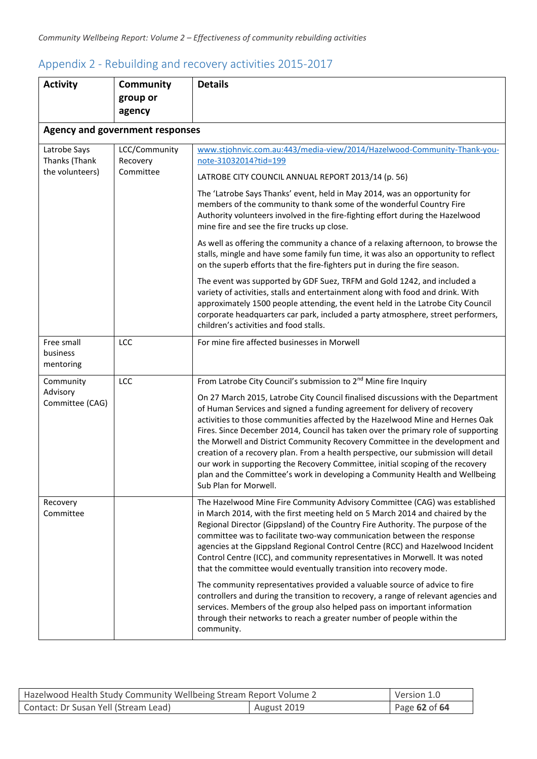| <b>Activity</b>               | Community                              | <b>Details</b>                                                                                                                                                                                                                                                                                                                                                                                                                                                                                                                                                                                                                                                                                       |
|-------------------------------|----------------------------------------|------------------------------------------------------------------------------------------------------------------------------------------------------------------------------------------------------------------------------------------------------------------------------------------------------------------------------------------------------------------------------------------------------------------------------------------------------------------------------------------------------------------------------------------------------------------------------------------------------------------------------------------------------------------------------------------------------|
|                               | group or<br>agency                     |                                                                                                                                                                                                                                                                                                                                                                                                                                                                                                                                                                                                                                                                                                      |
|                               | <b>Agency and government responses</b> |                                                                                                                                                                                                                                                                                                                                                                                                                                                                                                                                                                                                                                                                                                      |
|                               |                                        |                                                                                                                                                                                                                                                                                                                                                                                                                                                                                                                                                                                                                                                                                                      |
| Latrobe Says<br>Thanks (Thank | LCC/Community<br>Recovery              | www.stjohnvic.com.au:443/media-view/2014/Hazelwood-Community-Thank-you-<br>note-31032014?tid=199                                                                                                                                                                                                                                                                                                                                                                                                                                                                                                                                                                                                     |
| the volunteers)               | Committee                              | LATROBE CITY COUNCIL ANNUAL REPORT 2013/14 (p. 56)                                                                                                                                                                                                                                                                                                                                                                                                                                                                                                                                                                                                                                                   |
|                               |                                        | The 'Latrobe Says Thanks' event, held in May 2014, was an opportunity for<br>members of the community to thank some of the wonderful Country Fire<br>Authority volunteers involved in the fire-fighting effort during the Hazelwood<br>mine fire and see the fire trucks up close.                                                                                                                                                                                                                                                                                                                                                                                                                   |
|                               |                                        | As well as offering the community a chance of a relaxing afternoon, to browse the<br>stalls, mingle and have some family fun time, it was also an opportunity to reflect<br>on the superb efforts that the fire-fighters put in during the fire season.                                                                                                                                                                                                                                                                                                                                                                                                                                              |
|                               |                                        | The event was supported by GDF Suez, TRFM and Gold 1242, and included a<br>variety of activities, stalls and entertainment along with food and drink. With<br>approximately 1500 people attending, the event held in the Latrobe City Council<br>corporate headquarters car park, included a party atmosphere, street performers,<br>children's activities and food stalls.                                                                                                                                                                                                                                                                                                                          |
| Free small                    | LCC                                    | For mine fire affected businesses in Morwell                                                                                                                                                                                                                                                                                                                                                                                                                                                                                                                                                                                                                                                         |
| business<br>mentoring         |                                        |                                                                                                                                                                                                                                                                                                                                                                                                                                                                                                                                                                                                                                                                                                      |
| Community                     | LCC                                    | From Latrobe City Council's submission to 2 <sup>nd</sup> Mine fire Inquiry                                                                                                                                                                                                                                                                                                                                                                                                                                                                                                                                                                                                                          |
| Advisory<br>Committee (CAG)   |                                        | On 27 March 2015, Latrobe City Council finalised discussions with the Department<br>of Human Services and signed a funding agreement for delivery of recovery<br>activities to those communities affected by the Hazelwood Mine and Hernes Oak<br>Fires. Since December 2014, Council has taken over the primary role of supporting<br>the Morwell and District Community Recovery Committee in the development and<br>creation of a recovery plan. From a health perspective, our submission will detail<br>our work in supporting the Recovery Committee, initial scoping of the recovery<br>plan and the Committee's work in developing a Community Health and Wellbeing<br>Sub Plan for Morwell. |
| Recovery<br>Committee         |                                        | The Hazelwood Mine Fire Community Advisory Committee (CAG) was established<br>in March 2014, with the first meeting held on 5 March 2014 and chaired by the<br>Regional Director (Gippsland) of the Country Fire Authority. The purpose of the<br>committee was to facilitate two-way communication between the response<br>agencies at the Gippsland Regional Control Centre (RCC) and Hazelwood Incident<br>Control Centre (ICC), and community representatives in Morwell. It was noted<br>that the committee would eventually transition into recovery mode.                                                                                                                                     |
|                               |                                        | The community representatives provided a valuable source of advice to fire<br>controllers and during the transition to recovery, a range of relevant agencies and<br>services. Members of the group also helped pass on important information<br>through their networks to reach a greater number of people within the<br>community.                                                                                                                                                                                                                                                                                                                                                                 |

## <span id="page-61-0"></span>Appendix 2 - Rebuilding and recovery activities 2015-2017

| Hazelwood Health Study Community Wellbeing Stream Report Volume 2 |             | Version 1.0   |
|-------------------------------------------------------------------|-------------|---------------|
| Contact: Dr Susan Yell (Stream Lead)                              | August 2019 | Page 62 of 64 |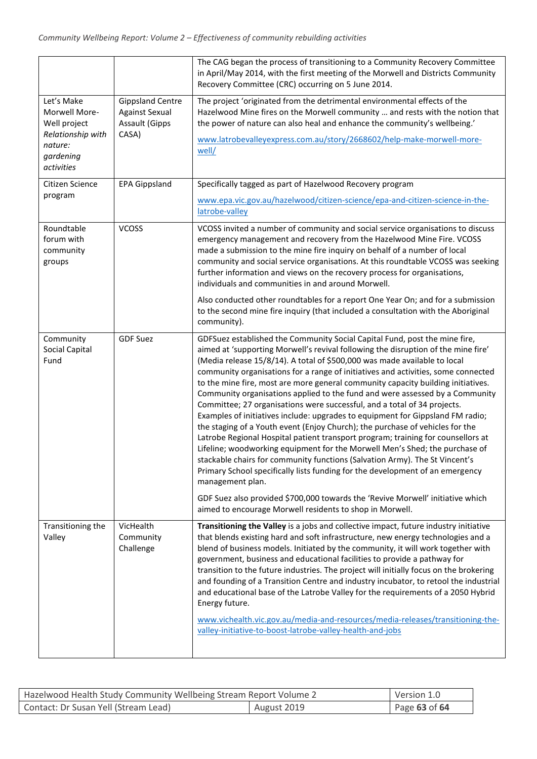|                                                                                                        |                                                                                    | The CAG began the process of transitioning to a Community Recovery Committee<br>in April/May 2014, with the first meeting of the Morwell and Districts Community<br>Recovery Committee (CRC) occurring on 5 June 2014.                                                                                                                                                                                                                                                                                                                                                                                                                                                                                                                                                                                                                                                                                                                                                                                                                                                                                      |
|--------------------------------------------------------------------------------------------------------|------------------------------------------------------------------------------------|-------------------------------------------------------------------------------------------------------------------------------------------------------------------------------------------------------------------------------------------------------------------------------------------------------------------------------------------------------------------------------------------------------------------------------------------------------------------------------------------------------------------------------------------------------------------------------------------------------------------------------------------------------------------------------------------------------------------------------------------------------------------------------------------------------------------------------------------------------------------------------------------------------------------------------------------------------------------------------------------------------------------------------------------------------------------------------------------------------------|
| Let's Make<br>Morwell More-<br>Well project<br>Relationship with<br>nature:<br>gardening<br>activities | <b>Gippsland Centre</b><br><b>Against Sexual</b><br><b>Assault (Gipps</b><br>CASA) | The project 'originated from the detrimental environmental effects of the<br>Hazelwood Mine fires on the Morwell community  and rests with the notion that<br>the power of nature can also heal and enhance the community's wellbeing.'<br>www.latrobevalleyexpress.com.au/story/2668602/help-make-morwell-more-<br>well/                                                                                                                                                                                                                                                                                                                                                                                                                                                                                                                                                                                                                                                                                                                                                                                   |
| Citizen Science<br>program                                                                             | <b>EPA Gippsland</b>                                                               | Specifically tagged as part of Hazelwood Recovery program<br>www.epa.vic.gov.au/hazelwood/citizen-science/epa-and-citizen-science-in-the-<br>latrobe-valley                                                                                                                                                                                                                                                                                                                                                                                                                                                                                                                                                                                                                                                                                                                                                                                                                                                                                                                                                 |
| Roundtable<br>forum with<br>community<br>groups                                                        | <b>VCOSS</b>                                                                       | VCOSS invited a number of community and social service organisations to discuss<br>emergency management and recovery from the Hazelwood Mine Fire. VCOSS<br>made a submission to the mine fire inquiry on behalf of a number of local<br>community and social service organisations. At this roundtable VCOSS was seeking<br>further information and views on the recovery process for organisations,<br>individuals and communities in and around Morwell.                                                                                                                                                                                                                                                                                                                                                                                                                                                                                                                                                                                                                                                 |
|                                                                                                        |                                                                                    | Also conducted other roundtables for a report One Year On; and for a submission<br>to the second mine fire inquiry (that included a consultation with the Aboriginal<br>community).                                                                                                                                                                                                                                                                                                                                                                                                                                                                                                                                                                                                                                                                                                                                                                                                                                                                                                                         |
| Community<br>Social Capital<br>Fund                                                                    | <b>GDF Suez</b>                                                                    | GDFSuez established the Community Social Capital Fund, post the mine fire,<br>aimed at 'supporting Morwell's revival following the disruption of the mine fire'<br>(Media release 15/8/14). A total of \$500,000 was made available to local<br>community organisations for a range of initiatives and activities, some connected<br>to the mine fire, most are more general community capacity building initiatives.<br>Community organisations applied to the fund and were assessed by a Community<br>Committee; 27 organisations were successful, and a total of 34 projects.<br>Examples of initiatives include: upgrades to equipment for Gippsland FM radio;<br>the staging of a Youth event (Enjoy Church); the purchase of vehicles for the<br>Latrobe Regional Hospital patient transport program; training for counsellors at<br>Lifeline; woodworking equipment for the Morwell Men's Shed; the purchase of<br>stackable chairs for community functions (Salvation Army). The St Vincent's<br>Primary School specifically lists funding for the development of an emergency<br>management plan. |
|                                                                                                        |                                                                                    | GDF Suez also provided \$700,000 towards the 'Revive Morwell' initiative which<br>aimed to encourage Morwell residents to shop in Morwell.                                                                                                                                                                                                                                                                                                                                                                                                                                                                                                                                                                                                                                                                                                                                                                                                                                                                                                                                                                  |
| Transitioning the<br>Valley                                                                            | VicHealth<br>Community<br>Challenge                                                | Transitioning the Valley is a jobs and collective impact, future industry initiative<br>that blends existing hard and soft infrastructure, new energy technologies and a<br>blend of business models. Initiated by the community, it will work together with<br>government, business and educational facilities to provide a pathway for<br>transition to the future industries. The project will initially focus on the brokering<br>and founding of a Transition Centre and industry incubator, to retool the industrial<br>and educational base of the Latrobe Valley for the requirements of a 2050 Hybrid<br>Energy future.<br>www.vichealth.vic.gov.au/media-and-resources/media-releases/transitioning-the-<br>valley-initiative-to-boost-latrobe-valley-health-and-jobs                                                                                                                                                                                                                                                                                                                             |

| Hazelwood Health Study Community Wellbeing Stream Report Volume 2 |             | Version 1.0   |
|-------------------------------------------------------------------|-------------|---------------|
| Contact: Dr Susan Yell (Stream Lead)                              | August 2019 | Page 63 of 64 |